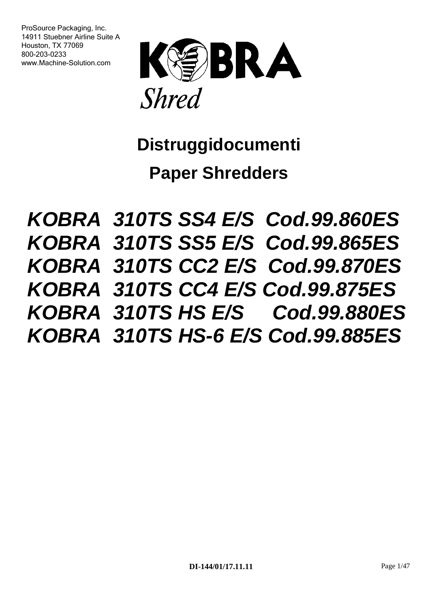ProSource Packaging, Inc. 14911 Stuebner Airline Suite A Houston, TX 77069 800-203-0233 www.Machine-Solution.com



**Distruggidocumenti** 

**Paper Shredders**

*KOBRA 310TS SS4 E/S Cod.99.860ES KOBRA 310TS SS5 E/S Cod.99.865ES KOBRA 310TS CC2 E/S Cod.99.870ES KOBRA 310TS CC4 E/S Cod.99.875ES KOBRA 310TS HS E/S Cod.99.880ES KOBRA 310TS HS-6 E/S Cod.99.885ES*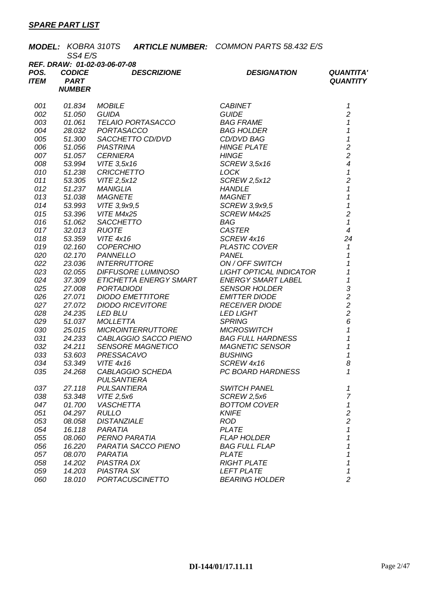|             | <b>MODEL: KOBRA 310TS</b><br>SS4 E/S |                                             | <b>ARTICLE NUMBER: COMMON PARTS 58.432 E/S</b> |                            |
|-------------|--------------------------------------|---------------------------------------------|------------------------------------------------|----------------------------|
|             |                                      | REF. DRAW: 01-02-03-06-07-08                |                                                |                            |
| POS.        | <b>CODICE</b>                        | <b>DESCRIZIONE</b>                          | <b>DESIGNATION</b>                             | <b>QUANTITA'</b>           |
| <b>ITEM</b> | <b>PART</b>                          |                                             |                                                | <b>QUANTITY</b>            |
|             | <b>NUMBER</b>                        |                                             |                                                |                            |
| 001         | 01.834                               | <b>MOBILE</b>                               | <b>CABINET</b>                                 | 1                          |
| 002         | 51.050                               | <b>GUIDA</b>                                | <b>GUIDE</b>                                   | $\overline{c}$             |
| 003         | 01.061                               | <b>TELAIO PORTASACCO</b>                    | <b>BAG FRAME</b>                               | $\mathcal I$               |
| 004         | 28.032                               | PORTASACCO                                  | <b>BAG HOLDER</b>                              | $\mathbf{1}$               |
| 005         | 51.300                               | SACCHETTO CD/DVD                            | CD/DVD BAG                                     | $\mathbf{1}$               |
| 006         | 51.056                               | <b>PIASTRINA</b>                            | <b>HINGE PLATE</b>                             | $\overline{c}$             |
| 007         | 51.057                               | <b>CERNIERA</b>                             | <b>HINGE</b>                                   | $\overline{c}$             |
| 008         | 53.994                               | VITE 3,5x16                                 | <b>SCREW 3,5x16</b>                            | $\overline{\mathcal{A}}$   |
| 010         | 51.238                               | <b>CRICCHETTO</b>                           | <b>LOCK</b>                                    | $\pmb{\mathcal{1}}$        |
| 011         | 53.305                               | VITE 2,5x12                                 | <b>SCREW 2,5x12</b>                            | $\overline{c}$             |
| 012         | 51.237                               | <b>MANIGLIA</b>                             | <b>HANDLE</b>                                  | $\overline{1}$             |
| 013         | 51.038                               | <b>MAGNETE</b>                              | <b>MAGNET</b>                                  | $\overline{1}$             |
| 014         | 53.993                               | VITE 3,9x9,5                                | SCREW 3,9x9,5                                  | $\overline{\mathbf{1}}$    |
| 015         | 53.396                               | VITE M4x25                                  | <b>SCREW M4x25</b>                             | $\overline{c}$             |
| 016         | 51.062                               | SACCHETTO                                   | BAG                                            | $\mathcal I$               |
| 017         | 32.013                               | <b>RUOTE</b>                                | <b>CASTER</b>                                  | $\overline{4}$             |
| 018         | 53.359                               | <b>VITE 4x16</b>                            | SCREW 4x16                                     | 24                         |
| 019         | 02.160                               | <b>COPERCHIO</b>                            | <b>PLASTIC COVER</b>                           | $\mathcal I$               |
| 020         | 02.170                               | <b>PANNELLO</b>                             | <b>PANEL</b>                                   | 1                          |
| 022         | 23.036                               | <b>INTERRUTTORE</b>                         | ON / OFF SWITCH                                | 1                          |
| 023         | 02.055                               | <i>DIFFUSORE LUMINOSO</i>                   | <b>LIGHT OPTICAL INDICATOR</b>                 | $\overline{1}$             |
| 024         | 37.309                               | ETICHETTA ENERGY SMART                      | <b>ENERGY SMART LABEL</b>                      | $\overline{1}$             |
| 025         | 27.008                               | <b>PORTADIODI</b>                           | <b>SENSOR HOLDER</b>                           | $\frac{3}{2}$              |
| 026<br>027  | 27.071<br>27.072                     | DIODO EMETTITORE<br><b>DIODO RICEVITORE</b> | <b>EMITTER DIODE</b><br><b>RECEIVER DIODE</b>  |                            |
| 028         | 24.235                               | <b>LED BLU</b>                              | <b>LED LIGHT</b>                               | $\overline{a}$             |
| 029         | 51.037                               | <b>MOLLETTA</b>                             | <b>SPRING</b>                                  | 6                          |
| 030         | 25.015                               | <b>MICROINTERRUTTORE</b>                    | <b>MICROSWITCH</b>                             | $\overline{1}$             |
| 031         | 24.233                               | CABLAGGIO SACCO PIENO                       | <b>BAG FULL HARDNESS</b>                       | $\overline{\mathbf{1}}$    |
| 032         | 24.211                               | <b>SENSORE MAGNETICO</b>                    | <b>MAGNETIC SENSOR</b>                         | $\boldsymbol{\mathcal{L}}$ |
| 033         | 53.603                               | PRESSACAVO                                  | <b>BUSHING</b>                                 | $\mathbf 1$                |
| 034         | 53.349                               | <b>VITE 4x16</b>                            | SCREW 4x16                                     | 8                          |
| 035         | 24.268                               | CABLAGGIO SCHEDA                            | PC BOARD HARDNESS                              | 1                          |
|             |                                      | <b>PULSANTIERA</b>                          |                                                |                            |
| 037         | 27.118                               | <b>PULSANTIERA</b>                          | <b>SWITCH PANEL</b>                            | 1                          |
| 038         | 53.348                               | VITE 2,5x6                                  | SCREW 2,5x6                                    | $\overline{7}$             |
| 047         | 01.700                               | <b>VASCHETTA</b>                            | <b>BOTTOM COVER</b>                            | 1                          |
| 051         | 04.297                               | <b>RULLO</b>                                | <b>KNIFE</b>                                   | $\overline{c}$             |
| 053         | 08.058                               | <b>DISTANZIALE</b>                          | <b>ROD</b>                                     | $\overline{c}$             |
| 054         | 16.118                               | PARATIA                                     | <b>PLATE</b>                                   | 1                          |
| 055         | 08.060                               | PERNO PARATIA                               | <b>FLAP HOLDER</b>                             | 1                          |
| 056         | 16.220                               | PARATIA SACCO PIENO                         | <b>BAG FULL FLAP</b>                           | 1                          |
| 057         | 08.070                               | PARATIA                                     | <b>PLATE</b>                                   | 1                          |
| 058         | 14.202                               | <b>PIASTRA DX</b>                           | <b>RIGHT PLATE</b>                             | 1                          |
| 059         | 14.203                               | <b>PIASTRA SX</b>                           | <b>LEFT PLATE</b>                              | 1                          |
| 060         | 18.010                               | <b>PORTACUSCINETTO</b>                      | <b>BEARING HOLDER</b>                          | $\overline{c}$             |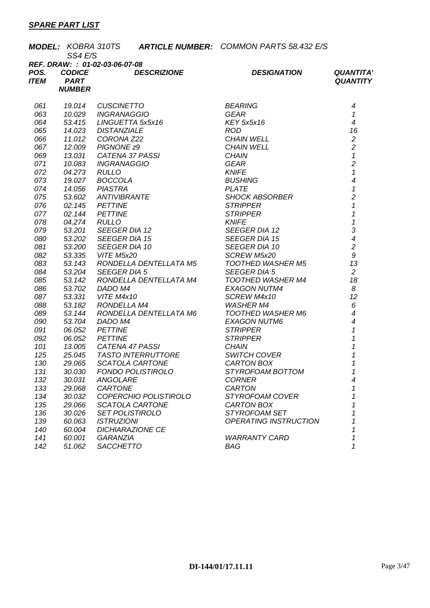|             |               | <b>MODEL: KOBRA 310TS ARTICLE NUMBER: COMMON PARTS 58.432 E/S</b> |                                                                                                                                                                                                                                                      |                              |                                                                                                                                                                                                                                                                                                                                                                                                                                                                                |                            |  |
|-------------|---------------|-------------------------------------------------------------------|------------------------------------------------------------------------------------------------------------------------------------------------------------------------------------------------------------------------------------------------------|------------------------------|--------------------------------------------------------------------------------------------------------------------------------------------------------------------------------------------------------------------------------------------------------------------------------------------------------------------------------------------------------------------------------------------------------------------------------------------------------------------------------|----------------------------|--|
|             | SS4 E/S       |                                                                   |                                                                                                                                                                                                                                                      |                              |                                                                                                                                                                                                                                                                                                                                                                                                                                                                                |                            |  |
|             |               | REF. DRAW: : 01-02-03-06-07-08                                    |                                                                                                                                                                                                                                                      |                              |                                                                                                                                                                                                                                                                                                                                                                                                                                                                                |                            |  |
| POS.        | <b>CODICE</b> |                                                                   | <b>DESCRIZIONE</b>                                                                                                                                                                                                                                   |                              | <b>DESIGNATION</b>                                                                                                                                                                                                                                                                                                                                                                                                                                                             | <b>QUANTITA'</b>           |  |
| <b>ITEM</b> | <b>PART</b>   |                                                                   |                                                                                                                                                                                                                                                      |                              |                                                                                                                                                                                                                                                                                                                                                                                                                                                                                | <b>QUANTITY</b>            |  |
|             | <b>NUMBER</b> |                                                                   |                                                                                                                                                                                                                                                      |                              |                                                                                                                                                                                                                                                                                                                                                                                                                                                                                |                            |  |
| 061         |               |                                                                   | 19.014 CUSCINETTO<br>10.029 INGRANAGGIO<br>53.415 LINGUETTA 5x5x16<br>14.023 DISTANZIALE<br>11.012 CORONA Z22<br>12.009 PIGNONE z9<br>13.031 CATENA 37 PASSI<br>10.083 INGRANAGGIO<br>04.273 RULLO<br>19.027 BOCCOLA<br>14.056 PIASTRA<br>13.032 ANT |                              | <i>BEARING<br/>GEAR<br/>KEY 5x5x16<br/>ROD<br/>CHAIN WELL<br/>CHAIN WELL<br/>CHAIN<br/>GEAR<br/>KNIFE<br/>BUSHING<br/>BLUSHING<br/>PLATE</i>                                                                                                                                                                                                                                                                                                                                   | 4                          |  |
| 063         |               |                                                                   |                                                                                                                                                                                                                                                      |                              |                                                                                                                                                                                                                                                                                                                                                                                                                                                                                | $\mathcal I$               |  |
| 064         |               |                                                                   |                                                                                                                                                                                                                                                      |                              |                                                                                                                                                                                                                                                                                                                                                                                                                                                                                | $\overline{4}$             |  |
| 065         |               |                                                                   |                                                                                                                                                                                                                                                      |                              |                                                                                                                                                                                                                                                                                                                                                                                                                                                                                | 16                         |  |
| 066         |               |                                                                   |                                                                                                                                                                                                                                                      |                              |                                                                                                                                                                                                                                                                                                                                                                                                                                                                                | $\sqrt{2}$                 |  |
| 067         |               |                                                                   |                                                                                                                                                                                                                                                      |                              |                                                                                                                                                                                                                                                                                                                                                                                                                                                                                | $\overline{c}$             |  |
| 069         |               |                                                                   |                                                                                                                                                                                                                                                      |                              |                                                                                                                                                                                                                                                                                                                                                                                                                                                                                | $\boldsymbol{\mathcal{L}}$ |  |
| 071         |               |                                                                   |                                                                                                                                                                                                                                                      |                              |                                                                                                                                                                                                                                                                                                                                                                                                                                                                                | $\overline{c}$             |  |
| 072         |               |                                                                   |                                                                                                                                                                                                                                                      |                              |                                                                                                                                                                                                                                                                                                                                                                                                                                                                                | $\mathbf{1}$               |  |
| 073         |               |                                                                   |                                                                                                                                                                                                                                                      |                              |                                                                                                                                                                                                                                                                                                                                                                                                                                                                                | $\overline{\mathcal{A}}$   |  |
| 074         |               |                                                                   |                                                                                                                                                                                                                                                      | <b>PLATE</b>                 |                                                                                                                                                                                                                                                                                                                                                                                                                                                                                | $\mathbf{1}$               |  |
| 075         |               |                                                                   |                                                                                                                                                                                                                                                      |                              | <i>SHOCK ABSORBER</i><br>STRIDDED                                                                                                                                                                                                                                                                                                                                                                                                                                              | $\overline{c}$             |  |
| 076         |               |                                                                   |                                                                                                                                                                                                                                                      |                              |                                                                                                                                                                                                                                                                                                                                                                                                                                                                                | $\mathbf{1}$               |  |
| 077         |               |                                                                   |                                                                                                                                                                                                                                                      |                              |                                                                                                                                                                                                                                                                                                                                                                                                                                                                                | $\overline{1}$             |  |
| 078         |               |                                                                   |                                                                                                                                                                                                                                                      |                              |                                                                                                                                                                                                                                                                                                                                                                                                                                                                                | $\overline{1}$             |  |
| 079         |               |                                                                   |                                                                                                                                                                                                                                                      |                              |                                                                                                                                                                                                                                                                                                                                                                                                                                                                                |                            |  |
| 080         |               |                                                                   |                                                                                                                                                                                                                                                      |                              |                                                                                                                                                                                                                                                                                                                                                                                                                                                                                | $\frac{3}{4}$              |  |
| 081         |               |                                                                   |                                                                                                                                                                                                                                                      |                              |                                                                                                                                                                                                                                                                                                                                                                                                                                                                                | $\overline{2}$             |  |
| 082         | 53.335        | <b>VITE M5x20</b>                                                 |                                                                                                                                                                                                                                                      |                              | $\begin{array}{lll} & \begin{array}{l} \mathbb{L}\mathsf{r}\mathsf{r} \end{array} & \\ \begin{array}{l} \mathsf{SEEGER~DIA~12} \end{array} & \\ \begin{array}{l} \mathsf{SEEGER~DIA~15} \end{array} & \\ \begin{array}{l} \mathsf{SEEGER~DIA~10} \end{array} & \\ \begin{array}{l} \mathsf{SCREW~MSz20} \end{array} & \\ \begin{array}{l} \mathsf{OOTHED~WASHER~\hbox{M}^{\tau} \end{array} & \\ \begin{array}{l} \mathsf{EGGER~D1^{\Lambda}} \end{array} & \\ \begin{array}{$ | $\boldsymbol{g}$           |  |
| 083         | 53.143        |                                                                   | RONDELLA DENTELLATA M5                                                                                                                                                                                                                               |                              |                                                                                                                                                                                                                                                                                                                                                                                                                                                                                | 13                         |  |
| 084         | 53.204        | <b>SEEGER DIA 5</b>                                               |                                                                                                                                                                                                                                                      |                              |                                                                                                                                                                                                                                                                                                                                                                                                                                                                                | 2                          |  |
| 085         | 53.142        |                                                                   | RONDELLA DENTELLATA M4                                                                                                                                                                                                                               |                              |                                                                                                                                                                                                                                                                                                                                                                                                                                                                                | 18                         |  |
| 086         | 53.702        | DADO M4                                                           |                                                                                                                                                                                                                                                      |                              |                                                                                                                                                                                                                                                                                                                                                                                                                                                                                | 8                          |  |
| 087         | 53.331        | <b>VITE M4x10</b>                                                 |                                                                                                                                                                                                                                                      |                              | TOOTHED WASHER M4<br>EXAGON NUTM4<br>SCREW M4x10<br>WASHER M4                                                                                                                                                                                                                                                                                                                                                                                                                  | 12                         |  |
| 088         | 53.182        | RONDELLA M4                                                       |                                                                                                                                                                                                                                                      |                              |                                                                                                                                                                                                                                                                                                                                                                                                                                                                                | 6                          |  |
| 089         | 53.144        |                                                                   |                                                                                                                                                                                                                                                      |                              |                                                                                                                                                                                                                                                                                                                                                                                                                                                                                | $\overline{\mathcal{A}}$   |  |
| 090         | 53.704        |                                                                   | RONDELLA DENTELLATA M6<br>DADO M4                                                                                                                                                                                                                    |                              | TOOTHED WASHER M6<br>EXAGON NUTM6<br>STRIPPER                                                                                                                                                                                                                                                                                                                                                                                                                                  | $\overline{4}$             |  |
| 091         | 06.052        | <b>PETTINE</b>                                                    |                                                                                                                                                                                                                                                      |                              |                                                                                                                                                                                                                                                                                                                                                                                                                                                                                | $\overline{1}$             |  |
| 092         | 06.052        | <b>PETTINE</b>                                                    |                                                                                                                                                                                                                                                      | <b>STRIPPER</b>              |                                                                                                                                                                                                                                                                                                                                                                                                                                                                                | $\mathcal I$               |  |
| 101         | 13.005        |                                                                   | CATENA 47 PASSI                                                                                                                                                                                                                                      | <b>CHAIN</b>                 |                                                                                                                                                                                                                                                                                                                                                                                                                                                                                | 1                          |  |
| 125         | 25.045        |                                                                   | TASTO INTERRUTTORE                                                                                                                                                                                                                                   | <b>SWITCH COVER</b>          |                                                                                                                                                                                                                                                                                                                                                                                                                                                                                | $\mathcal I$               |  |
| 130         | 29.065        |                                                                   | SCATOLA CARTONE                                                                                                                                                                                                                                      | CARTON BOX                   |                                                                                                                                                                                                                                                                                                                                                                                                                                                                                | $\mathcal{I}$              |  |
| 131         | 30.030        |                                                                   | <b>FONDO POLISTIROLO</b>                                                                                                                                                                                                                             | STYROFOAM BOTTOM             |                                                                                                                                                                                                                                                                                                                                                                                                                                                                                | 1                          |  |
| 132         | 30.031        | <b>ANGOLARE</b>                                                   |                                                                                                                                                                                                                                                      | <b>CORNER</b>                |                                                                                                                                                                                                                                                                                                                                                                                                                                                                                | 4                          |  |
| 133         | 29.068        | <b>CARTONE</b>                                                    |                                                                                                                                                                                                                                                      | <b>CARTON</b>                |                                                                                                                                                                                                                                                                                                                                                                                                                                                                                | 1                          |  |
| 134         | 30.032        |                                                                   | COPERCHIO POLISTIROLO                                                                                                                                                                                                                                | STYROFOAM COVER              |                                                                                                                                                                                                                                                                                                                                                                                                                                                                                | 1                          |  |
| 135         | 29.066        | SCATOLA CARTONE                                                   |                                                                                                                                                                                                                                                      | CARTON BOX                   |                                                                                                                                                                                                                                                                                                                                                                                                                                                                                |                            |  |
| 136         | 30.026        | <b>SET POLISTIROLO</b>                                            |                                                                                                                                                                                                                                                      | STYROFOAM SET                |                                                                                                                                                                                                                                                                                                                                                                                                                                                                                |                            |  |
| 139         | 60.063        | <b>ISTRUZIONI</b>                                                 |                                                                                                                                                                                                                                                      | <b>OPERATING INSTRUCTION</b> |                                                                                                                                                                                                                                                                                                                                                                                                                                                                                |                            |  |
| 140         | 60.004        | <b>DICHIARAZIONE CE</b>                                           |                                                                                                                                                                                                                                                      |                              |                                                                                                                                                                                                                                                                                                                                                                                                                                                                                |                            |  |
| 141         | 60.001        | <b>GARANZIA</b>                                                   |                                                                                                                                                                                                                                                      | <b>WARRANTY CARD</b>         |                                                                                                                                                                                                                                                                                                                                                                                                                                                                                | 1                          |  |
| 142         | 51.062        | <b>SACCHETTO</b>                                                  |                                                                                                                                                                                                                                                      | <b>BAG</b>                   |                                                                                                                                                                                                                                                                                                                                                                                                                                                                                | 1                          |  |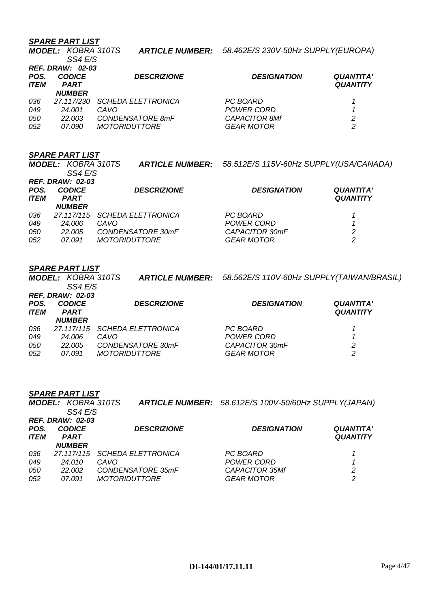|                     | <b>MODEL: KOBRA 310TS</b><br>SS4 E/S |                           | <b>ARTICLE NUMBER:</b> 58.462E/S 230V-50Hz SUPPLY(EUROPA) |                                     |
|---------------------|--------------------------------------|---------------------------|-----------------------------------------------------------|-------------------------------------|
|                     | <b>REF. DRAW: 02-03</b>              |                           |                                                           |                                     |
| POS.<br><b>ITEM</b> | <b>CODICE</b><br><b>PART</b>         | <b>DESCRIZIONE</b>        | <b>DESIGNATION</b>                                        | <b>QUANTITA'</b><br><b>QUANTITY</b> |
|                     | <b>NUMBER</b>                        |                           |                                                           |                                     |
| 036                 | 27.117/230                           | <b>SCHEDA ELETTRONICA</b> | PC BOARD                                                  |                                     |
| 049                 | 24.001                               | CAVO                      | POWER CORD                                                |                                     |
| 050                 | 22.003                               | CONDENSATORE 8mF          | <b>CAPACITOR 8Mf</b>                                      | 2                                   |
| 052                 | 07.090                               | <b>MOTORIDUTTORE</b>      | <b>GEAR MOTOR</b>                                         | 2                                   |

### *SPARE PART LIST*

|                         | <b>MODEL: KOBRA 310TS</b><br>SS4 E/S |                           | <b>ARTICLE NUMBER:</b> 58.512E/S 115V-60Hz SUPPLY(USA/CANADA) |                  |  |
|-------------------------|--------------------------------------|---------------------------|---------------------------------------------------------------|------------------|--|
| <b>REF. DRAW: 02-03</b> |                                      |                           |                                                               |                  |  |
| POS.                    | <b>CODICE</b>                        | <b>DESCRIZIONE</b>        | <b>DESIGNATION</b>                                            | <b>QUANTITA'</b> |  |
| <b>ITEM</b>             | <b>PART</b>                          |                           |                                                               | <b>QUANTITY</b>  |  |
|                         | <b>NUMBER</b>                        |                           |                                                               |                  |  |
| 036                     | 27.117/115                           | <b>SCHEDA ELETTRONICA</b> | PC BOARD                                                      |                  |  |
| 049                     | 24.006                               | CAVO                      | POWER CORD                                                    |                  |  |
| 050                     | 22.005                               | CONDENSATORE 30mF         | CAPACITOR 30mF                                                | 2                |  |
| 052                     | 07.091                               | <i>MOTORIDUTTORE</i>      | <b>GEAR MOTOR</b>                                             | 2                |  |

### *SPARE PART LIST*

*SS4 E/S* 

*MODEL: KOBRA 310TS ARTICLE NUMBER: 58.562E/S 110V-60Hz SUPPLY(TAIWAN/BRASIL)* 

| POS.<br><b>ITEM</b> | <b>REF. DRAW: 02-03</b><br><b>CODICE</b><br><b>PART</b><br><i><b>NUMBER</b></i> | <b>DESCRIZIONE</b>            | <b>DESIGNATION</b> | <b>QUANTITA'</b><br><b>QUANTITY</b> |
|---------------------|---------------------------------------------------------------------------------|-------------------------------|--------------------|-------------------------------------|
| 036                 |                                                                                 | 27.117/115 SCHEDA ELETTRONICA | PC BOARD           |                                     |
| 049                 | 24.006                                                                          | CAVO                          | POWER CORD         |                                     |
| 050                 | 22.005                                                                          | CONDENSATORE 30mF             | CAPACITOR 30mF     | 2                                   |
| 052                 | 07.091                                                                          | <i>MOTORIDUTTORE</i>          | <b>GEAR MOTOR</b>  | 2                                   |

### *SPARE PART LIST*

*MODEL: KOBRA 310TS ARTICLE NUMBER: 58.612E/S 100V-50/60Hz SUPPLY(JAPAN) SS4 E/S REF. DRAW: 02-03*

| POS.<br><b>ITEM</b> | <b>CODICE</b><br><b>PART</b><br><i><b>NUMBER</b></i> | <b>DESCRIZIONE</b>            | <b>DESIGNATION</b>    | <b>QUANTITA'</b><br><b>QUANTITY</b> |
|---------------------|------------------------------------------------------|-------------------------------|-----------------------|-------------------------------------|
| 036                 |                                                      | 27.117/115 SCHEDA ELETTRONICA | PC BOARD              |                                     |
| 049                 | 24.010                                               | CAVO                          | POWER CORD            |                                     |
| 050                 | 22,002                                               | CONDENSATORE 35mF             | <b>CAPACITOR 35Mf</b> | 2                                   |
| 052                 | 07.091                                               | <i>MOTORIDUTTORE</i>          | <b>GEAR MOTOR</b>     | 2                                   |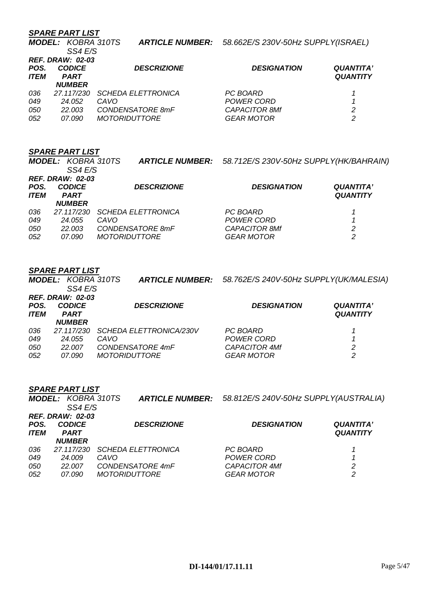*SS4 E/S* 

*MODEL: KOBRA 310TS ARTICLE NUMBER: 58.662E/S 230V-50Hz SUPPLY(ISRAEL)* 

|                     | OO4 E/O<br><b>REF. DRAW: 02-03</b> |                           |                      |                                     |
|---------------------|------------------------------------|---------------------------|----------------------|-------------------------------------|
| POS.<br><b>ITEM</b> | <b>CODICE</b><br><b>PART</b>       | <b>DESCRIZIONE</b>        | <b>DESIGNATION</b>   | <b>QUANTITA'</b><br><b>QUANTITY</b> |
|                     | <b>NUMBER</b>                      |                           |                      |                                     |
| 036                 | 27.117/230                         | <i>SCHEDA ELETTRONICA</i> | PC BOARD             |                                     |
| 049                 | 24.052                             | CAVO                      | POWER CORD           |                                     |
| 050                 | 22.003                             | CONDENSATORE 8mF          | <b>CAPACITOR 8Mf</b> | 2                                   |
| 052                 | 07.090                             | <i>MOTORIDUTTORE</i>      | <b>GEAR MOTOR</b>    | 2                                   |

### *SPARE PART LIST*

|                     | <b>MODEL: KOBRA 310TS</b><br>SS4 E/S                                     |                           | ARTICLE NUMBER: 58.712E/S 230V-50Hz SUPPLY(HK/BAHRAIN) |                                     |
|---------------------|--------------------------------------------------------------------------|---------------------------|--------------------------------------------------------|-------------------------------------|
| POS.<br><b>ITEM</b> | <b>REF. DRAW: 02-03</b><br><b>CODICE</b><br><b>PART</b><br><b>NUMBER</b> | <b>DESCRIZIONE</b>        | <b>DESIGNATION</b>                                     | <b>QUANTITA'</b><br><b>QUANTITY</b> |
| 036                 | 27.117/230                                                               | <b>SCHEDA ELETTRONICA</b> | PC BOARD                                               |                                     |
| 049                 | 24.055                                                                   | CAVO                      | POWER CORD                                             |                                     |
| 050                 | 22.003                                                                   | CONDENSATORE 8mF          | <b>CAPACITOR 8Mf</b>                                   | 2                                   |
| 052                 | 07.090                                                                   | <b>MOTORIDUTTORE</b>      | <b>GEAR MOTOR</b>                                      | 2                                   |

### *SPARE PART LIST*

*MODEL: KOBRA 310TS SS4 E/S ARTICLE NUMBER: 58.762E/S 240V-50Hz SUPPLY(UK/MALESIA) REF. DRAW: 02-03 POS. CODICE DESCRIZIONE DESIGNATION QUANTITA' ITEM PART NUMBER QUANTITY 036 27.117/230 SCHEDA ELETTRONICA/230V PC BOARD 1 049 24.055 CAVO POWER CORD 1 050 22.007 CONDENSATORE 4mF CAPACITOR 4Mf 2 052 07.090 MOTORIDUTTORE GEAR MOTOR 2* 

|                     | <b>MODEL: KOBRA 310TS</b><br><b>ARTICLE NUMBER:</b><br>SS4 E/S |                                          | 58.812E/S 240V-50Hz SUPPLY(AUSTRALIA)     |                                     |  |
|---------------------|----------------------------------------------------------------|------------------------------------------|-------------------------------------------|-------------------------------------|--|
| POS.<br><b>ITEM</b> | <b>REF. DRAW: 02-03</b><br><b>CODICE</b><br><b>PART</b>        | <b>DESCRIZIONE</b>                       | <b>DESIGNATION</b>                        | <b>QUANTITA'</b><br><b>QUANTITY</b> |  |
|                     | <b>NUMBER</b>                                                  |                                          |                                           |                                     |  |
| 036<br>049          | 27.117/230<br>24.009                                           | <b>SCHEDA ELETTRONICA</b><br>CAVO        | PC BOARD<br>POWER CORD                    |                                     |  |
| 050<br>052          | 22.007<br>07.090                                               | CONDENSATORE 4mF<br><b>MOTORIDUTTORE</b> | <b>CAPACITOR 4Mf</b><br><b>GEAR MOTOR</b> | 2<br>2                              |  |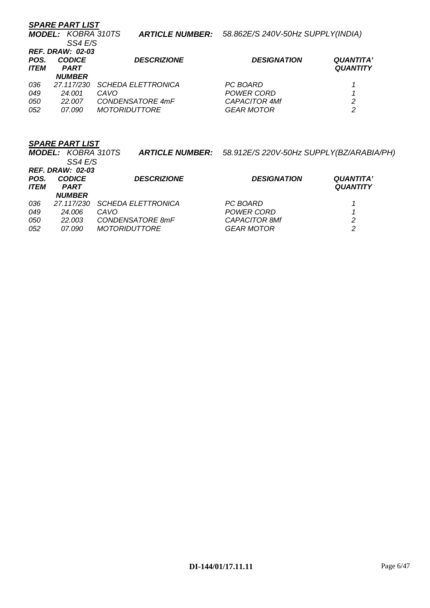|             | <b>SPARE PART LIST</b>                              |                           |                                   |                  |
|-------------|-----------------------------------------------------|---------------------------|-----------------------------------|------------------|
|             | <b>MODEL: KOBRA 310TS</b><br><b>ARTICLE NUMBER:</b> |                           | 58.862E/S 240V-50Hz SUPPLY(INDIA) |                  |
|             | SS4 E/S                                             |                           |                                   |                  |
|             | <b>REF. DRAW: 02-03</b>                             |                           |                                   |                  |
| POS.        | <b>CODICE</b>                                       | <b>DESCRIZIONE</b>        | <b>DESIGNATION</b>                | <b>QUANTITA'</b> |
| <b>ITEM</b> | <b>PART</b>                                         |                           |                                   | <b>QUANTITY</b>  |
|             | <b>NUMBER</b>                                       |                           |                                   |                  |
| 036         | 27.117/230                                          | <b>SCHEDA ELETTRONICA</b> | PC BOARD                          |                  |
| 049         | 24.001                                              | CAVO                      | POWER CORD                        |                  |
| 050         | 22.007                                              | CONDENSATORE 4mF          | <b>CAPACITOR 4Mf</b>              | 2                |
| 052         | 07.090                                              | <i>MOTORIDUTTORE</i>      | <b>GEAR MOTOR</b>                 | 2                |

|                          | <b>MODEL: KOBRA 310TS</b><br>SS4 E/S                             | <b>ARTICLE NUMBER:</b>                                                        | 58.912E/S 220V-50Hz SUPPLY(BZ/ARABIA/PH)                            |                                     |
|--------------------------|------------------------------------------------------------------|-------------------------------------------------------------------------------|---------------------------------------------------------------------|-------------------------------------|
| POS.<br><b>ITEM</b>      | <b>REF. DRAW: 02-03</b><br><b>CODICE</b><br><b>PART</b>          | <b>DESCRIZIONE</b>                                                            | <b>DESIGNATION</b>                                                  | <b>QUANTITA'</b><br><b>QUANTITY</b> |
| 036<br>049<br>050<br>052 | <b>NUMBER</b><br>27.117/230<br>24.006<br>22.003<br><i>07.090</i> | <b>SCHEDA ELETTRONICA</b><br>CAVO<br>CONDENSATORE 8mF<br><i>MOTORIDUTTORE</i> | PC BOARD<br>POWER CORD<br><b>CAPACITOR 8Mf</b><br><b>GEAR MOTOR</b> | 2<br>2                              |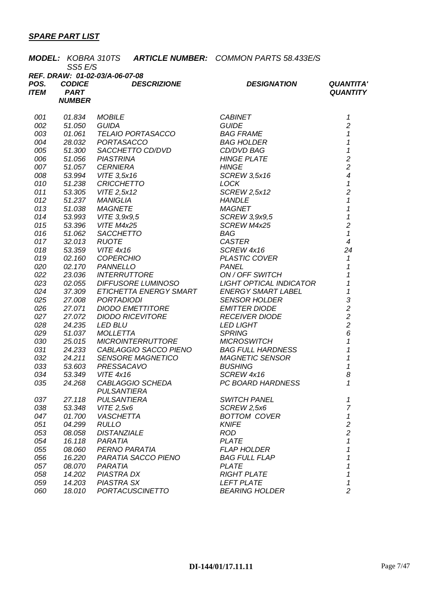|             |               |                                |                                                                                                     | <b>MODEL: KOBRA 310TS ARTICLE NUMBER: COMMON PARTS 58.433E/S</b> |                                            |
|-------------|---------------|--------------------------------|-----------------------------------------------------------------------------------------------------|------------------------------------------------------------------|--------------------------------------------|
|             | SS5 E/S       | REF. DRAW: 01-02-03/A-06-07-08 |                                                                                                     |                                                                  |                                            |
| POS.        | <b>CODICE</b> |                                | <b>DESCRIZIONE</b>                                                                                  | <b>DESIGNATION</b>                                               | <b>QUANTITA'</b>                           |
| <b>ITEM</b> | <b>PART</b>   |                                |                                                                                                     |                                                                  | <b>QUANTITY</b>                            |
|             | <b>NUMBER</b> |                                |                                                                                                     |                                                                  |                                            |
|             |               |                                |                                                                                                     |                                                                  |                                            |
| 001         | 01.834        | <b>MOBILE</b>                  |                                                                                                     | <b>CABINET</b>                                                   | 1                                          |
| 002         | 51.050        | <b>GUIDA</b>                   |                                                                                                     | <b>GUIDE</b>                                                     | $\overline{c}$                             |
| 003         | 01.061        |                                | <i>TELAIO PORTASACCO</i>                                                                            | <b>BAG FRAME</b>                                                 | $\overline{1}$                             |
| 004         | 28.032        | PORTASACCO                     |                                                                                                     | <b>BAG HOLDER</b>                                                | $\overline{1}$                             |
| 005         | 51.300        |                                | SACCHETTO CD/DVD                                                                                    | CD/DVD BAG                                                       | $\mathbf{1}$                               |
| 006         | 51.056        | <b>PIASTRINA</b>               |                                                                                                     | <b>HINGE PLATE</b>                                               | $\overline{c}$                             |
| 007         | 51.057        | <b>CERNIERA</b>                |                                                                                                     | <b>HINGE</b>                                                     | $\overline{c}$                             |
| 008         | 53.994        | VITE 3,5x16                    |                                                                                                     | <b>SCREW 3,5x16</b>                                              | $\overline{\mathcal{A}}$                   |
| 010         | 51.238        | <b>CRICCHETTO</b>              |                                                                                                     | <b>LOCK</b>                                                      | $\mathbf{1}$                               |
| 011         | 53.305        |                                |                                                                                                     | <b>SCREW 2,5x12</b>                                              | $\overline{c}$                             |
| 012         | 51.237        |                                |                                                                                                     | <b>HANDLE</b>                                                    | $\mathbf{1}$                               |
| 013         | 51.038        |                                |                                                                                                     | <b>MAGNET</b>                                                    | $\boldsymbol{\mathcal{L}}$                 |
| 014         | 53.993        | VITE 3,9x9,5                   |                                                                                                     | SCREW 3,9x9,5                                                    | $\mathbf{1}$                               |
| 015         | 53.396        | VITE M4x25                     |                                                                                                     | SCREW M4x25                                                      | $\overline{c}$                             |
| 016         | 51.062        |                                | <i>VITE 2,5x12<br/>MANIGLIA<br/>MAGNETE<br/>VITE 3,9x9,5<br/>VITE M4x25<br/>SACCHETTO<br/>RUOTE</i> | <b>BAG</b>                                                       | $\boldsymbol{\mathcal{L}}$                 |
| 017         | 32.013        | <b>RUOTE</b>                   |                                                                                                     | <b>CASTER</b>                                                    | $\overline{\mathcal{A}}$                   |
| 018         | 53.359        | <b>VITE 4x16</b>               |                                                                                                     | SCREW 4x16                                                       | 24                                         |
| 019         | 02.160        |                                | <b>COPERCHIO</b>                                                                                    | <b>PLASTIC COVER</b>                                             | $\mathcal{I}$                              |
| 020         | 02.170        | <b>PANNELLO</b>                |                                                                                                     | <b>PANEL</b>                                                     | $\mathcal I$                               |
| 022         | 23.036        |                                | <i><b>INTERRUTTORE</b></i>                                                                          | ON / OFF SWITCH                                                  | $\mathcal{I}$                              |
| 023         | 02.055        |                                | <b>DIFFUSORE LUMINOSO</b>                                                                           | LIGHT OPTICAL INDICATOR                                          | $\mathbf{1}$                               |
| 024         | 37.309        |                                | ETICHETTA ENERGY SMART                                                                              | <b>ENERGY SMART LABEL</b>                                        | $\overline{1}$                             |
| 025         | 27.008        | <b>PORTADIODI</b>              |                                                                                                     | <b>SENSOR HOLDER</b>                                             | 3                                          |
| 026         | 27.071        |                                | <b>DIODO EMETTITORE</b>                                                                             | <b>EMITTER DIODE</b>                                             | $\begin{array}{c} 2 \\ 2 \\ 2 \end{array}$ |
| 027         | 27.072        |                                | <b>DIODO RICEVITORE</b>                                                                             | <b>RECEIVER DIODE</b>                                            |                                            |
| 028         | 24.235        | <b>LED BLU</b>                 |                                                                                                     | <b>LED LIGHT</b>                                                 |                                            |
| 029         | 51.037        | <b>MOLLETTA</b>                |                                                                                                     | <b>SPRING</b>                                                    | 6                                          |
| 030         | 25.015        |                                | <b>MICROINTERRUTTORE</b>                                                                            | <b>MICROSWITCH</b>                                               | $\overline{1}$                             |
| 031         | 24.233        |                                |                                                                                                     | CABLAGGIO SACCO PIENO BAG FULL HARDNESS                          | $\overline{1}$                             |
| 032         | 24.211        |                                | <b>SENSORE MAGNETICO</b>                                                                            | <b>MAGNETIC SENSOR</b>                                           | 1                                          |
| 033         | 53.603        | PRESSACAVO                     |                                                                                                     | <b>BUSHING</b>                                                   | 1                                          |
| 034         | 53.349        | VITE 4x16                      |                                                                                                     | SCREW 4x16                                                       | 8                                          |
| 035         | 24.268        |                                | CABLAGGIO SCHEDA                                                                                    | PC BOARD HARDNESS                                                | 1                                          |
|             |               | <b>PULSANTIERA</b>             |                                                                                                     |                                                                  |                                            |
| 037         | 27.118        | <b>PULSANTIERA</b>             |                                                                                                     | <b>SWITCH PANEL</b>                                              | 1                                          |
| 038         | 53.348        | VITE 2,5x6                     |                                                                                                     | SCREW 2,5x6                                                      | $\overline{7}$                             |
| 047         | 01.700        | <b>VASCHETTA</b>               |                                                                                                     | <b>BOTTOM COVER</b>                                              | 1                                          |
| 051         | 04.299        | <b>RULLO</b>                   |                                                                                                     | <b>KNIFE</b>                                                     | $\overline{\mathbf{c}}$                    |
| 053         | 08.058        | <b>DISTANZIALE</b>             |                                                                                                     | <b>ROD</b>                                                       | $\overline{c}$                             |
| 054         | 16.118        | PARATIA                        |                                                                                                     | <b>PLATE</b>                                                     | $\mathbf 1$                                |
| 055         | 08.060        | PERNO PARATIA                  |                                                                                                     | <b>FLAP HOLDER</b>                                               | 1                                          |
| 056         | 16.220        |                                | PARATIA SACCO PIENO                                                                                 | <b>BAG FULL FLAP</b>                                             | 1                                          |
| 057         | 08.070        | PARATIA                        |                                                                                                     | <b>PLATE</b>                                                     | 1                                          |
| 058         | 14.202        | <b>PIASTRA DX</b>              |                                                                                                     | <b>RIGHT PLATE</b>                                               | 1                                          |
| 059         | 14.203        | <b>PIASTRA SX</b>              |                                                                                                     | <b>LEFT PLATE</b>                                                | 1                                          |
| 060         | 18.010        |                                | <b>PORTACUSCINETTO</b>                                                                              | <b>BEARING HOLDER</b>                                            | $\overline{c}$                             |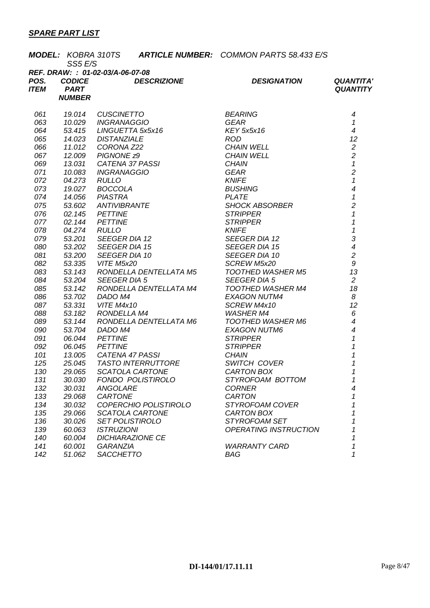|      | SS5 E/S                          |                          |                                                                            | <b>MODEL: KOBRA 310TS ARTICLE NUMBER: COMMON PARTS 58.433 E/S</b>                                                                                                                                                                                         |                            |  |  |  |
|------|----------------------------------|--------------------------|----------------------------------------------------------------------------|-----------------------------------------------------------------------------------------------------------------------------------------------------------------------------------------------------------------------------------------------------------|----------------------------|--|--|--|
|      | REF. DRAW: : 01-02-03/A-06-07-08 |                          |                                                                            |                                                                                                                                                                                                                                                           |                            |  |  |  |
| POS. | <b>CODICE</b>                    |                          | <b>DESCRIZIONE</b>                                                         | <b>DESIGNATION</b>                                                                                                                                                                                                                                        | <b>QUANTITA'</b>           |  |  |  |
| ITEM | <b>PART</b>                      |                          |                                                                            |                                                                                                                                                                                                                                                           | <b>QUANTITY</b>            |  |  |  |
|      | <b>NUMBER</b>                    |                          |                                                                            |                                                                                                                                                                                                                                                           |                            |  |  |  |
|      |                                  |                          |                                                                            | <b>19.014 CUSCINETTO</b><br>19.014 CUSCINETTO<br>19.029 INGRANAGGIO<br>19.029 INGRANAGGIO<br>11.012 CORONA Z22<br>11.012 CORONA Z22<br>11.012 CORONA Z22<br>13.031 CATENA 37 PASSI<br>19.033 INGRANAGGIO<br>19.027 BOCCOLA<br>19.027 BOCCOLA<br>19.027 BO |                            |  |  |  |
| 061  |                                  |                          |                                                                            |                                                                                                                                                                                                                                                           | 4                          |  |  |  |
| 063  |                                  |                          |                                                                            |                                                                                                                                                                                                                                                           | $\boldsymbol{\mathcal{L}}$ |  |  |  |
| 064  |                                  |                          |                                                                            |                                                                                                                                                                                                                                                           | $\overline{4}$             |  |  |  |
| 065  |                                  |                          |                                                                            |                                                                                                                                                                                                                                                           | 12                         |  |  |  |
| 066  |                                  |                          |                                                                            |                                                                                                                                                                                                                                                           | $\overline{c}$             |  |  |  |
| 067  |                                  |                          |                                                                            |                                                                                                                                                                                                                                                           | $\overline{c}$             |  |  |  |
| 069  |                                  |                          |                                                                            |                                                                                                                                                                                                                                                           | $\mathbf{1}$               |  |  |  |
| 071  |                                  |                          |                                                                            |                                                                                                                                                                                                                                                           | $\overline{c}$             |  |  |  |
| 072  |                                  |                          |                                                                            |                                                                                                                                                                                                                                                           | $\mathbf{1}$               |  |  |  |
| 073  |                                  |                          |                                                                            |                                                                                                                                                                                                                                                           | $\overline{\mathcal{A}}$   |  |  |  |
| 074  |                                  |                          |                                                                            |                                                                                                                                                                                                                                                           | $\mathbf{1}$               |  |  |  |
| 075  |                                  |                          |                                                                            |                                                                                                                                                                                                                                                           | $\overline{c}$             |  |  |  |
| 076  |                                  |                          |                                                                            |                                                                                                                                                                                                                                                           | $\mathbf{1}$               |  |  |  |
| 077  |                                  |                          |                                                                            |                                                                                                                                                                                                                                                           | $\mathbf{1}$               |  |  |  |
| 078  |                                  |                          |                                                                            |                                                                                                                                                                                                                                                           | $\overline{1}$             |  |  |  |
| 079  |                                  |                          |                                                                            |                                                                                                                                                                                                                                                           | 3                          |  |  |  |
| 080  |                                  |                          |                                                                            |                                                                                                                                                                                                                                                           | $\overline{\mathcal{A}}$   |  |  |  |
| 081  |                                  |                          |                                                                            |                                                                                                                                                                                                                                                           | $\overline{c}$             |  |  |  |
| 082  | 53.335                           | VITE M5x20               |                                                                            | SCREW M5x20                                                                                                                                                                                                                                               | $\mathfrak g$              |  |  |  |
| 083  | 53.143                           |                          | RONDELLA DENTELLATA M5                                                     | TOOTHED WASHER M5                                                                                                                                                                                                                                         | 13                         |  |  |  |
| 084  | 53.204                           | SEEGER DIA 5             |                                                                            | <b>SEEGER DIA 5</b>                                                                                                                                                                                                                                       | $\overline{2}$             |  |  |  |
| 085  | 53.142                           |                          | RONDELLA DENTELLATA M4                                                     |                                                                                                                                                                                                                                                           | 18                         |  |  |  |
| 086  | 53.702                           | DADO M4                  |                                                                            |                                                                                                                                                                                                                                                           | 8                          |  |  |  |
| 087  | 53.331                           | <b>VITE M4x10</b>        |                                                                            | TOOTHED WASHER M4<br>EXAGON NUTM4<br>SCREW M4x10<br>WASHER M4                                                                                                                                                                                             | 12                         |  |  |  |
| 088  | 53.182                           | RONDELLA M4              |                                                                            |                                                                                                                                                                                                                                                           | 6                          |  |  |  |
| 089  | 53.144                           |                          |                                                                            |                                                                                                                                                                                                                                                           | $\overline{4}$             |  |  |  |
| 090  | 53.704                           |                          | RONDELLA DENTELLATA M6<br>DADO M4<br>PETTINE<br>PETTINE                    |                                                                                                                                                                                                                                                           | $\overline{4}$             |  |  |  |
| 091  | 06.044                           |                          |                                                                            |                                                                                                                                                                                                                                                           | $\mathcal I$               |  |  |  |
| 092  |                                  | 06.045 PETTINE           |                                                                            | <i>WASHER M4<br/>TOOTHED WASHER M6<br/>EXAGON NUTM6<br/>STRIPPER<br/>STRIPPER<br/>CHAIN<br/>CMATON BOX<br/>CARTON BOX</i>                                                                                                                                 | $\overline{1}$             |  |  |  |
| 101  |                                  | 13.005 CATENA 47 PASSI   |                                                                            | <b>CHAIN</b>                                                                                                                                                                                                                                              | 1                          |  |  |  |
| 125  |                                  |                          | 25.045 TASTO INTERRUTTORE SWITCH COVI<br>29.065 SCATOLA CARTONE CARTON BOX |                                                                                                                                                                                                                                                           | 1                          |  |  |  |
| 130  |                                  | 29.065 SCATOLA CARTONE   |                                                                            |                                                                                                                                                                                                                                                           | $\boldsymbol{\mathcal{L}}$ |  |  |  |
| 131  | 30.030                           | <b>FONDO POLISTIROLO</b> |                                                                            | STYROFOAM BOTTOM                                                                                                                                                                                                                                          | 1                          |  |  |  |
| 132  | 30.031                           | ANGOLARE                 |                                                                            | <b>CORNER</b>                                                                                                                                                                                                                                             | 4                          |  |  |  |
| 133  | 29.068                           | CARTONE                  |                                                                            | <b>CARTON</b>                                                                                                                                                                                                                                             | 1                          |  |  |  |
| 134  | 30.032                           | COPERCHIO POLISTIROLO    |                                                                            | STYROFOAM COVER                                                                                                                                                                                                                                           |                            |  |  |  |
| 135  | 29.066                           | SCATOLA CARTONE          |                                                                            | CARTON BOX                                                                                                                                                                                                                                                |                            |  |  |  |
| 136  | 30.026                           | <b>SET POLISTIROLO</b>   |                                                                            | STYROFOAM SET                                                                                                                                                                                                                                             |                            |  |  |  |
| 139  | 60.063                           | <b>ISTRUZIONI</b>        |                                                                            | <b>OPERATING INSTRUCTION</b>                                                                                                                                                                                                                              |                            |  |  |  |
| 140  | 60.004                           | <b>DICHIARAZIONE CE</b>  |                                                                            |                                                                                                                                                                                                                                                           |                            |  |  |  |
| 141  | 60.001                           | <b>GARANZIA</b>          |                                                                            | <b>WARRANTY CARD</b>                                                                                                                                                                                                                                      | 1                          |  |  |  |
| 142  | 51.062                           | <b>SACCHETTO</b>         |                                                                            | BAG                                                                                                                                                                                                                                                       | 1                          |  |  |  |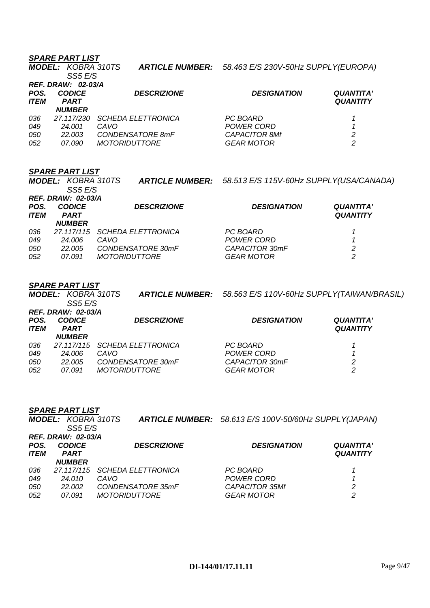|                     | <b>MODEL: KOBRA 310TS</b><br>SS5 E/S                      |                                                  | <b>ARTICLE NUMBER:</b> 58.463 E/S 230V-50Hz SUPPLY(EUROPA) |                                     |
|---------------------|-----------------------------------------------------------|--------------------------------------------------|------------------------------------------------------------|-------------------------------------|
| POS.<br><b>ITEM</b> | <b>REF. DRAW: 02-03/A</b><br><b>CODICE</b><br><b>PART</b> | <b>DESCRIZIONE</b>                               | <b>DESIGNATION</b>                                         | <b>QUANTITA'</b><br><b>QUANTITY</b> |
| 036                 | <b>NUMBER</b><br>27.117/230                               | <b>SCHEDA ELETTRONICA</b>                        | PC BOARD                                                   |                                     |
| 049<br>050<br>052   | 24.001<br>22.003<br>07.090                                | CAVO<br>CONDENSATORE 8mF<br><i>MOTORIDUTTORE</i> | POWER CORD<br><b>CAPACITOR 8Mf</b><br><b>GEAR MOTOR</b>    | 2<br>2                              |

### *SPARE PART LIST*

*MODEL: KOBRA 310TS SS5 E/S ARTICLE NUMBER: 58.513 E/S 115V-60Hz SUPPLY(USA/CANADA) REF. DRAW: 02-03/A POS. CODICE DESCRIZIONE DESIGNATION QUANTITA' ITEM PART NUMBER QUANTITY 036 27.117/115 SCHEDA ELETTRONICA PC BOARD 1 049 24.006 CAVO POWER CORD 1 050 22.005 CONDENSATORE 30mF CAPACITOR 30mF 2*  052 07.091 MOTORIDUTTORE

### *SPARE PART LIST*

*MODEL: KOBRA 310TS SS5 E/S ARTICLE NUMBER: 58.563 E/S 110V-60Hz SUPPLY(TAIWAN/BRASIL) REF. DRAW: 02-03/A POS. CODICE DESCRIZIONE DESIGNATION QUANTITA'*   $PART$ *NUMBER QUANTITY 036 27.117/115 SCHEDA ELETTRONICA PC BOARD 1 049 24.006 CAVO POWER CORD 1 050 22.005 CONDENSATORE 30mF CAPACITOR 30mF 2 052 07.091 MOTORIDUTTORE GEAR MOTOR 2* 

| <b>REF. DRAW: 02-03/A</b> |                              |                                                                   |                                                       |  |  |
|---------------------------|------------------------------|-------------------------------------------------------------------|-------------------------------------------------------|--|--|
| <b>CODICE</b>             | <b>DESCRIZIONE</b>           | <b>DESIGNATION</b>                                                | <b>QUANTITA'</b>                                      |  |  |
|                           |                              |                                                                   | <b>QUANTITY</b>                                       |  |  |
|                           |                              |                                                                   |                                                       |  |  |
| 27.117/115                |                              | PC BOARD                                                          |                                                       |  |  |
| 24.010                    | CAVO.                        | POWER CORD                                                        |                                                       |  |  |
| 22.002                    | CONDENSATORE 35mF            | <b>CAPACITOR 35Mf</b>                                             | 2                                                     |  |  |
| 07.091                    | <i>MOTORIDUTTORE</i>         | <b>GEAR MOTOR</b>                                                 | 2                                                     |  |  |
|                           | <b>PART</b><br><b>NUMBER</b> | <b>MODEL: KOBRA 310TS</b><br>SS5 E/S<br><b>SCHEDA ELETTRONICA</b> | ARTICLE NUMBER: 58.613 E/S 100V-50/60Hz SUPPLY(JAPAN) |  |  |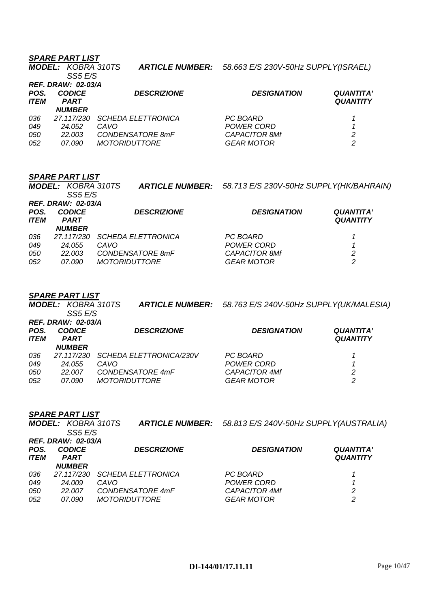|                           | <b>MODEL: KOBRA 310TS</b><br>SS5 E/S |                           | ARTICLE NUMBER: 58.663 E/S 230V-50Hz SUPPLY(ISRAEL) |                                     |  |
|---------------------------|--------------------------------------|---------------------------|-----------------------------------------------------|-------------------------------------|--|
| <b>REF. DRAW: 02-03/A</b> |                                      |                           |                                                     |                                     |  |
| POS.<br><b>ITEM</b>       | <b>CODICE</b><br><b>PART</b>         | <b>DESCRIZIONE</b>        | <b>DESIGNATION</b>                                  | <b>QUANTITA'</b><br><b>QUANTITY</b> |  |
|                           | <b>NUMBER</b>                        |                           |                                                     |                                     |  |
| 036                       | 27.117/230                           | <b>SCHEDA ELETTRONICA</b> | PC BOARD                                            |                                     |  |
| 049                       | 24.052                               | CAVO                      | POWER CORD                                          |                                     |  |
| 050                       | 22.003                               | CONDENSATORE 8mF          | <b>CAPACITOR 8Mf</b>                                | 2                                   |  |
| 052                       | <i>07.090</i>                        | <i>MOTORIDUTTORE</i>      | <b>GEAR MOTOR</b>                                   | 2                                   |  |

### *SPARE PART LIST*

*MODEL: KOBRA 310TS SS5 E/S ARTICLE NUMBER: 58.713 E/S 230V-50Hz SUPPLY(HK/BAHRAIN) REF. DRAW: 02-03/A POS. CODICE DESCRIZIONE DESIGNATION QUANTITA' ITEM PART NUMBER QUANTITY 036 27.117/230 SCHEDA ELETTRONICA PC BOARD 1 049 24.055 CAVO POWER CORD 1 050 22.003 CONDENSATORE 8mF CAPACITOR 8Mf 2 052 07.090 MOTORIDUTTORE GEAR MOTOR 2* 

### *SPARE PART LIST*

|                          | <b>MODEL: KOBRA 310TS</b><br>SS5 E/S                      |                                                                             | <b>ARTICLE NUMBER:</b> 58.763 E/S 240V-50Hz SUPPLY(UK/MALESIA)      |                                     |
|--------------------------|-----------------------------------------------------------|-----------------------------------------------------------------------------|---------------------------------------------------------------------|-------------------------------------|
| POS.<br><b>ITEM</b>      | <b>REF. DRAW: 02-03/A</b><br><b>CODICE</b><br><b>PART</b> | <b>DESCRIZIONE</b>                                                          | <b>DESIGNATION</b>                                                  | <b>QUANTITA'</b><br><b>QUANTITY</b> |
| 036<br>049<br>050<br>052 | <b>NUMBER</b><br>27.117/230<br>24.055<br>22.007<br>07.090 | SCHEDA ELETTRONICA/230V<br>CAVO<br>CONDENSATORE 4mF<br><b>MOTORIDUTTORE</b> | PC BOARD<br>POWER CORD<br><b>CAPACITOR 4Mf</b><br><b>GEAR MOTOR</b> | 2<br>2                              |

|                     | <b>MODEL: KOBRA 310TS</b><br>SS5 E/S | <b>ARTICLE NUMBER:</b>    | 58.813 E/S 240V-50Hz SUPPLY(AUSTRALIA) |                                     |  |  |
|---------------------|--------------------------------------|---------------------------|----------------------------------------|-------------------------------------|--|--|
|                     | <b>REF. DRAW: 02-03/A</b>            |                           |                                        |                                     |  |  |
| POS.<br><b>ITEM</b> | <b>CODICE</b><br><b>PART</b>         | <b>DESCRIZIONE</b>        | <b>DESIGNATION</b>                     | <b>QUANTITA'</b><br><b>QUANTITY</b> |  |  |
|                     | <b>NUMBER</b>                        |                           |                                        |                                     |  |  |
| 036                 | 27.117/230                           | <b>SCHEDA ELETTRONICA</b> | PC BOARD                               |                                     |  |  |
| 049                 | 24.009                               | CAVO                      | POWER CORD                             |                                     |  |  |
| 050                 | 22.007                               | CONDENSATORE 4mF          | <b>CAPACITOR 4Mf</b>                   | 2                                   |  |  |
| 052                 | 07.090                               | <b>MOTORIDUTTORE</b>      | <b>GEAR MOTOR</b>                      | 2                                   |  |  |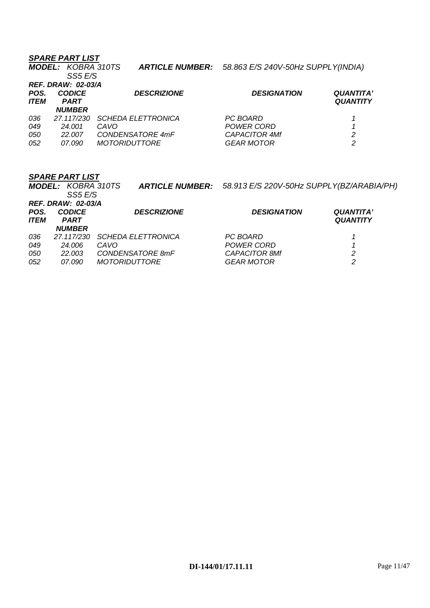|                          | <b>SPARE PART LIST</b><br><b>MODEL: KOBRA 310TS</b><br>SS5 E/S             | <b>ARTICLE NUMBER:</b>                                                        | 58.863 E/S 240V-50Hz SUPPLY(INDIA)                           |                                     |
|--------------------------|----------------------------------------------------------------------------|-------------------------------------------------------------------------------|--------------------------------------------------------------|-------------------------------------|
| POS.<br><b>ITEM</b>      | <b>REF. DRAW: 02-03/A</b><br><b>CODICE</b><br><b>PART</b><br><b>NUMBER</b> | <b>DESCRIZIONE</b>                                                            | <b>DESIGNATION</b>                                           | <b>QUANTITA'</b><br><b>QUANTITY</b> |
| 036<br>049<br>050<br>052 | 27.117/230<br>24.001<br>22.007<br><i>07.090</i>                            | <b>SCHEDA ELETTRONICA</b><br>CAVO<br>CONDENSATORE 4mF<br><i>MOTORIDUTTORE</i> | PC BOARD<br>POWER CORD<br><b>CAPACITOR 4Mf</b><br>GEAR MOTOR | 2<br>2                              |

|             | <b>MODEL: KOBRA 310TS</b><br>SS5 E/S       |                           | ARTICLE NUMBER: 58.913 E/S 220V-50Hz SUPPLY(BZ/ARABIA/PH) |                  |
|-------------|--------------------------------------------|---------------------------|-----------------------------------------------------------|------------------|
| POS.        | <b>REF. DRAW: 02-03/A</b><br><b>CODICE</b> | <b>DESCRIZIONE</b>        | <b>DESIGNATION</b>                                        | <b>QUANTITA'</b> |
| <b>ITEM</b> | <b>PART</b><br><b>NUMBER</b>               |                           |                                                           | <b>QUANTITY</b>  |
| 036         | 27.117/230                                 | <b>SCHEDA ELETTRONICA</b> | PC BOARD                                                  |                  |
| 049         | 24.006                                     | CAVO                      | POWER CORD                                                |                  |
| 050         | 22.003                                     | CONDENSATORE 8mF          | <b>CAPACITOR 8Mf</b>                                      | 2                |
| 052         | 07.090                                     | <i>MOTORIDUTTORE</i>      | <b>GEAR MOTOR</b>                                         | 2                |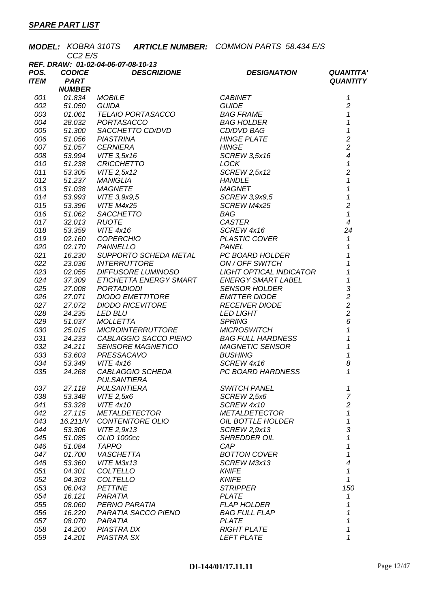|             |                              | <b>MODEL: KOBRA 310TS</b>          |                          | <b>ARTICLE NUMBER:</b> COMMON PARTS 58.434 E/S |                                            |
|-------------|------------------------------|------------------------------------|--------------------------|------------------------------------------------|--------------------------------------------|
|             | CC2 E/S                      |                                    |                          |                                                |                                            |
|             |                              | REF. DRAW: 01-02-04-06-07-08-10-13 |                          |                                                |                                            |
| POS.        | <b>CODICE</b>                |                                    | <b>DESCRIZIONE</b>       | <b>DESIGNATION</b>                             | <b>QUANTITA'</b>                           |
| <b>ITEM</b> | <b>PART</b><br><b>NUMBER</b> |                                    |                          |                                                | <b>QUANTITY</b>                            |
| 001         | 01.834                       | <b>MOBILE</b>                      |                          | <b>CABINET</b>                                 | 1                                          |
| 002         | 51.050                       | <b>GUIDA</b>                       |                          | <b>GUIDE</b>                                   | $\overline{c}$                             |
| 003         | 01.061                       |                                    | TELAIO PORTASACCO        | BAG FRAME                                      | $\mathcal I$                               |
| 004         | 28.032                       | PORTASACCO                         |                          | <b>BAG HOLDER</b>                              | $\mathcal I$                               |
| 005         | 51.300                       |                                    | SACCHETTO CD/DVD         | CD/DVD BAG                                     | $\mathbf{1}$                               |
| 006         | 51.056                       | <b>PIASTRINA</b>                   |                          | <b>HINGE PLATE</b>                             | $\overline{c}$                             |
| 007         | 51.057                       | <b>CERNIERA</b>                    |                          | <b>HINGE</b>                                   | $\overline{c}$                             |
| 008         | 53.994                       | VITE 3,5x16                        |                          | <b>SCREW 3,5x16</b>                            | $\overline{\mathcal{A}}$                   |
| 010         | 51.238                       | <b>CRICCHETTO</b>                  |                          | LOCK                                           | $\mathbf{1}$                               |
| 011         | 53.305                       | VITE 2,5x12                        |                          | SCREW 2,5x12                                   | $\overline{c}$                             |
| 012         | 51.237                       | <b>MANIGLIA</b>                    |                          | <b>HANDLE</b>                                  | $\mathcal I$                               |
| 013         | 51.038                       | <b>MAGNETE</b>                     |                          | <b>MAGNET</b>                                  | $\overline{1}$                             |
| 014         | 53.993                       | VITE 3,9x9,5                       |                          | SCREW 3,9x9,5                                  | $\mathbf 1$                                |
| 015         | 53.396                       | VITE M4x25                         |                          | SCREW M4x25                                    | $\overline{c}$                             |
| 016         | 51.062                       |                                    | SACCHETTO                | <b>BAG</b>                                     | $\mathbf{1}$                               |
| 017         | 32.013                       | <b>RUOTE</b>                       |                          | <b>CASTER</b>                                  | $\overline{4}$                             |
| 018         | 53.359                       | <b>VITE 4x16</b>                   |                          | SCREW 4x16                                     | 24                                         |
| 019         | 02.160                       | <b>COPERCHIO</b>                   |                          | PLASTIC COVER                                  | $\mathbf{1}$                               |
| 020         | 02.170                       | <b>PANNELLO</b>                    |                          | PANEL                                          | $\mathbf{1}$                               |
| 021         | 16.230                       |                                    | SUPPORTO SCHEDA METAL    | PC BOARD HOLDER                                | $\overline{\mathbf{1}}$                    |
| 022         | 23.036                       | <b>INTERRUTTORE</b>                |                          | ON / OFF SWITCH                                | $\mathbf 1$                                |
| 023         | 02.055                       |                                    | DIFFUSORE LUMINOSO       | LIGHT OPTICAL INDICATOR                        | $\boldsymbol{\mathcal{L}}$                 |
| 024         | 37.309                       |                                    | ETICHETTA ENERGY SMART   | <b>ENERGY SMART LABEL</b>                      | $\mathbf{1}$                               |
| 025         | 27.008                       | <b>PORTADIODI</b>                  |                          | <b>SENSOR HOLDER</b>                           |                                            |
| 026         | 27.071                       |                                    | <b>DIODO EMETTITORE</b>  | <b>EMITTER DIODE</b>                           | $\begin{array}{c} 3 \\ 2 \\ 2 \end{array}$ |
| 027         | 27.072                       |                                    | <b>DIODO RICEVITORE</b>  | <b>RECEIVER DIODE</b>                          |                                            |
| 028         | 24.235                       | <b>LED BLU</b>                     |                          | <b>LED LIGHT</b>                               |                                            |
| 029         | 51.037                       | <b>MOLLETTA</b>                    |                          | <b>SPRING</b>                                  | 6                                          |
| 030         | 25.015                       |                                    | <b>MICROINTERRUTTORE</b> | <b>MICROSWITCH</b>                             | $\mathcal{I}$                              |
| 031         | 24.233                       |                                    | CABLAGGIO SACCO PIENO    | <b>BAG FULL HARDNESS</b>                       | $\mathbf{1}$                               |
| 032         | 24.211                       |                                    | <b>SENSORE MAGNETICO</b> | <b>MAGNETIC SENSOR</b>                         | $\mathbf 1$                                |
| 033         | 53.603                       | PRESSACAVO                         |                          | <b>BUSHING</b>                                 | $\mathbf{1}$                               |
| 034         | 53.349                       | <b>VITE 4x16</b>                   |                          | SCREW 4x16                                     | 8                                          |
| 035         | 24.268                       | <b>PULSANTIERA</b>                 | CABLAGGIO SCHEDA         | PC BOARD HARDNESS                              | 1                                          |
| 037         | 27.118                       | <b>PULSANTIERA</b>                 |                          | <b>SWITCH PANEL</b>                            | 1                                          |
| 038         | 53.348                       | VITE 2,5x6                         |                          | SCREW 2,5x6                                    | $\overline{7}$                             |
| 041         | 53.328                       | <b>VITE 4x10</b>                   |                          | SCREW 4x10                                     | $\overline{c}$                             |
| 042         | 27.115                       |                                    | <b>METALDETECTOR</b>     | <b>METALDETECTOR</b>                           | $\mathcal I$                               |
| 043         | 16.211/V                     |                                    | <b>CONTENITORE OLIO</b>  | OIL BOTTLE HOLDER                              | 1                                          |
| 044         | 53.306                       | VITE 2,9x13                        |                          | SCREW 2,9x13                                   | 3                                          |
| 045         | 51.085                       | OLIO 1000cc                        |                          | <b>SHREDDER OIL</b>                            | 1                                          |
| 046         | 51.084                       | <b>TAPPO</b>                       |                          | CAP                                            | 1                                          |
| 047         | 01.700                       | <b>VASCHETTA</b>                   |                          | <b>BOTTON COVER</b>                            | 1                                          |
| 048         | 53.360                       | VITE M3x13                         |                          | SCREW M3x13                                    | $\overline{\mathcal{A}}$                   |
| 051         | 04.301                       | <b>COLTELLO</b>                    |                          | <b>KNIFE</b>                                   | 1<br>$\mathbf{1}$                          |
| 052<br>053  | 04.303<br>06.043             | <b>COLTELLO</b><br><b>PETTINE</b>  |                          | <b>KNIFE</b><br><b>STRIPPER</b>                | 150                                        |
| 054         | 16.121                       | PARATIA                            |                          | <b>PLATE</b>                                   | 1                                          |
| 055         | 08.060                       | PERNO PARATIA                      |                          | <b>FLAP HOLDER</b>                             | 1                                          |
| 056         | 16.220                       |                                    | PARATIA SACCO PIENO      | <b>BAG FULL FLAP</b>                           | 1                                          |
| 057         | 08.070                       | PARATIA                            |                          | <b>PLATE</b>                                   | 1                                          |
| 058         | 14.200                       | PIASTRA DX                         |                          | <b>RIGHT PLATE</b>                             | 1                                          |
| 059         | 14.201                       | <b>PIASTRA SX</b>                  |                          | <b>LEFT PLATE</b>                              | 1                                          |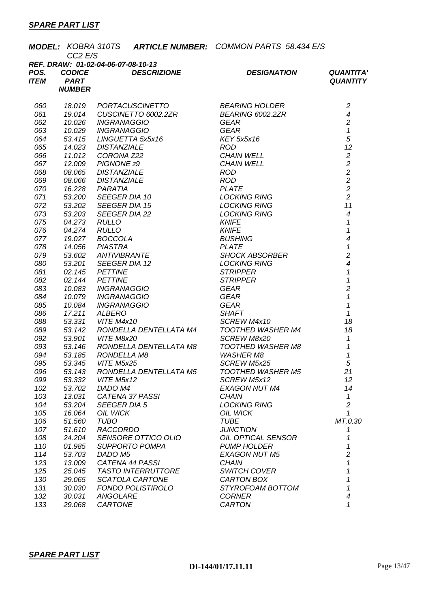|             | <b>MODEL: KOBRA 310TS</b> |                                        | <b>ARTICLE NUMBER:</b> COMMON PARTS 58.434 E/S |                                            |  |  |
|-------------|---------------------------|----------------------------------------|------------------------------------------------|--------------------------------------------|--|--|
|             | CC <sub>2</sub> E/S       | REF. DRAW: 01-02-04-06-07-08-10-13     |                                                |                                            |  |  |
| POS.        | <b>CODICE</b>             | <b>DESCRIZIONE</b>                     | <b>DESIGNATION</b>                             | <b>QUANTITA'</b>                           |  |  |
| <b>ITEM</b> | <b>PART</b>               |                                        |                                                | <b>QUANTITY</b>                            |  |  |
|             | <b>NUMBER</b>             |                                        |                                                |                                            |  |  |
|             |                           |                                        |                                                |                                            |  |  |
| 060         | 18.019                    | <b>PORTACUSCINETTO</b>                 | <b>BEARING HOLDER</b>                          | $\overline{c}$                             |  |  |
| 061         | 19.014                    | CUSCINETTO 6002.2ZR                    | BEARING 6002.2ZR                               | $\overline{4}$                             |  |  |
| 062         | 10.026                    | <b>INGRANAGGIO</b>                     | <b>GEAR</b>                                    | $\overline{c}$                             |  |  |
| 063         | 10.029                    | <b>INGRANAGGIO</b>                     | <b>GEAR</b>                                    | $\mathbf{1}$<br>5                          |  |  |
| 064<br>065  | 53.415<br>14.023          | LINGUETTA 5x5x16<br><b>DISTANZIALE</b> | <b>KEY 5x5x16</b><br><b>ROD</b>                | 12                                         |  |  |
| 066         | 11.012                    | CORONA Z22                             | <b>CHAIN WELL</b>                              | $\sqrt{2}$                                 |  |  |
| 067         | 12.009                    | PIGNONE <sub>z9</sub>                  | <b>CHAIN WELL</b>                              | $\overline{c}$                             |  |  |
| 068         | 08.065                    | <b>DISTANZIALE</b>                     | <b>ROD</b>                                     |                                            |  |  |
| 069         | 08.066                    | <b>DISTANZIALE</b>                     | <b>ROD</b>                                     | $\begin{array}{c} 2 \\ 2 \\ 2 \end{array}$ |  |  |
| 070         | 16.228                    | PARATIA                                | <b>PLATE</b>                                   |                                            |  |  |
| 071         | 53.200                    | <b>SEEGER DIA 10</b>                   | <b>LOCKING RING</b>                            | $\overline{2}$                             |  |  |
| 072         | 53.202                    | <b>SEEGER DIA 15</b>                   | <b>LOCKING RING</b>                            | 11                                         |  |  |
| 073         | 53.203                    | <b>SEEGER DIA 22</b>                   | <b>LOCKING RING</b>                            | $\overline{4}$                             |  |  |
| 075         | 04.273                    | <b>RULLO</b>                           | <b>KNIFE</b>                                   | $\mathcal I$                               |  |  |
| 076         | 04.274                    | <b>RULLO</b>                           | <b>KNIFE</b>                                   | $\mathbf{1}$                               |  |  |
| 077         | 19.027                    | <b>BOCCOLA</b>                         | <b>BUSHING</b>                                 | $\overline{\mathcal{A}}$                   |  |  |
| 078         | 14.056                    | <b>PIASTRA</b>                         | <b>PLATE</b>                                   | $\mathbf{1}$                               |  |  |
| 079         | 53.602                    | ANTIVIBRANTE                           | <b>SHOCK ABSORBER</b>                          | $\overline{c}$                             |  |  |
| 080         | 53.201                    | <b>SEEGER DIA 12</b>                   | <b>LOCKING RING</b>                            | $\overline{\mathcal{A}}$                   |  |  |
| 081         | 02.145                    | <b>PETTINE</b><br><b>PETTINE</b>       | <b>STRIPPER</b><br><b>STRIPPER</b>             | $\mathcal I$<br>$\overline{1}$             |  |  |
| 082<br>083  | 02.144<br>10.083          | <b>INGRANAGGIO</b>                     | GEAR                                           | $\overline{c}$                             |  |  |
| 084         | 10.079                    | <b>INGRANAGGIO</b>                     | GEAR                                           | $\overline{1}$                             |  |  |
| 085         | 10.084                    | <b>INGRANAGGIO</b>                     | GEAR                                           | $\mathcal I$                               |  |  |
| 086         | 17.211                    | <b>ALBERO</b>                          | <b>SHAFT</b>                                   | $\mathcal I$                               |  |  |
| 088         | 53.331                    | VITE M4x10                             | SCREW M4x10                                    | 18                                         |  |  |
| 089         | 53.142                    | RONDELLA DENTELLATA M4                 | <b>TOOTHED WASHER M4</b>                       | 18                                         |  |  |
| 092         | 53.901                    | VITE M8x20                             | SCREW M8x20                                    | 1                                          |  |  |
| 093         | 53.146                    | RONDELLA DENTELLATA M8                 | <b>TOOTHED WASHER M8</b>                       | $\mathbf 1$                                |  |  |
| 094         | 53.185                    | RONDELLA M8                            | <b>WASHER M8</b>                               | 1                                          |  |  |
| 095         | 53.345                    | VITE M5x25                             | SCREW M5x25                                    | 5                                          |  |  |
| 096         | 53.143                    | RONDELLA DENTELLATA M5                 | <b>TOOTHED WASHER M5</b>                       | 21                                         |  |  |
| 099         | 53.332                    | VITE M5x12                             | SCREW M5x12                                    | 12                                         |  |  |
| 102         | 53.702                    | DADO M4                                | <b>EXAGON NUT M4</b>                           | 14                                         |  |  |
| 103<br>104  | 13.031<br>53.204          | CATENA 37 PASSI<br><b>SEEGER DIA 5</b> | <b>CHAIN</b><br><b>LOCKING RING</b>            | 1<br>$\overline{c}$                        |  |  |
| 105         | 16.064                    | OIL WICK                               | OIL WICK                                       | $\mathcal I$                               |  |  |
| 106         | 51.560                    | <b>TUBO</b>                            | <b>TUBE</b>                                    | MT.0,30                                    |  |  |
| 107         | 51.610                    | <b>RACCORDO</b>                        | <b>JUNCTION</b>                                | 1                                          |  |  |
| 108         | 24.204                    | SENSORE OTTICO OLIO                    | OIL OPTICAL SENSOR                             | 1                                          |  |  |
| 110         | 01.985                    | <b>SUPPORTO POMPA</b>                  | <b>PUMP HOLDER</b>                             | 1                                          |  |  |
| 114         | 53.703                    | DADO M5                                | <b>EXAGON NUT M5</b>                           | $\overline{c}$                             |  |  |
| 123         | 13.009                    | CATENA 44 PASSI                        | <b>CHAIN</b>                                   | 1                                          |  |  |
| 125         | 25.045                    | <b>TASTO INTERRUTTORE</b>              | <b>SWITCH COVER</b>                            | 1                                          |  |  |
| 130         | 29.065                    | SCATOLA CARTONE                        | CARTON BOX                                     | 1                                          |  |  |
| 131         | 30.030                    | <b>FONDO POLISTIROLO</b>               | STYROFOAM BOTTOM                               | 1                                          |  |  |
| 132         | 30.031                    | ANGOLARE                               | <b>CORNER</b>                                  | $\boldsymbol{4}$                           |  |  |
| 133         | 29.068                    | CARTONE                                | <b>CARTON</b>                                  | 1                                          |  |  |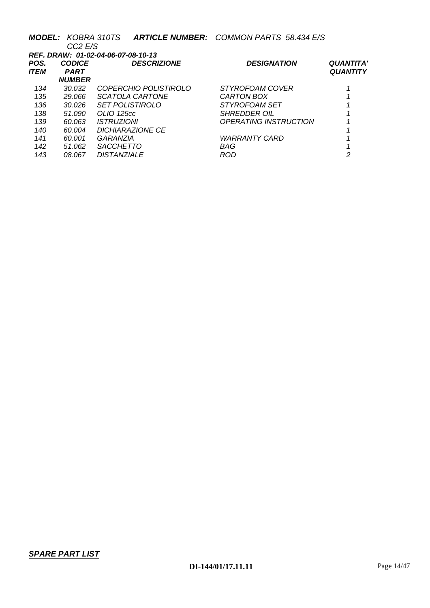|      | <b>MODEL: KOBRA 310TS</b>          |                          | <b>ARTICLE NUMBER: COMMON PARTS 58.434 E/S</b> |                  |  |  |  |
|------|------------------------------------|--------------------------|------------------------------------------------|------------------|--|--|--|
|      | CC <sub>2</sub> E/S                |                          |                                                |                  |  |  |  |
|      | REF. DRAW: 01-02-04-06-07-08-10-13 |                          |                                                |                  |  |  |  |
| POS. | <b>CODICE</b>                      | <b>DESCRIZIONE</b>       | <b>DESIGNATION</b>                             | <b>QUANTITA'</b> |  |  |  |
| ITEM | <b>PART</b>                        |                          |                                                | <b>QUANTITY</b>  |  |  |  |
|      | <b>NUMBER</b>                      |                          |                                                |                  |  |  |  |
| 134  | 30.032                             | COPERCHIO POLISTIROLO    | <i>STYROFOAM COVER</i>                         |                  |  |  |  |
| 135  | 29.066                             | SCATOLA CARTONE          | CARTON BOX                                     |                  |  |  |  |
| 136  | 30.026                             | <b>SET POLISTIROLO</b>   | STYROFOAM SET                                  |                  |  |  |  |
| 138  | 51.090                             | OLIO 125cc               | <i>SHREDDER OIL</i>                            |                  |  |  |  |
| 139  | 60.063                             | <i><b>ISTRUZIONI</b></i> | OPERATING INSTRUCTION                          |                  |  |  |  |
| 140  | 60.004                             | <b>DICHIARAZIONE CE</b>  |                                                |                  |  |  |  |
| 141  | 60.001                             | GARANZIA                 | <b>WARRANTY CARD</b>                           |                  |  |  |  |
| 142  | 51.062                             | <b>SACCHETTO</b>         | BAG                                            |                  |  |  |  |
| 143  | 08.067                             | <b>DISTANZIALE</b>       | ROD                                            | 2                |  |  |  |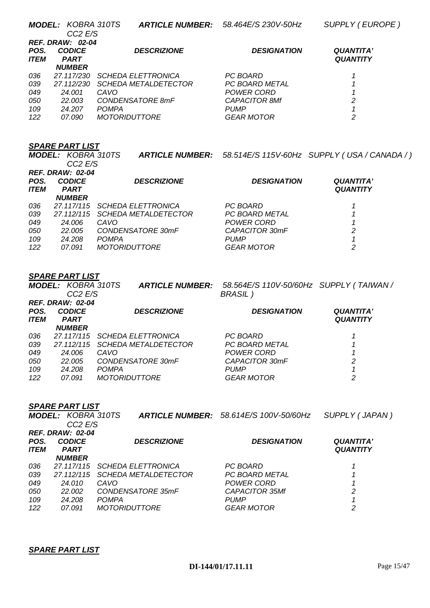|      | <b>MODEL: KOBRA 310TS</b> |                             |                    | ARTICLE NUMBER: 58.514E/S 115V-60Hz SUPPLY (USA / CANADA / ) |
|------|---------------------------|-----------------------------|--------------------|--------------------------------------------------------------|
|      | CC2 E/S                   |                             |                    |                                                              |
|      | <b>REF. DRAW: 02-04</b>   |                             |                    |                                                              |
| POS. | <b>CODICE</b>             | <b>DESCRIZIONE</b>          | <b>DESIGNATION</b> | <b>QUANTITA'</b>                                             |
| ITEM | <b>PART</b>               |                             |                    | <b>QUANTITY</b>                                              |
|      | <b>NUMBER</b>             |                             |                    |                                                              |
| 036  | 27.117/115                | SCHEDA ELETTRONICA          | PC BOARD           |                                                              |
| 039  | 27.112/115                | <b>SCHEDA METALDETECTOR</b> | PC BOARD METAL     |                                                              |
| 049  | 24.006                    | CAVO                        | POWER CORD         |                                                              |
| 050  | 22,005                    | CONDENSATORE 30mF           | CAPACITOR 30mF     | 2                                                            |
| 109  | 24.208                    | <b>POMPA</b>                | <b>PUMP</b>        |                                                              |
| 122  | 07.091                    | <i>MOTORIDUTTORE</i>        | <b>GEAR MOTOR</b>  | 2                                                            |
|      |                           |                             |                    |                                                              |

### *SPARE PART LIST*

|                         | <b>MODEL: KOBRA 310TS</b><br>CC <sub>2</sub> E/S | <b>ARTICLE NUMBER:</b>      | 58.564E/S 110V-50/60Hz SUPPLY (TAIWAN /<br><b>BRASIL</b> ) |                  |  |
|-------------------------|--------------------------------------------------|-----------------------------|------------------------------------------------------------|------------------|--|
| <b>REF. DRAW: 02-04</b> |                                                  |                             |                                                            |                  |  |
| POS.                    | <b>CODICE</b>                                    | <b>DESCRIZIONE</b>          | <b>DESIGNATION</b>                                         | <b>QUANTITA'</b> |  |
| <b>ITEM</b>             | <b>PART</b>                                      |                             |                                                            | <b>QUANTITY</b>  |  |
|                         | <b>NUMBER</b>                                    |                             |                                                            |                  |  |
| 036                     | 27.117/115                                       | <b>SCHEDA ELETTRONICA</b>   | PC BOARD                                                   |                  |  |
| 039                     | 27.112/115                                       | <b>SCHEDA METALDETECTOR</b> | <b>PC BOARD METAL</b>                                      |                  |  |
| 049                     | 24.006                                           | CAVO                        | POWER CORD                                                 |                  |  |
| 050                     | 22.005                                           | CONDENSATORE 30mF           | CAPACITOR 30mF                                             | 2                |  |
| 109                     | 24.208                                           | <b>POMPA</b>                | <b>PUMP</b>                                                |                  |  |
| 122                     | 07.091                                           | <i>MOTORIDUTTORE</i>        | <b>GEAR MOTOR</b>                                          | 2                |  |

|             | <b>SPARE PART LIST</b>    |              |                             |                                               |                  |
|-------------|---------------------------|--------------|-----------------------------|-----------------------------------------------|------------------|
|             | <b>MODEL: KOBRA 310TS</b> |              |                             | <b>ARTICLE NUMBER:</b> 58.614E/S 100V-50/60Hz | SUPPLY (JAPAN)   |
|             | CC2 E/S                   |              |                             |                                               |                  |
|             | <b>REF. DRAW: 02-04</b>   |              |                             |                                               |                  |
| POS.        | <b>CODICE</b>             |              | <b>DESCRIZIONE</b>          | <b>DESIGNATION</b>                            | <b>QUANTITA'</b> |
| <b>ITEM</b> | <b>PART</b>               |              |                             |                                               | <b>QUANTITY</b>  |
|             | <b>NUMBER</b>             |              |                             |                                               |                  |
| 036         | 27.117/115                |              | <b>SCHEDA ELETTRONICA</b>   | PC BOARD                                      |                  |
| 039         | 27.112/115                |              | <i>SCHEDA METALDETECTOR</i> | PC BOARD METAL                                |                  |
| 049         | 24.010                    | CAVO         |                             | POWER CORD                                    |                  |
| 050         | 22.002                    |              | CONDENSATORE 35mF           | CAPACITOR 35Mf                                | 2                |
| 109         | 24,208                    | <b>POMPA</b> |                             | <b>PUMP</b>                                   |                  |
| 122         | 07.091                    |              | <b>MOTORIDUTTORE</b>        | <b>GEAR MOTOR</b>                             | 2                |
|             |                           |              |                             |                                               |                  |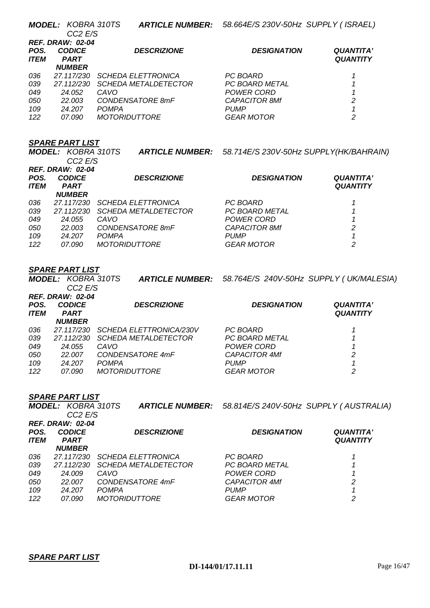|             | <b>MODEL: KOBRA 310TS</b><br>CC <sub>2</sub> E/S |                             | ARTICLE NUMBER: 58.664E/S 230V-50Hz SUPPLY (ISRAEL) |                  |  |  |  |
|-------------|--------------------------------------------------|-----------------------------|-----------------------------------------------------|------------------|--|--|--|
|             | <b>REF. DRAW: 02-04</b>                          |                             |                                                     |                  |  |  |  |
| POS.        | <b>CODICE</b>                                    | <b>DESCRIZIONE</b>          | <b>DESIGNATION</b>                                  | <b>QUANTITA'</b> |  |  |  |
| <b>ITEM</b> | <b>PART</b>                                      |                             |                                                     | <b>QUANTITY</b>  |  |  |  |
|             | <b>NUMBER</b>                                    |                             |                                                     |                  |  |  |  |
| 036         | 27.117/230                                       | <b>SCHEDA ELETTRONICA</b>   | PC BOARD                                            |                  |  |  |  |
| 039         | 27.112/230                                       | <i>SCHEDA METALDETECTOR</i> | PC BOARD METAL                                      |                  |  |  |  |
| 049         | 24.052                                           | CAVO                        | POWER CORD                                          |                  |  |  |  |
| 050         | 22.003                                           | CONDENSATORE 8mF            | <b>CAPACITOR 8Mf</b>                                | 2                |  |  |  |
| 109         | 24.207                                           | <b>POMPA</b>                | <b>PUMP</b>                                         |                  |  |  |  |
| 122         | 07.090                                           | <i>MOTORIDUTTORE</i>        | <b>GEAR MOTOR</b>                                   | 2                |  |  |  |

|             | <b>MODEL: KOBRA 310TS</b> | <b>ARTICLE NUMBER:</b>      | 58.714E/S 230V-50Hz SUPPLY(HK/BAHRAIN) |                  |  |  |  |  |
|-------------|---------------------------|-----------------------------|----------------------------------------|------------------|--|--|--|--|
|             | CC <sub>2</sub> E/S       |                             |                                        |                  |  |  |  |  |
|             | <b>REF. DRAW: 02-04</b>   |                             |                                        |                  |  |  |  |  |
| POS.        | <b>CODICE</b>             | <b>DESCRIZIONE</b>          | <b>DESIGNATION</b>                     | <b>QUANTITA'</b> |  |  |  |  |
| <b>ITEM</b> | <b>PART</b>               |                             |                                        | <b>QUANTITY</b>  |  |  |  |  |
|             | <b>NUMBER</b>             |                             |                                        |                  |  |  |  |  |
| 036         | 27.117/230                | <b>SCHEDA ELETTRONICA</b>   | PC BOARD                               |                  |  |  |  |  |
| 039         | 27.112/230                | <i>SCHEDA METALDETECTOR</i> | PC BOARD METAL                         |                  |  |  |  |  |
| 049         | 24.055                    | CAVO                        | POWER CORD                             |                  |  |  |  |  |
| 050         | 22.003                    | CONDENSATORE 8mF            | <b>CAPACITOR 8Mf</b>                   | 2                |  |  |  |  |
| 109         | 24.207                    | <b>POMPA</b>                | <b>PUMP</b>                            |                  |  |  |  |  |
| 122         | 07.090                    | <i>MOTORIDUTTORE</i>        | <b>GEAR MOTOR</b>                      | 2                |  |  |  |  |

### *SPARE PART LIST*

*MODEL: KOBRA 310TS CC2 E/S ARTICLE NUMBER: 58.764E/S 240V-50Hz SUPPLY ( UK/MALESIA) REF. DRAW: 02-04 POS. CODICE DESCRIZIONE DESIGNATION QUANTITA'*   $PART$ *NUMBER QUANTITY 036 27.117/230 SCHEDA ELETTRONICA/230V PC BOARD 1 039 27.112/230 SCHEDA METALDETECTOR PC BOARD METAL 1 049 24.055 CAVO POWER CORD 1 050 22.007 CONDENSATORE 4mF CAPACITOR 4Mf 2 109 24.207 POMPA PUMP 1 122 07.090 MOTORIDUTTORE GEAR MOTOR 2* 

### *SPARE PART LIST*

|                     | <b>MODEL: KOBRA 310TS</b><br>CC <sub>2</sub> E/S |                             | <b>ARTICLE NUMBER:</b> 58.814E/S 240V-50Hz SUPPLY (AUSTRALIA) |                                     |  |  |  |  |
|---------------------|--------------------------------------------------|-----------------------------|---------------------------------------------------------------|-------------------------------------|--|--|--|--|
|                     | <b>REF. DRAW: 02-04</b>                          |                             |                                                               |                                     |  |  |  |  |
| POS.<br><b>ITEM</b> | <b>CODICE</b><br><b>PART</b>                     | <b>DESCRIZIONE</b>          | <b>DESIGNATION</b>                                            | <b>QUANTITA'</b><br><b>QUANTITY</b> |  |  |  |  |
|                     | <b>NUMBER</b>                                    |                             |                                                               |                                     |  |  |  |  |
| 036                 | 27.117/230                                       | <b>SCHEDA ELETTRONICA</b>   | PC BOARD                                                      |                                     |  |  |  |  |
| 039                 | 27.112/230                                       | <b>SCHEDA METALDETECTOR</b> | PC BOARD METAL                                                |                                     |  |  |  |  |
| 049                 | 24.009                                           | CAVO                        | POWER CORD                                                    |                                     |  |  |  |  |
| 050                 | 22.007                                           | CONDENSATORE 4mF            | <b>CAPACITOR 4Mf</b>                                          | 2                                   |  |  |  |  |
| 109                 | 24.207                                           | <b>POMPA</b>                | <b>PUMP</b>                                                   |                                     |  |  |  |  |
| 122                 | <i>07.090</i>                                    | <i>MOTORIDUTTORE</i>        | <b>GEAR MOTOR</b>                                             | 2                                   |  |  |  |  |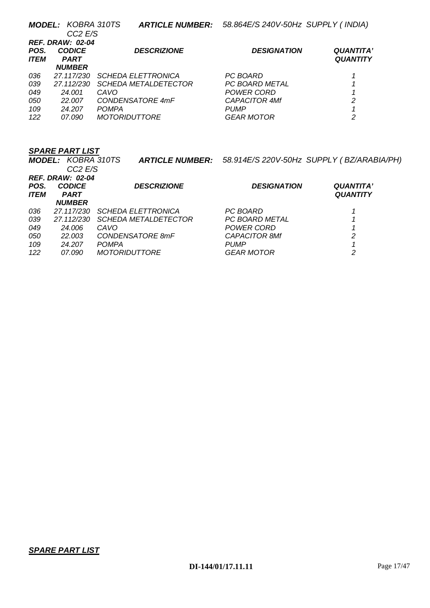|             | <b>MODEL: KOBRA 310TS</b> | <b>ARTICLE NUMBER:</b>      | 58.864E/S 240V-50Hz SUPPLY (INDIA) |                  |  |  |  |  |
|-------------|---------------------------|-----------------------------|------------------------------------|------------------|--|--|--|--|
|             | CC <sub>2</sub> E/S       |                             |                                    |                  |  |  |  |  |
|             | <b>REF. DRAW: 02-04</b>   |                             |                                    |                  |  |  |  |  |
| POS.        | <b>CODICE</b>             | <b>DESCRIZIONE</b>          | <b>DESIGNATION</b>                 | <b>QUANTITA'</b> |  |  |  |  |
| <b>ITEM</b> | <b>PART</b>               |                             |                                    | <b>QUANTITY</b>  |  |  |  |  |
|             | <b>NUMBER</b>             |                             |                                    |                  |  |  |  |  |
| 036         | 27.117/230                | <b>SCHEDA ELETTRONICA</b>   | PC BOARD                           |                  |  |  |  |  |
| 039         | 27.112/230                | <i>SCHEDA METALDETECTOR</i> | PC BOARD METAL                     |                  |  |  |  |  |
| 049         | 24.001                    | CAVO                        | POWER CORD                         |                  |  |  |  |  |
| 050         | 22.007                    | CONDENSATORE 4mF            | <b>CAPACITOR 4Mf</b>               | 2                |  |  |  |  |
| 109         | 24.207                    | <b>POMPA</b>                | <b>PUMP</b>                        |                  |  |  |  |  |
| 122         | 07.090                    | <i>MOTORIDUTTORE</i>        | <b>GEAR MOTOR</b>                  | 2                |  |  |  |  |

|             | <b>MODEL: KOBRA 310TS</b> |                             | ARTICLE NUMBER: 58.914E/S 220V-50Hz SUPPLY (BZ/ARABIA/PH) |                  |  |  |  |  |
|-------------|---------------------------|-----------------------------|-----------------------------------------------------------|------------------|--|--|--|--|
|             | CC <sub>2</sub> E/S       |                             |                                                           |                  |  |  |  |  |
|             | <b>REF. DRAW: 02-04</b>   |                             |                                                           |                  |  |  |  |  |
| POS.        | <b>CODICE</b>             | <b>DESCRIZIONE</b>          | <b>DESIGNATION</b>                                        | <b>QUANTITA'</b> |  |  |  |  |
| <b>ITEM</b> | <b>PART</b>               |                             |                                                           | <b>QUANTITY</b>  |  |  |  |  |
|             | <b>NUMBER</b>             |                             |                                                           |                  |  |  |  |  |
| 036         | 27.117/230                | <i>SCHEDA ELETTRONICA</i>   | PC BOARD                                                  |                  |  |  |  |  |
| 039         | 27.112/230                | <i>SCHEDA METALDETECTOR</i> | <b>PC BOARD METAL</b>                                     |                  |  |  |  |  |
| 049         | 24.006                    | CAVO                        | POWER CORD                                                |                  |  |  |  |  |
| 050         | 22.003                    | CONDENSATORE 8mF            | <b>CAPACITOR 8Mf</b>                                      | 2                |  |  |  |  |
| 109         | 24.207                    | <b>POMPA</b>                | <b>PUMP</b>                                               |                  |  |  |  |  |
| 122         | 07.090                    | <i>MOTORIDUTTORE</i>        | GEAR MOTOR                                                | 2                |  |  |  |  |
|             |                           |                             |                                                           |                  |  |  |  |  |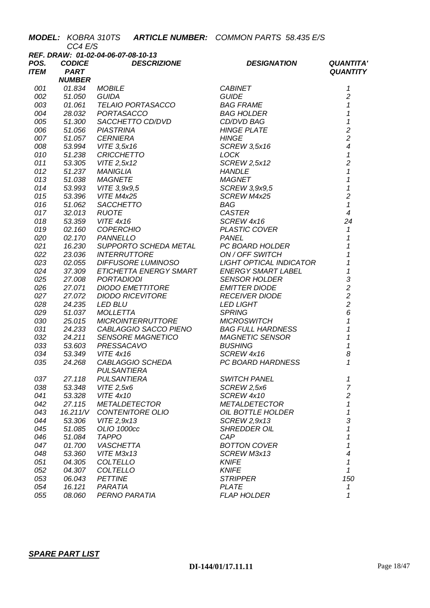|              |               | <b>MODEL: KOBRA 310TS ARTICLE NUMBER: COMMON PARTS 58.435 E/S</b> |                           |                          |
|--------------|---------------|-------------------------------------------------------------------|---------------------------|--------------------------|
|              | CC4 E/S       |                                                                   |                           |                          |
|              | <b>CODICE</b> | REF. DRAW: 01-02-04-06-07-08-10-13<br><b>DESCRIZIONE</b>          |                           | <b>QUANTITA'</b>         |
| POS.<br>ITEM | <b>PART</b>   |                                                                   | <b>DESIGNATION</b>        | <b>QUANTITY</b>          |
|              | <b>NUMBER</b> |                                                                   |                           |                          |
| 001          | 01.834        | <b>MOBILE</b>                                                     | <b>CABINET</b>            | 1                        |
| 002          | 51.050        | GUIDA                                                             | <b>GUIDE</b>              | $\overline{2}$           |
| 003          | 01.061        | TELAIO PORTASACCO                                                 | <i>BAG FRAME</i>          | $\mathcal I$             |
| 004          | 28.032        | PORTASACCO                                                        | <b>BAG HOLDER</b>         | $\mathcal I$             |
| 005          | 51.300        | SACCHETTO CD/DVD                                                  | CD/DVD BAG                | $\mathbf{1}$             |
| 006          | 51.056        | <b>PIASTRINA</b>                                                  | <b>HINGE PLATE</b>        | $\overline{c}$           |
| 007          | 51.057        | <b>CERNIERA</b>                                                   | <b>HINGE</b>              | $\overline{c}$           |
| 008          | 53.994        | VITE 3,5x16                                                       | <b>SCREW 3,5x16</b>       | $\overline{\mathcal{A}}$ |
| 010          | 51.238        | <b>CRICCHETTO</b>                                                 | <b>LOCK</b>               | $\pmb{\mathcal{1}}$      |
| 011          | 53.305        | VITE 2,5x12                                                       | <b>SCREW 2,5x12</b>       | $\overline{c}$           |
| 012          | 51.237        | MANIGLIA                                                          | <b>HANDLE</b>             | $\mathbf{1}$             |
| 013          | 51.038        | <b>MAGNETE</b>                                                    | <b>MAGNET</b>             | $\overline{1}$           |
| 014          | 53.993        | VITE 3,9x9,5                                                      | SCREW 3,9x9,5             | $\mathbf{1}$             |
| 015          | 53.396        | VITE M4x25                                                        | SCREW M4x25               | $\overline{c}$           |
| 016          | 51.062        | <b>SACCHETTO</b>                                                  | BAG                       | $\mathcal I$             |
| 017          | 32.013        | <b>RUOTE</b>                                                      | <b>CASTER</b>             | $\overline{4}$           |
| 018          | 53.359        | <b>VITE 4x16</b>                                                  | SCREW 4x16                | 24                       |
| 019          | 02.160        | <b>COPERCHIO</b>                                                  | PLASTIC COVER             | $\mathbf{1}$             |
| 020          | 02.170        | <b>PANNELLO</b>                                                   | <b>PANEL</b>              | $\mathbf 1$              |
| 021          | 16.230        | SUPPORTO SCHEDA METAL                                             | PC BOARD HOLDER           | $\overline{1}$           |
| 022          | 23.036        | <b>INTERRUTTORE</b>                                               | ON / OFF SWITCH           | 1                        |
| 023          | 02.055        | DIFFUSORE LUMINOSO                                                | LIGHT OPTICAL INDICATOR   | $\overline{1}$           |
| 024          | 37.309        | ETICHETTA ENERGY SMART                                            | <b>ENERGY SMART LABEL</b> | $\mathbf{1}$             |
| 025          | 27.008        | <b>PORTADIODI</b>                                                 | <b>SENSOR HOLDER</b>      | 3                        |
| 026          | 27.071        | <b>DIODO EMETTITORE</b>                                           | <b>EMITTER DIODE</b>      | $\overline{2}$           |
| 027          | 27.072        | <b>DIODO RICEVITORE</b>                                           | <b>RECEIVER DIODE</b>     | $\overline{c}$           |
| 028          | 24.235        | <b>LED BLU</b>                                                    | <b>LED LIGHT</b>          | $\overline{a}$           |
| 029          | 51.037        | <b>MOLLETTA</b>                                                   | <b>SPRING</b>             | 6                        |
| 030          | 25.015        | <b>MICROINTERRUTTORE</b>                                          | <b>MICROSWITCH</b>        | $\mathbf{1}$             |
| 031          | 24.233        | CABLAGGIO SACCO PIENO                                             | <b>BAG FULL HARDNESS</b>  | $\overline{\mathbf{1}}$  |
| 032          | 24.211        | <b>SENSORE MAGNETICO</b>                                          | <b>MAGNETIC SENSOR</b>    | $\mathbf 1$              |
| 033          | 53.603        | PRESSACAVO                                                        | <b>BUSHING</b>            | 1                        |
| 034          | 53.349        | <b>VITE 4x16</b>                                                  | SCREW 4x16                | 8                        |
| 035          | 24.268        | CABLAGGIO SCHEDA                                                  | PC BOARD HARDNESS         | 1                        |
|              |               | <b>PULSANTIERA</b>                                                |                           |                          |
| 037          | 27.118        | <b>PULSANTIERA</b>                                                | <b>SWITCH PANEL</b>       | 1                        |
| 038          | 53.348        | VITE 2,5x6                                                        | SCREW 2,5x6               | $\overline{7}$           |
| 041          | 53.328        | <b>VITE 4x10</b>                                                  | SCREW 4x10                | $\overline{c}$           |
| 042          | 27.115        | <b>METALDETECTOR</b>                                              | <b>METALDETECTOR</b>      | $\mathbf{1}$             |
| 043          | 16.211/V      | CONTENITORE OLIO                                                  | OIL BOTTLE HOLDER         | 1                        |
| 044          | 53.306        | VITE 2,9x13                                                       | SCREW 2,9x13              | 3                        |
| 045          | 51.085        | OLIO 1000cc                                                       | <b>SHREDDER OIL</b>       | 1                        |
| 046          | 51.084        | <b>TAPPO</b>                                                      | CAP                       | 1                        |
| 047          | 01.700        | <b>VASCHETTA</b>                                                  | <b>BOTTON COVER</b>       | 1                        |
| 048          | 53.360        | VITE M3x13                                                        | SCREW M3x13               | $\overline{\mathcal{A}}$ |
| 051          | 04.305        | COLTELLO                                                          | <b>KNIFE</b>              | 1                        |
| 052          | 04.307        | <b>COLTELLO</b>                                                   | <b>KNIFE</b>              | 1                        |
| 053          | 06.043        | <b>PETTINE</b>                                                    | <b>STRIPPER</b>           | 150                      |
| 054<br>055   | 16.121        | PARATIA                                                           | <b>PLATE</b>              | 1                        |
|              | 08.060        | PERNO PARATIA                                                     | <b>FLAP HOLDER</b>        | 1                        |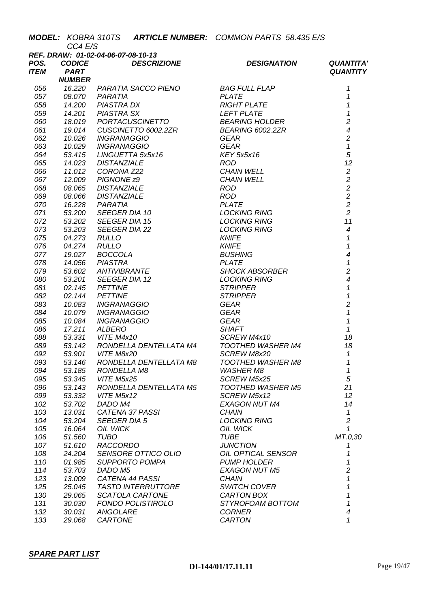| REF. DRAW: 01-02-04-06-07-08-10-13<br><b>DESCRIZIONE</b><br><b>CODICE</b><br>POS.<br><b>DESIGNATION</b><br><b>QUANTITA'</b><br>ITEM<br><b>PART</b><br><b>QUANTITY</b><br><b>NUMBER</b><br>16.220<br>PARATIA SACCO PIENO BAG FULL FLAP<br>1<br>056<br>1<br>057<br><b>PLATE</b><br>08.070<br>PARATIA<br><i>PIASTRA DX<br/>PIASTRA SX<br/>PODTACI</i><br>$\mathbf{1}$<br>058<br>14.200<br>MATHAM RIGHT PLATE<br>PASTRA SX<br>PORTACUSCINETTO<br>CUSCINETTO 6002.22R<br>INGRANAGGIO<br>INGRANAGGIO<br>INGRANAGGIO<br>INGRANAGGIO<br>CORONA Z22<br>LINGUETTA 5x5x16<br>DISTANZIALE<br>PIGNONE 29<br>CHAIN WELL<br>PIGNONE 29<br>CHAIN WELL<br>PIGNONE 29<br>$\mathbf{1}$<br>059<br>14.201<br>$\overline{c}$<br>060<br>18.019<br>$\overline{\mathcal{A}}$<br>061<br>19.014<br>$\overline{c}$<br>062<br>10.026<br>$\mathbf{1}$<br>063<br>10.029<br>5<br>064<br>53.415<br>12<br>065<br>14.023<br>$\sqrt{2}$<br>066<br>11.012<br>$\overline{c}$<br>067<br>12.009<br>$\overline{c}$<br>068<br>08.065<br>$\overline{c}$<br>069<br>08.066<br>$\overline{c}$<br>070<br>16.228<br>$\overline{c}$<br>071<br>53.200<br>11<br>072<br>53.202<br>$\overline{4}$<br>073<br>53.203<br>$\mathbf 1$<br>075<br>04.273<br>1<br>076<br>04.274<br>$\overline{4}$<br>077<br>19.027<br>$\overline{1}$<br>078<br>14.056<br>$\overline{2}$<br>079<br>53.602<br>ANTIVIBRANTE<br>SEEGER DIA 12<br>PETTINE<br>PETTINE<br>INGRANAGGIO<br>INGRANAGGIO<br>INGRANAGGIO<br>INGRANAGGIO<br>INGRANAGGIO<br>CEAR<br>ALBERO<br>CEAR<br>ALBERO<br>SHAFT<br>VITE M4x10<br>SCREW M4x10<br>$\overline{4}$<br>080<br>53.201<br>$\mathbf{1}$<br>081<br>02.145<br>$\overline{1}$<br>082<br>02.144<br><i><b>STRIPPER<br/>GEAR<br/>GEAR<br/>GEAR<br/>SHAFT<br/>SCREW M4x10<br/>TOOTHER WAS</b></i><br>$\overline{c}$<br>083<br>10.083<br>$\mathbf{1}$<br>084<br>10.079<br>$\mathbf{1}$<br>085<br>10.084<br>$\mathcal I$<br>086<br>17.211<br>53.331 VITE M4x10<br>18<br>088<br>RONDELLA DENTELLATA M4<br>18<br>089<br>TOOTHED WASHER M4<br>53.142<br>092<br>53.901 VITE M8x20<br>SCREW M8x20<br>$\mathbf{1}$<br>53.146<br>RONDELLA DENTELLATA M8<br><b>TOOTHED WASHER M8</b><br>093<br>1<br>094<br>1<br>53.185<br><b>RONDELLA M8</b><br><b>WASHER M8</b><br>$\overline{5}$<br>095<br>53.345<br>VITE M5x25<br>SCREW M5x25<br>21<br>096<br>RONDELLA DENTELLATA M5<br><b>TOOTHED WASHER M5</b><br>53.143<br>099<br>12<br>VITE M5x12<br>SCREW M5x12<br>53.332<br>102<br>14<br>53.702<br>DADO M4<br><b>EXAGON NUT M4</b><br>103<br>CATENA 37 PASSI<br>$\mathbf{1}$<br>13.031<br><b>CHAIN</b><br>$\overline{c}$<br>104<br><b>LOCKING RING</b><br>53.204<br><b>SEEGER DIA 5</b><br>105<br>$\mathcal I$<br>16.064<br>OIL WICK<br>OIL WICK<br>MT.0,30<br>106<br><b>TUBO</b><br><b>TUBE</b><br>51.560<br>107<br><b>RACCORDO</b><br>51.610<br><b>JUNCTION</b><br>1<br>108<br>SENSORE OTTICO OLIO<br>OIL OPTICAL SENSOR<br>24.204<br>1<br>110<br>1<br><b>SUPPORTO POMPA</b><br><b>PUMP HOLDER</b><br>01.985<br>$\overline{c}$<br>114<br>53.703<br>DADO M5<br><b>EXAGON NUT M5</b><br>1<br>123<br>13.009<br>CATENA 44 PASSI<br><b>CHAIN</b><br>1<br>125<br>25.045<br>TASTO INTERRUTTORE<br><b>SWITCH COVER</b><br>1<br>130<br>SCATOLA CARTONE<br>CARTON BOX<br>29.065<br>$\mathcal I$<br>131<br>30.030<br><b>FONDO POLISTIROLO</b><br>STYROFOAM BOTTOM<br>$\overline{\mathcal{A}}$<br>132<br>30.031<br>ANGOLARE<br><b>CORNER</b><br>1<br>133<br>CARTONE<br><b>CARTON</b><br>29.068 | CC4 E/S |  | MODEL: KOBRA 310TS ARTICLE NUMBER: COMMON PARTS 58.435 E/S |  |
|------------------------------------------------------------------------------------------------------------------------------------------------------------------------------------------------------------------------------------------------------------------------------------------------------------------------------------------------------------------------------------------------------------------------------------------------------------------------------------------------------------------------------------------------------------------------------------------------------------------------------------------------------------------------------------------------------------------------------------------------------------------------------------------------------------------------------------------------------------------------------------------------------------------------------------------------------------------------------------------------------------------------------------------------------------------------------------------------------------------------------------------------------------------------------------------------------------------------------------------------------------------------------------------------------------------------------------------------------------------------------------------------------------------------------------------------------------------------------------------------------------------------------------------------------------------------------------------------------------------------------------------------------------------------------------------------------------------------------------------------------------------------------------------------------------------------------------------------------------------------------------------------------------------------------------------------------------------------------------------------------------------------------------------------------------------------------------------------------------------------------------------------------------------------------------------------------------------------------------------------------------------------------------------------------------------------------------------------------------------------------------------------------------------------------------------------------------------------------------------------------------------------------------------------------------------------------------------------------------------------------------------------------------------------------------------------------------------------------------------------------------------------------------------------------------------------------------------------------------------------------------------------------------------------------------------------------------------------------------------------------------------------------------------------------------------------------------------------------------------------------------------------------------------------------------------------------------------------------------------------------------------------------------------------------------------------------------------------------------------------------------------------------------------|---------|--|------------------------------------------------------------|--|
|                                                                                                                                                                                                                                                                                                                                                                                                                                                                                                                                                                                                                                                                                                                                                                                                                                                                                                                                                                                                                                                                                                                                                                                                                                                                                                                                                                                                                                                                                                                                                                                                                                                                                                                                                                                                                                                                                                                                                                                                                                                                                                                                                                                                                                                                                                                                                                                                                                                                                                                                                                                                                                                                                                                                                                                                                                                                                                                                                                                                                                                                                                                                                                                                                                                                                                                                                                                                                  |         |  |                                                            |  |
|                                                                                                                                                                                                                                                                                                                                                                                                                                                                                                                                                                                                                                                                                                                                                                                                                                                                                                                                                                                                                                                                                                                                                                                                                                                                                                                                                                                                                                                                                                                                                                                                                                                                                                                                                                                                                                                                                                                                                                                                                                                                                                                                                                                                                                                                                                                                                                                                                                                                                                                                                                                                                                                                                                                                                                                                                                                                                                                                                                                                                                                                                                                                                                                                                                                                                                                                                                                                                  |         |  |                                                            |  |
|                                                                                                                                                                                                                                                                                                                                                                                                                                                                                                                                                                                                                                                                                                                                                                                                                                                                                                                                                                                                                                                                                                                                                                                                                                                                                                                                                                                                                                                                                                                                                                                                                                                                                                                                                                                                                                                                                                                                                                                                                                                                                                                                                                                                                                                                                                                                                                                                                                                                                                                                                                                                                                                                                                                                                                                                                                                                                                                                                                                                                                                                                                                                                                                                                                                                                                                                                                                                                  |         |  |                                                            |  |
|                                                                                                                                                                                                                                                                                                                                                                                                                                                                                                                                                                                                                                                                                                                                                                                                                                                                                                                                                                                                                                                                                                                                                                                                                                                                                                                                                                                                                                                                                                                                                                                                                                                                                                                                                                                                                                                                                                                                                                                                                                                                                                                                                                                                                                                                                                                                                                                                                                                                                                                                                                                                                                                                                                                                                                                                                                                                                                                                                                                                                                                                                                                                                                                                                                                                                                                                                                                                                  |         |  |                                                            |  |
|                                                                                                                                                                                                                                                                                                                                                                                                                                                                                                                                                                                                                                                                                                                                                                                                                                                                                                                                                                                                                                                                                                                                                                                                                                                                                                                                                                                                                                                                                                                                                                                                                                                                                                                                                                                                                                                                                                                                                                                                                                                                                                                                                                                                                                                                                                                                                                                                                                                                                                                                                                                                                                                                                                                                                                                                                                                                                                                                                                                                                                                                                                                                                                                                                                                                                                                                                                                                                  |         |  |                                                            |  |
|                                                                                                                                                                                                                                                                                                                                                                                                                                                                                                                                                                                                                                                                                                                                                                                                                                                                                                                                                                                                                                                                                                                                                                                                                                                                                                                                                                                                                                                                                                                                                                                                                                                                                                                                                                                                                                                                                                                                                                                                                                                                                                                                                                                                                                                                                                                                                                                                                                                                                                                                                                                                                                                                                                                                                                                                                                                                                                                                                                                                                                                                                                                                                                                                                                                                                                                                                                                                                  |         |  |                                                            |  |
|                                                                                                                                                                                                                                                                                                                                                                                                                                                                                                                                                                                                                                                                                                                                                                                                                                                                                                                                                                                                                                                                                                                                                                                                                                                                                                                                                                                                                                                                                                                                                                                                                                                                                                                                                                                                                                                                                                                                                                                                                                                                                                                                                                                                                                                                                                                                                                                                                                                                                                                                                                                                                                                                                                                                                                                                                                                                                                                                                                                                                                                                                                                                                                                                                                                                                                                                                                                                                  |         |  |                                                            |  |
|                                                                                                                                                                                                                                                                                                                                                                                                                                                                                                                                                                                                                                                                                                                                                                                                                                                                                                                                                                                                                                                                                                                                                                                                                                                                                                                                                                                                                                                                                                                                                                                                                                                                                                                                                                                                                                                                                                                                                                                                                                                                                                                                                                                                                                                                                                                                                                                                                                                                                                                                                                                                                                                                                                                                                                                                                                                                                                                                                                                                                                                                                                                                                                                                                                                                                                                                                                                                                  |         |  |                                                            |  |
|                                                                                                                                                                                                                                                                                                                                                                                                                                                                                                                                                                                                                                                                                                                                                                                                                                                                                                                                                                                                                                                                                                                                                                                                                                                                                                                                                                                                                                                                                                                                                                                                                                                                                                                                                                                                                                                                                                                                                                                                                                                                                                                                                                                                                                                                                                                                                                                                                                                                                                                                                                                                                                                                                                                                                                                                                                                                                                                                                                                                                                                                                                                                                                                                                                                                                                                                                                                                                  |         |  |                                                            |  |
|                                                                                                                                                                                                                                                                                                                                                                                                                                                                                                                                                                                                                                                                                                                                                                                                                                                                                                                                                                                                                                                                                                                                                                                                                                                                                                                                                                                                                                                                                                                                                                                                                                                                                                                                                                                                                                                                                                                                                                                                                                                                                                                                                                                                                                                                                                                                                                                                                                                                                                                                                                                                                                                                                                                                                                                                                                                                                                                                                                                                                                                                                                                                                                                                                                                                                                                                                                                                                  |         |  |                                                            |  |
|                                                                                                                                                                                                                                                                                                                                                                                                                                                                                                                                                                                                                                                                                                                                                                                                                                                                                                                                                                                                                                                                                                                                                                                                                                                                                                                                                                                                                                                                                                                                                                                                                                                                                                                                                                                                                                                                                                                                                                                                                                                                                                                                                                                                                                                                                                                                                                                                                                                                                                                                                                                                                                                                                                                                                                                                                                                                                                                                                                                                                                                                                                                                                                                                                                                                                                                                                                                                                  |         |  |                                                            |  |
|                                                                                                                                                                                                                                                                                                                                                                                                                                                                                                                                                                                                                                                                                                                                                                                                                                                                                                                                                                                                                                                                                                                                                                                                                                                                                                                                                                                                                                                                                                                                                                                                                                                                                                                                                                                                                                                                                                                                                                                                                                                                                                                                                                                                                                                                                                                                                                                                                                                                                                                                                                                                                                                                                                                                                                                                                                                                                                                                                                                                                                                                                                                                                                                                                                                                                                                                                                                                                  |         |  |                                                            |  |
|                                                                                                                                                                                                                                                                                                                                                                                                                                                                                                                                                                                                                                                                                                                                                                                                                                                                                                                                                                                                                                                                                                                                                                                                                                                                                                                                                                                                                                                                                                                                                                                                                                                                                                                                                                                                                                                                                                                                                                                                                                                                                                                                                                                                                                                                                                                                                                                                                                                                                                                                                                                                                                                                                                                                                                                                                                                                                                                                                                                                                                                                                                                                                                                                                                                                                                                                                                                                                  |         |  |                                                            |  |
|                                                                                                                                                                                                                                                                                                                                                                                                                                                                                                                                                                                                                                                                                                                                                                                                                                                                                                                                                                                                                                                                                                                                                                                                                                                                                                                                                                                                                                                                                                                                                                                                                                                                                                                                                                                                                                                                                                                                                                                                                                                                                                                                                                                                                                                                                                                                                                                                                                                                                                                                                                                                                                                                                                                                                                                                                                                                                                                                                                                                                                                                                                                                                                                                                                                                                                                                                                                                                  |         |  |                                                            |  |
|                                                                                                                                                                                                                                                                                                                                                                                                                                                                                                                                                                                                                                                                                                                                                                                                                                                                                                                                                                                                                                                                                                                                                                                                                                                                                                                                                                                                                                                                                                                                                                                                                                                                                                                                                                                                                                                                                                                                                                                                                                                                                                                                                                                                                                                                                                                                                                                                                                                                                                                                                                                                                                                                                                                                                                                                                                                                                                                                                                                                                                                                                                                                                                                                                                                                                                                                                                                                                  |         |  |                                                            |  |
|                                                                                                                                                                                                                                                                                                                                                                                                                                                                                                                                                                                                                                                                                                                                                                                                                                                                                                                                                                                                                                                                                                                                                                                                                                                                                                                                                                                                                                                                                                                                                                                                                                                                                                                                                                                                                                                                                                                                                                                                                                                                                                                                                                                                                                                                                                                                                                                                                                                                                                                                                                                                                                                                                                                                                                                                                                                                                                                                                                                                                                                                                                                                                                                                                                                                                                                                                                                                                  |         |  |                                                            |  |
|                                                                                                                                                                                                                                                                                                                                                                                                                                                                                                                                                                                                                                                                                                                                                                                                                                                                                                                                                                                                                                                                                                                                                                                                                                                                                                                                                                                                                                                                                                                                                                                                                                                                                                                                                                                                                                                                                                                                                                                                                                                                                                                                                                                                                                                                                                                                                                                                                                                                                                                                                                                                                                                                                                                                                                                                                                                                                                                                                                                                                                                                                                                                                                                                                                                                                                                                                                                                                  |         |  |                                                            |  |
|                                                                                                                                                                                                                                                                                                                                                                                                                                                                                                                                                                                                                                                                                                                                                                                                                                                                                                                                                                                                                                                                                                                                                                                                                                                                                                                                                                                                                                                                                                                                                                                                                                                                                                                                                                                                                                                                                                                                                                                                                                                                                                                                                                                                                                                                                                                                                                                                                                                                                                                                                                                                                                                                                                                                                                                                                                                                                                                                                                                                                                                                                                                                                                                                                                                                                                                                                                                                                  |         |  |                                                            |  |
|                                                                                                                                                                                                                                                                                                                                                                                                                                                                                                                                                                                                                                                                                                                                                                                                                                                                                                                                                                                                                                                                                                                                                                                                                                                                                                                                                                                                                                                                                                                                                                                                                                                                                                                                                                                                                                                                                                                                                                                                                                                                                                                                                                                                                                                                                                                                                                                                                                                                                                                                                                                                                                                                                                                                                                                                                                                                                                                                                                                                                                                                                                                                                                                                                                                                                                                                                                                                                  |         |  |                                                            |  |
|                                                                                                                                                                                                                                                                                                                                                                                                                                                                                                                                                                                                                                                                                                                                                                                                                                                                                                                                                                                                                                                                                                                                                                                                                                                                                                                                                                                                                                                                                                                                                                                                                                                                                                                                                                                                                                                                                                                                                                                                                                                                                                                                                                                                                                                                                                                                                                                                                                                                                                                                                                                                                                                                                                                                                                                                                                                                                                                                                                                                                                                                                                                                                                                                                                                                                                                                                                                                                  |         |  |                                                            |  |
|                                                                                                                                                                                                                                                                                                                                                                                                                                                                                                                                                                                                                                                                                                                                                                                                                                                                                                                                                                                                                                                                                                                                                                                                                                                                                                                                                                                                                                                                                                                                                                                                                                                                                                                                                                                                                                                                                                                                                                                                                                                                                                                                                                                                                                                                                                                                                                                                                                                                                                                                                                                                                                                                                                                                                                                                                                                                                                                                                                                                                                                                                                                                                                                                                                                                                                                                                                                                                  |         |  |                                                            |  |
|                                                                                                                                                                                                                                                                                                                                                                                                                                                                                                                                                                                                                                                                                                                                                                                                                                                                                                                                                                                                                                                                                                                                                                                                                                                                                                                                                                                                                                                                                                                                                                                                                                                                                                                                                                                                                                                                                                                                                                                                                                                                                                                                                                                                                                                                                                                                                                                                                                                                                                                                                                                                                                                                                                                                                                                                                                                                                                                                                                                                                                                                                                                                                                                                                                                                                                                                                                                                                  |         |  |                                                            |  |
|                                                                                                                                                                                                                                                                                                                                                                                                                                                                                                                                                                                                                                                                                                                                                                                                                                                                                                                                                                                                                                                                                                                                                                                                                                                                                                                                                                                                                                                                                                                                                                                                                                                                                                                                                                                                                                                                                                                                                                                                                                                                                                                                                                                                                                                                                                                                                                                                                                                                                                                                                                                                                                                                                                                                                                                                                                                                                                                                                                                                                                                                                                                                                                                                                                                                                                                                                                                                                  |         |  |                                                            |  |
|                                                                                                                                                                                                                                                                                                                                                                                                                                                                                                                                                                                                                                                                                                                                                                                                                                                                                                                                                                                                                                                                                                                                                                                                                                                                                                                                                                                                                                                                                                                                                                                                                                                                                                                                                                                                                                                                                                                                                                                                                                                                                                                                                                                                                                                                                                                                                                                                                                                                                                                                                                                                                                                                                                                                                                                                                                                                                                                                                                                                                                                                                                                                                                                                                                                                                                                                                                                                                  |         |  |                                                            |  |
|                                                                                                                                                                                                                                                                                                                                                                                                                                                                                                                                                                                                                                                                                                                                                                                                                                                                                                                                                                                                                                                                                                                                                                                                                                                                                                                                                                                                                                                                                                                                                                                                                                                                                                                                                                                                                                                                                                                                                                                                                                                                                                                                                                                                                                                                                                                                                                                                                                                                                                                                                                                                                                                                                                                                                                                                                                                                                                                                                                                                                                                                                                                                                                                                                                                                                                                                                                                                                  |         |  |                                                            |  |
|                                                                                                                                                                                                                                                                                                                                                                                                                                                                                                                                                                                                                                                                                                                                                                                                                                                                                                                                                                                                                                                                                                                                                                                                                                                                                                                                                                                                                                                                                                                                                                                                                                                                                                                                                                                                                                                                                                                                                                                                                                                                                                                                                                                                                                                                                                                                                                                                                                                                                                                                                                                                                                                                                                                                                                                                                                                                                                                                                                                                                                                                                                                                                                                                                                                                                                                                                                                                                  |         |  |                                                            |  |
|                                                                                                                                                                                                                                                                                                                                                                                                                                                                                                                                                                                                                                                                                                                                                                                                                                                                                                                                                                                                                                                                                                                                                                                                                                                                                                                                                                                                                                                                                                                                                                                                                                                                                                                                                                                                                                                                                                                                                                                                                                                                                                                                                                                                                                                                                                                                                                                                                                                                                                                                                                                                                                                                                                                                                                                                                                                                                                                                                                                                                                                                                                                                                                                                                                                                                                                                                                                                                  |         |  |                                                            |  |
|                                                                                                                                                                                                                                                                                                                                                                                                                                                                                                                                                                                                                                                                                                                                                                                                                                                                                                                                                                                                                                                                                                                                                                                                                                                                                                                                                                                                                                                                                                                                                                                                                                                                                                                                                                                                                                                                                                                                                                                                                                                                                                                                                                                                                                                                                                                                                                                                                                                                                                                                                                                                                                                                                                                                                                                                                                                                                                                                                                                                                                                                                                                                                                                                                                                                                                                                                                                                                  |         |  |                                                            |  |
|                                                                                                                                                                                                                                                                                                                                                                                                                                                                                                                                                                                                                                                                                                                                                                                                                                                                                                                                                                                                                                                                                                                                                                                                                                                                                                                                                                                                                                                                                                                                                                                                                                                                                                                                                                                                                                                                                                                                                                                                                                                                                                                                                                                                                                                                                                                                                                                                                                                                                                                                                                                                                                                                                                                                                                                                                                                                                                                                                                                                                                                                                                                                                                                                                                                                                                                                                                                                                  |         |  |                                                            |  |
|                                                                                                                                                                                                                                                                                                                                                                                                                                                                                                                                                                                                                                                                                                                                                                                                                                                                                                                                                                                                                                                                                                                                                                                                                                                                                                                                                                                                                                                                                                                                                                                                                                                                                                                                                                                                                                                                                                                                                                                                                                                                                                                                                                                                                                                                                                                                                                                                                                                                                                                                                                                                                                                                                                                                                                                                                                                                                                                                                                                                                                                                                                                                                                                                                                                                                                                                                                                                                  |         |  |                                                            |  |
|                                                                                                                                                                                                                                                                                                                                                                                                                                                                                                                                                                                                                                                                                                                                                                                                                                                                                                                                                                                                                                                                                                                                                                                                                                                                                                                                                                                                                                                                                                                                                                                                                                                                                                                                                                                                                                                                                                                                                                                                                                                                                                                                                                                                                                                                                                                                                                                                                                                                                                                                                                                                                                                                                                                                                                                                                                                                                                                                                                                                                                                                                                                                                                                                                                                                                                                                                                                                                  |         |  |                                                            |  |
|                                                                                                                                                                                                                                                                                                                                                                                                                                                                                                                                                                                                                                                                                                                                                                                                                                                                                                                                                                                                                                                                                                                                                                                                                                                                                                                                                                                                                                                                                                                                                                                                                                                                                                                                                                                                                                                                                                                                                                                                                                                                                                                                                                                                                                                                                                                                                                                                                                                                                                                                                                                                                                                                                                                                                                                                                                                                                                                                                                                                                                                                                                                                                                                                                                                                                                                                                                                                                  |         |  |                                                            |  |
|                                                                                                                                                                                                                                                                                                                                                                                                                                                                                                                                                                                                                                                                                                                                                                                                                                                                                                                                                                                                                                                                                                                                                                                                                                                                                                                                                                                                                                                                                                                                                                                                                                                                                                                                                                                                                                                                                                                                                                                                                                                                                                                                                                                                                                                                                                                                                                                                                                                                                                                                                                                                                                                                                                                                                                                                                                                                                                                                                                                                                                                                                                                                                                                                                                                                                                                                                                                                                  |         |  |                                                            |  |
|                                                                                                                                                                                                                                                                                                                                                                                                                                                                                                                                                                                                                                                                                                                                                                                                                                                                                                                                                                                                                                                                                                                                                                                                                                                                                                                                                                                                                                                                                                                                                                                                                                                                                                                                                                                                                                                                                                                                                                                                                                                                                                                                                                                                                                                                                                                                                                                                                                                                                                                                                                                                                                                                                                                                                                                                                                                                                                                                                                                                                                                                                                                                                                                                                                                                                                                                                                                                                  |         |  |                                                            |  |
|                                                                                                                                                                                                                                                                                                                                                                                                                                                                                                                                                                                                                                                                                                                                                                                                                                                                                                                                                                                                                                                                                                                                                                                                                                                                                                                                                                                                                                                                                                                                                                                                                                                                                                                                                                                                                                                                                                                                                                                                                                                                                                                                                                                                                                                                                                                                                                                                                                                                                                                                                                                                                                                                                                                                                                                                                                                                                                                                                                                                                                                                                                                                                                                                                                                                                                                                                                                                                  |         |  |                                                            |  |
|                                                                                                                                                                                                                                                                                                                                                                                                                                                                                                                                                                                                                                                                                                                                                                                                                                                                                                                                                                                                                                                                                                                                                                                                                                                                                                                                                                                                                                                                                                                                                                                                                                                                                                                                                                                                                                                                                                                                                                                                                                                                                                                                                                                                                                                                                                                                                                                                                                                                                                                                                                                                                                                                                                                                                                                                                                                                                                                                                                                                                                                                                                                                                                                                                                                                                                                                                                                                                  |         |  |                                                            |  |
|                                                                                                                                                                                                                                                                                                                                                                                                                                                                                                                                                                                                                                                                                                                                                                                                                                                                                                                                                                                                                                                                                                                                                                                                                                                                                                                                                                                                                                                                                                                                                                                                                                                                                                                                                                                                                                                                                                                                                                                                                                                                                                                                                                                                                                                                                                                                                                                                                                                                                                                                                                                                                                                                                                                                                                                                                                                                                                                                                                                                                                                                                                                                                                                                                                                                                                                                                                                                                  |         |  |                                                            |  |
|                                                                                                                                                                                                                                                                                                                                                                                                                                                                                                                                                                                                                                                                                                                                                                                                                                                                                                                                                                                                                                                                                                                                                                                                                                                                                                                                                                                                                                                                                                                                                                                                                                                                                                                                                                                                                                                                                                                                                                                                                                                                                                                                                                                                                                                                                                                                                                                                                                                                                                                                                                                                                                                                                                                                                                                                                                                                                                                                                                                                                                                                                                                                                                                                                                                                                                                                                                                                                  |         |  |                                                            |  |
|                                                                                                                                                                                                                                                                                                                                                                                                                                                                                                                                                                                                                                                                                                                                                                                                                                                                                                                                                                                                                                                                                                                                                                                                                                                                                                                                                                                                                                                                                                                                                                                                                                                                                                                                                                                                                                                                                                                                                                                                                                                                                                                                                                                                                                                                                                                                                                                                                                                                                                                                                                                                                                                                                                                                                                                                                                                                                                                                                                                                                                                                                                                                                                                                                                                                                                                                                                                                                  |         |  |                                                            |  |
|                                                                                                                                                                                                                                                                                                                                                                                                                                                                                                                                                                                                                                                                                                                                                                                                                                                                                                                                                                                                                                                                                                                                                                                                                                                                                                                                                                                                                                                                                                                                                                                                                                                                                                                                                                                                                                                                                                                                                                                                                                                                                                                                                                                                                                                                                                                                                                                                                                                                                                                                                                                                                                                                                                                                                                                                                                                                                                                                                                                                                                                                                                                                                                                                                                                                                                                                                                                                                  |         |  |                                                            |  |
|                                                                                                                                                                                                                                                                                                                                                                                                                                                                                                                                                                                                                                                                                                                                                                                                                                                                                                                                                                                                                                                                                                                                                                                                                                                                                                                                                                                                                                                                                                                                                                                                                                                                                                                                                                                                                                                                                                                                                                                                                                                                                                                                                                                                                                                                                                                                                                                                                                                                                                                                                                                                                                                                                                                                                                                                                                                                                                                                                                                                                                                                                                                                                                                                                                                                                                                                                                                                                  |         |  |                                                            |  |
|                                                                                                                                                                                                                                                                                                                                                                                                                                                                                                                                                                                                                                                                                                                                                                                                                                                                                                                                                                                                                                                                                                                                                                                                                                                                                                                                                                                                                                                                                                                                                                                                                                                                                                                                                                                                                                                                                                                                                                                                                                                                                                                                                                                                                                                                                                                                                                                                                                                                                                                                                                                                                                                                                                                                                                                                                                                                                                                                                                                                                                                                                                                                                                                                                                                                                                                                                                                                                  |         |  |                                                            |  |
|                                                                                                                                                                                                                                                                                                                                                                                                                                                                                                                                                                                                                                                                                                                                                                                                                                                                                                                                                                                                                                                                                                                                                                                                                                                                                                                                                                                                                                                                                                                                                                                                                                                                                                                                                                                                                                                                                                                                                                                                                                                                                                                                                                                                                                                                                                                                                                                                                                                                                                                                                                                                                                                                                                                                                                                                                                                                                                                                                                                                                                                                                                                                                                                                                                                                                                                                                                                                                  |         |  |                                                            |  |
|                                                                                                                                                                                                                                                                                                                                                                                                                                                                                                                                                                                                                                                                                                                                                                                                                                                                                                                                                                                                                                                                                                                                                                                                                                                                                                                                                                                                                                                                                                                                                                                                                                                                                                                                                                                                                                                                                                                                                                                                                                                                                                                                                                                                                                                                                                                                                                                                                                                                                                                                                                                                                                                                                                                                                                                                                                                                                                                                                                                                                                                                                                                                                                                                                                                                                                                                                                                                                  |         |  |                                                            |  |
|                                                                                                                                                                                                                                                                                                                                                                                                                                                                                                                                                                                                                                                                                                                                                                                                                                                                                                                                                                                                                                                                                                                                                                                                                                                                                                                                                                                                                                                                                                                                                                                                                                                                                                                                                                                                                                                                                                                                                                                                                                                                                                                                                                                                                                                                                                                                                                                                                                                                                                                                                                                                                                                                                                                                                                                                                                                                                                                                                                                                                                                                                                                                                                                                                                                                                                                                                                                                                  |         |  |                                                            |  |
|                                                                                                                                                                                                                                                                                                                                                                                                                                                                                                                                                                                                                                                                                                                                                                                                                                                                                                                                                                                                                                                                                                                                                                                                                                                                                                                                                                                                                                                                                                                                                                                                                                                                                                                                                                                                                                                                                                                                                                                                                                                                                                                                                                                                                                                                                                                                                                                                                                                                                                                                                                                                                                                                                                                                                                                                                                                                                                                                                                                                                                                                                                                                                                                                                                                                                                                                                                                                                  |         |  |                                                            |  |
|                                                                                                                                                                                                                                                                                                                                                                                                                                                                                                                                                                                                                                                                                                                                                                                                                                                                                                                                                                                                                                                                                                                                                                                                                                                                                                                                                                                                                                                                                                                                                                                                                                                                                                                                                                                                                                                                                                                                                                                                                                                                                                                                                                                                                                                                                                                                                                                                                                                                                                                                                                                                                                                                                                                                                                                                                                                                                                                                                                                                                                                                                                                                                                                                                                                                                                                                                                                                                  |         |  |                                                            |  |
|                                                                                                                                                                                                                                                                                                                                                                                                                                                                                                                                                                                                                                                                                                                                                                                                                                                                                                                                                                                                                                                                                                                                                                                                                                                                                                                                                                                                                                                                                                                                                                                                                                                                                                                                                                                                                                                                                                                                                                                                                                                                                                                                                                                                                                                                                                                                                                                                                                                                                                                                                                                                                                                                                                                                                                                                                                                                                                                                                                                                                                                                                                                                                                                                                                                                                                                                                                                                                  |         |  |                                                            |  |
|                                                                                                                                                                                                                                                                                                                                                                                                                                                                                                                                                                                                                                                                                                                                                                                                                                                                                                                                                                                                                                                                                                                                                                                                                                                                                                                                                                                                                                                                                                                                                                                                                                                                                                                                                                                                                                                                                                                                                                                                                                                                                                                                                                                                                                                                                                                                                                                                                                                                                                                                                                                                                                                                                                                                                                                                                                                                                                                                                                                                                                                                                                                                                                                                                                                                                                                                                                                                                  |         |  |                                                            |  |
|                                                                                                                                                                                                                                                                                                                                                                                                                                                                                                                                                                                                                                                                                                                                                                                                                                                                                                                                                                                                                                                                                                                                                                                                                                                                                                                                                                                                                                                                                                                                                                                                                                                                                                                                                                                                                                                                                                                                                                                                                                                                                                                                                                                                                                                                                                                                                                                                                                                                                                                                                                                                                                                                                                                                                                                                                                                                                                                                                                                                                                                                                                                                                                                                                                                                                                                                                                                                                  |         |  |                                                            |  |
|                                                                                                                                                                                                                                                                                                                                                                                                                                                                                                                                                                                                                                                                                                                                                                                                                                                                                                                                                                                                                                                                                                                                                                                                                                                                                                                                                                                                                                                                                                                                                                                                                                                                                                                                                                                                                                                                                                                                                                                                                                                                                                                                                                                                                                                                                                                                                                                                                                                                                                                                                                                                                                                                                                                                                                                                                                                                                                                                                                                                                                                                                                                                                                                                                                                                                                                                                                                                                  |         |  |                                                            |  |
|                                                                                                                                                                                                                                                                                                                                                                                                                                                                                                                                                                                                                                                                                                                                                                                                                                                                                                                                                                                                                                                                                                                                                                                                                                                                                                                                                                                                                                                                                                                                                                                                                                                                                                                                                                                                                                                                                                                                                                                                                                                                                                                                                                                                                                                                                                                                                                                                                                                                                                                                                                                                                                                                                                                                                                                                                                                                                                                                                                                                                                                                                                                                                                                                                                                                                                                                                                                                                  |         |  |                                                            |  |
|                                                                                                                                                                                                                                                                                                                                                                                                                                                                                                                                                                                                                                                                                                                                                                                                                                                                                                                                                                                                                                                                                                                                                                                                                                                                                                                                                                                                                                                                                                                                                                                                                                                                                                                                                                                                                                                                                                                                                                                                                                                                                                                                                                                                                                                                                                                                                                                                                                                                                                                                                                                                                                                                                                                                                                                                                                                                                                                                                                                                                                                                                                                                                                                                                                                                                                                                                                                                                  |         |  |                                                            |  |
|                                                                                                                                                                                                                                                                                                                                                                                                                                                                                                                                                                                                                                                                                                                                                                                                                                                                                                                                                                                                                                                                                                                                                                                                                                                                                                                                                                                                                                                                                                                                                                                                                                                                                                                                                                                                                                                                                                                                                                                                                                                                                                                                                                                                                                                                                                                                                                                                                                                                                                                                                                                                                                                                                                                                                                                                                                                                                                                                                                                                                                                                                                                                                                                                                                                                                                                                                                                                                  |         |  |                                                            |  |
|                                                                                                                                                                                                                                                                                                                                                                                                                                                                                                                                                                                                                                                                                                                                                                                                                                                                                                                                                                                                                                                                                                                                                                                                                                                                                                                                                                                                                                                                                                                                                                                                                                                                                                                                                                                                                                                                                                                                                                                                                                                                                                                                                                                                                                                                                                                                                                                                                                                                                                                                                                                                                                                                                                                                                                                                                                                                                                                                                                                                                                                                                                                                                                                                                                                                                                                                                                                                                  |         |  |                                                            |  |
|                                                                                                                                                                                                                                                                                                                                                                                                                                                                                                                                                                                                                                                                                                                                                                                                                                                                                                                                                                                                                                                                                                                                                                                                                                                                                                                                                                                                                                                                                                                                                                                                                                                                                                                                                                                                                                                                                                                                                                                                                                                                                                                                                                                                                                                                                                                                                                                                                                                                                                                                                                                                                                                                                                                                                                                                                                                                                                                                                                                                                                                                                                                                                                                                                                                                                                                                                                                                                  |         |  |                                                            |  |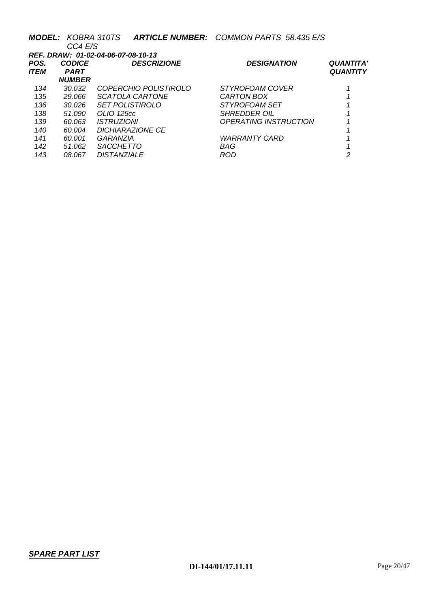|      | <b>MODEL: KOBRA 310TS</b>          |                          | <b>ARTICLE NUMBER: COMMON PARTS 58.435 E/S</b> |                  |  |  |  |  |
|------|------------------------------------|--------------------------|------------------------------------------------|------------------|--|--|--|--|
|      | CC4 E/S                            |                          |                                                |                  |  |  |  |  |
|      | REF. DRAW: 01-02-04-06-07-08-10-13 |                          |                                                |                  |  |  |  |  |
| POS. | <b>CODICE</b>                      | <b>DESCRIZIONE</b>       | <b>DESIGNATION</b>                             | <b>QUANTITA'</b> |  |  |  |  |
| ITEM | <b>PART</b>                        |                          |                                                | <b>QUANTITY</b>  |  |  |  |  |
|      | <b>NUMBER</b>                      |                          |                                                |                  |  |  |  |  |
| 134  | 30.032                             | COPERCHIO POLISTIROLO    | <i>STYROFOAM COVER</i>                         |                  |  |  |  |  |
| 135  | 29.066                             | SCATOLA CARTONE          | CARTON BOX                                     |                  |  |  |  |  |
| 136  | 30.026                             | <b>SET POLISTIROLO</b>   | STYROFOAM SET                                  |                  |  |  |  |  |
| 138  | 51.090                             | OLIO 125cc               | <i>SHREDDER OIL</i>                            |                  |  |  |  |  |
| 139  | 60.063                             | <i><b>ISTRUZIONI</b></i> | <b>OPERATING INSTRUCTION</b>                   |                  |  |  |  |  |
| 140  | 60.004                             | <b>DICHIARAZIONE CE</b>  |                                                |                  |  |  |  |  |
| 141  | 60.001                             | GARANZIA                 | <b>WARRANTY CARD</b>                           |                  |  |  |  |  |
| 142  | 51.062                             | <b>SACCHETTO</b>         | BAG                                            |                  |  |  |  |  |
| 143  | 08.067                             | <b>DISTANZIALE</b>       | ROD                                            | 2                |  |  |  |  |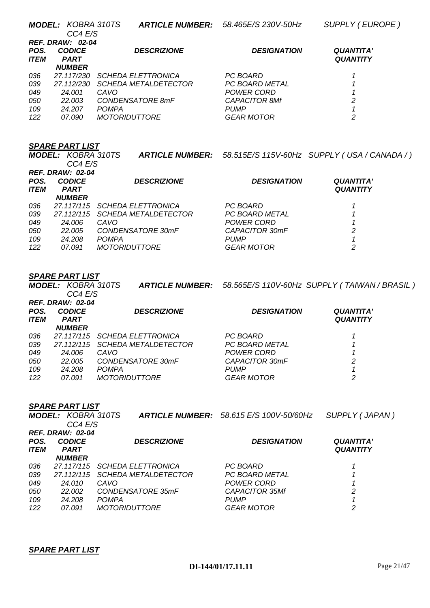|      | <b>MODEL: KOBRA 310TS</b> |                                 |                    | ARTICLE NUMBER: 58.515E/S 115V-60Hz SUPPLY (USA / CANADA / ) |
|------|---------------------------|---------------------------------|--------------------|--------------------------------------------------------------|
|      | CC4 E/S                   |                                 |                    |                                                              |
|      | <b>REF. DRAW: 02-04</b>   |                                 |                    |                                                              |
| POS. | <b>CODICE</b>             | <b>DESCRIZIONE</b>              | <b>DESIGNATION</b> | <b>QUANTITA'</b>                                             |
| ITEM | <b>PART</b>               |                                 |                    | <b>QUANTITY</b>                                              |
|      | <b>NUMBER</b>             |                                 |                    |                                                              |
| 036  | 27.117/115                | SCHEDA ELETTRONICA              | PC BOARD           |                                                              |
| 039  |                           | 27.112/115 SCHEDA METALDETECTOR | PC BOARD METAL     |                                                              |
| 049  | 24.006                    | CAVO                            | POWER CORD         |                                                              |
| 050  | 22.005                    | CONDENSATORE 30mF               | CAPACITOR 30mF     | 2                                                            |
| 109  | 24.208                    | <b>POMPA</b>                    | <b>PUMP</b>        |                                                              |
| 122  | 07.091                    | <b>MOTORIDUTTORE</b>            | <b>GEAR MOTOR</b>  | 2                                                            |
|      |                           |                                 |                    |                                                              |

### *SPARE PART LIST*

*MODEL: KOBRA 310TS CC4 E/S ARTICLE NUMBER: 58.565E/S 110V-60Hz SUPPLY ( TAIWAN / BRASIL ) REF. DRAW: 02-04 POS. CODICE DESCRIZIONE DESIGNATION QUANTITA' ITEM PART NUMBER QUANTITY 036 27.117/115 SCHEDA ELETTRONICA PC BOARD 1 039 27.112/115 SCHEDA METALDETECTOR PC BOARD METAL 1 049 24.006 CAVO POWER CORD 1 050 22.005 CONDENSATORE 30mF CAPACITOR 30mF 2 109 24.208 POMPA PUMP 1 122 07.091 MOTORIDUTTORE GEAR MOTOR 2* 

|                     | <b>SPARE PART LIST</b>               |                           |                                                |                                     |  |  |  |
|---------------------|--------------------------------------|---------------------------|------------------------------------------------|-------------------------------------|--|--|--|
|                     | <b>MODEL: KOBRA 310TS</b><br>CC4 E/S |                           | <b>ARTICLE NUMBER:</b> 58.615 E/S 100V-50/60Hz | SUPPLY (JAPAN)                      |  |  |  |
|                     | <b>REF. DRAW: 02-04</b>              |                           |                                                |                                     |  |  |  |
| POS.<br><b>ITEM</b> | <b>CODICE</b><br><b>PART</b>         | <b>DESCRIZIONE</b>        | <b>DESIGNATION</b>                             | <b>QUANTITA'</b><br><b>QUANTITY</b> |  |  |  |
|                     | <b>NUMBER</b>                        |                           |                                                |                                     |  |  |  |
| 036                 | 27.117/115                           | <b>SCHEDA ELETTRONICA</b> | PC BOARD                                       |                                     |  |  |  |
| 039                 | 27.112/115                           | SCHEDA METALDETECTOR      | PC BOARD METAL                                 |                                     |  |  |  |
| 049                 | 24.010                               | CAVO                      | POWER CORD                                     |                                     |  |  |  |
| 050                 | 22,002                               | CONDENSATORE 35mF         | <b>CAPACITOR 35Mf</b>                          | 2                                   |  |  |  |
| 109                 | 24.208                               | <b>POMPA</b>              | <b>PUMP</b>                                    |                                     |  |  |  |
| 122                 | 07.091                               | <i>MOTORIDUTTORE</i>      | GEAR MOTOR                                     | っ                                   |  |  |  |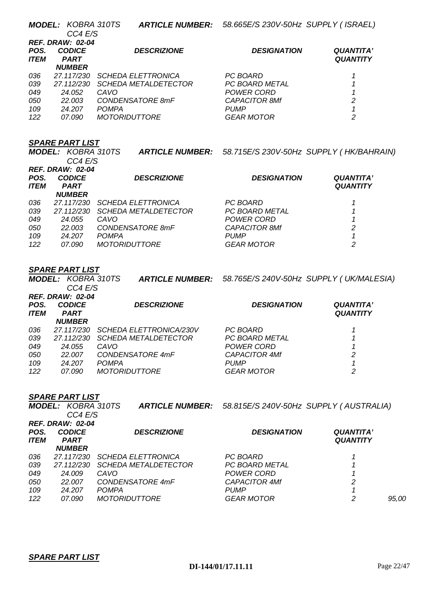|             | <b>MODEL: KOBRA 310TS</b><br>CC4 E/S |                             | <b>ARTICLE NUMBER:</b> 58.665E/S 230V-50Hz SUPPLY (ISRAEL) |                  |
|-------------|--------------------------------------|-----------------------------|------------------------------------------------------------|------------------|
|             | <b>REF. DRAW: 02-04</b>              |                             |                                                            |                  |
| POS.        | <b>CODICE</b>                        | <b>DESCRIZIONE</b>          | <b>DESIGNATION</b>                                         | <b>QUANTITA'</b> |
| <b>ITEM</b> | <b>PART</b>                          |                             |                                                            | <b>QUANTITY</b>  |
|             | <b>NUMBER</b>                        |                             |                                                            |                  |
| 036         | 27.117/230                           | <b>SCHEDA ELETTRONICA</b>   | PC BOARD                                                   |                  |
| 039         | 27.112/230                           | <i>SCHEDA METALDETECTOR</i> | PC BOARD METAL                                             |                  |
| 049         | 24.052                               | CAVO                        | POWER CORD                                                 |                  |
| 050         | 22.003                               | CONDENSATORE 8mF            | <b>CAPACITOR 8Mf</b>                                       | 2                |
| 109         | 24.207                               | <b>POMPA</b>                | <b>PUMP</b>                                                |                  |
| 122         | 07.090                               | <i>MOTORIDUTTORE</i>        | <b>GEAR MOTOR</b>                                          | 2                |

|             | <b>MODEL: KOBRA 310TS</b> |                             | ARTICLE NUMBER: 58.715E/S 230V-50Hz SUPPLY (HK/BAHRAIN) |                  |
|-------------|---------------------------|-----------------------------|---------------------------------------------------------|------------------|
|             | CC4 E/S                   |                             |                                                         |                  |
|             | <b>REF. DRAW: 02-04</b>   |                             |                                                         |                  |
| POS.        | <b>CODICE</b>             | <b>DESCRIZIONE</b>          | <b>DESIGNATION</b>                                      | <b>QUANTITA'</b> |
| <b>ITEM</b> | <b>PART</b>               |                             |                                                         | <b>QUANTITY</b>  |
|             | <b>NUMBER</b>             |                             |                                                         |                  |
| 036         | 27.117/230                | <b>SCHEDA ELETTRONICA</b>   | PC BOARD                                                |                  |
| 039         | 27.112/230                | <b>SCHEDA METALDETECTOR</b> | <b>PC BOARD METAL</b>                                   |                  |
| 049         | 24.055                    | CAVO                        | <b>POWER CORD</b>                                       |                  |
| 050         | 22.003                    | CONDENSATORE 8mF            | <b>CAPACITOR 8Mf</b>                                    | 2                |
| 109         | 24.207                    | <b>POMPA</b>                | <b>PUMP</b>                                             |                  |
| 122         | 07.090                    | <i>MOTORIDUTTORE</i>        | <b>GEAR MOTOR</b>                                       | 2                |

### *SPARE PART LIST*

*MODEL: KOBRA 310TS CC4 E/S ARTICLE NUMBER: 58.765E/S 240V-50Hz SUPPLY ( UK/MALESIA) REF. DRAW: 02-04 POS. CODICE DESCRIZIONE DESIGNATION QUANTITA'*   $PART$ *NUMBER QUANTITY 036 27.117/230 SCHEDA ELETTRONICA/230V PC BOARD 1 039 27.112/230 SCHEDA METALDETECTOR PC BOARD METAL 1 049 24.055 CAVO POWER CORD 1 050 22.007 CONDENSATORE 4mF CAPACITOR 4Mf 2 109 24.207 POMPA PUMP 1 122 07.090 MOTORIDUTTORE GEAR MOTOR 2* 

### *SPARE PART LIST*

|      | <b>MODEL: KOBRA 310TS</b> |                             | ARTICLE NUMBER: 58.815E/S 240V-50Hz SUPPLY (AUSTRALIA) |                  |       |
|------|---------------------------|-----------------------------|--------------------------------------------------------|------------------|-------|
|      | CC4 E/S                   |                             |                                                        |                  |       |
|      | <b>REF. DRAW: 02-04</b>   |                             |                                                        |                  |       |
| POS. | <b>CODICE</b>             | <b>DESCRIZIONE</b>          | <b>DESIGNATION</b>                                     | <b>QUANTITA'</b> |       |
| ITEM | <b>PART</b>               |                             |                                                        | <b>QUANTITY</b>  |       |
|      | <b>NUMBER</b>             |                             |                                                        |                  |       |
| 036  | 27.117/230                | <b>SCHEDA ELETTRONICA</b>   | PC BOARD                                               |                  |       |
| 039  | 27.112/230                | <b>SCHEDA METALDETECTOR</b> | PC BOARD METAL                                         |                  |       |
| 049  | 24.009                    | CAVO                        | POWER CORD                                             |                  |       |
| 050  | 22.007                    | CONDENSATORE 4mF            | <b>CAPACITOR 4Mf</b>                                   | 2                |       |
| 109  | 24.207                    | <b>POMPA</b>                | <i>PUMP</i>                                            |                  |       |
| 122  | <i>07.090</i>             | <b>MOTORIDUTTORE</b>        | <b>GEAR MOTOR</b>                                      | 2                | 95,00 |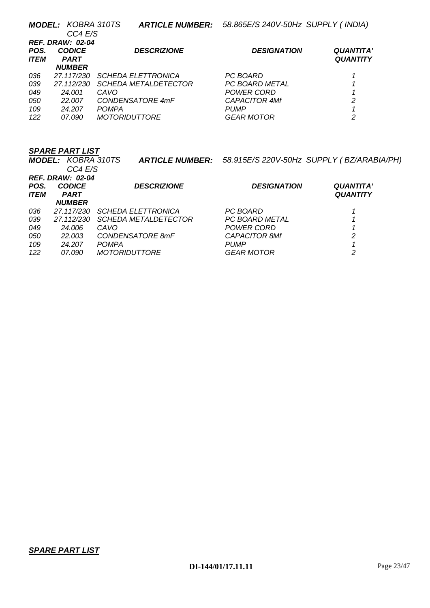|             | <b>MODEL: KOBRA 310TS</b> | <i>ARTICLE NUMBER:</i>      | 58.865E/S 240V-50Hz SUPPLY (INDIA) |                  |
|-------------|---------------------------|-----------------------------|------------------------------------|------------------|
|             | CC4 E/S                   |                             |                                    |                  |
|             | <b>REF. DRAW: 02-04</b>   |                             |                                    |                  |
| POS.        | <b>CODICE</b>             | <b>DESCRIZIONE</b>          | <b>DESIGNATION</b>                 | <b>QUANTITA'</b> |
| <b>ITEM</b> | <b>PART</b>               |                             |                                    | <b>QUANTITY</b>  |
|             | <b>NUMBER</b>             |                             |                                    |                  |
| 036         | 27.117/230                | <b>SCHEDA ELETTRONICA</b>   | PC BOARD                           |                  |
| 039         | 27.112/230                | <i>SCHEDA METALDETECTOR</i> | <b>PC BOARD METAL</b>              |                  |
| 049         | 24.001                    | CAVO                        | POWER CORD                         |                  |
| 050         | 22.007                    | CONDENSATORE 4mF            | <b>CAPACITOR 4Mf</b>               | 2                |
| 109         | 24.207                    | <b>POMPA</b>                | <b>PUMP</b>                        |                  |
| 122         | 07.090                    | <i>MOTORIDUTTORE</i>        | <b>GEAR MOTOR</b>                  | 2                |

|             | <b>MODEL: KOBRA 310TS</b> |                             | ARTICLE NUMBER: 58.915E/S 220V-50Hz SUPPLY (BZ/ARABIA/PH) |                  |
|-------------|---------------------------|-----------------------------|-----------------------------------------------------------|------------------|
|             | CC4 E/S                   |                             |                                                           |                  |
|             | <b>REF. DRAW: 02-04</b>   |                             |                                                           |                  |
| POS.        | <b>CODICE</b>             | <b>DESCRIZIONE</b>          | <b>DESIGNATION</b>                                        | <b>QUANTITA'</b> |
| <b>ITEM</b> | <b>PART</b>               |                             |                                                           | <b>QUANTITY</b>  |
|             | <b>NUMBER</b>             |                             |                                                           |                  |
| 036         | 27.117/230                | <b>SCHEDA ELETTRONICA</b>   | PC BOARD                                                  |                  |
| 039         | 27.112/230                | <i>SCHEDA METALDETECTOR</i> | PC BOARD METAL                                            |                  |
| 049         | 24.006                    | CAVO                        | POWER CORD                                                |                  |
| 050         | 22.003                    | CONDENSATORE 8mF            | <b>CAPACITOR 8Mf</b>                                      | 2                |
| 109         | 24.207                    | <b>POMPA</b>                | <b>PUMP</b>                                               |                  |
| 122         | 07.090                    | <i>MOTORIDUTTORE</i>        | <b>GEAR MOTOR</b>                                         | 2                |
|             |                           |                             |                                                           |                  |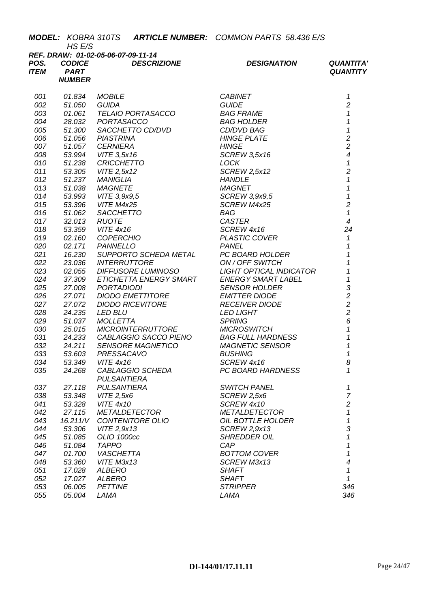|              | HS E/S                       | <b>MODEL: KOBRA 310TS ARTICLE NUMBER: COMMON PARTS 58.436 E/S</b> |                                |                                     |
|--------------|------------------------------|-------------------------------------------------------------------|--------------------------------|-------------------------------------|
|              |                              | REF. DRAW: 01-02-05-06-07-09-11-14                                |                                |                                     |
| POS.<br>ITEM | <b>CODICE</b><br><b>PART</b> | <b>DESCRIZIONE</b>                                                | <b>DESIGNATION</b>             | <b>QUANTITA'</b><br><b>QUANTITY</b> |
|              | <b>NUMBER</b>                |                                                                   |                                |                                     |
|              |                              |                                                                   |                                |                                     |
| 001          | 01.834                       | <b>MOBILE</b>                                                     | <b>CABINET</b>                 | 1                                   |
| 002          | 51.050                       | <b>GUIDA</b>                                                      | <b>GUIDE</b>                   | $\overline{c}$                      |
| 003          | 01.061                       | TELAIO PORTASACCO                                                 | <i>BAG FRAME</i>               | $\mathcal I$                        |
| 004          | 28.032                       | PORTASACCO                                                        | <b>BAG HOLDER</b>              | $\mathbf{1}$                        |
| 005          | 51.300                       | SACCHETTO CD/DVD                                                  | CD/DVD BAG                     | $\mathbf{1}$                        |
| 006          | 51.056                       | <b>PIASTRINA</b>                                                  | <b>HINGE PLATE</b>             | $\frac{2}{2}$                       |
| 007          | 51.057                       | <b>CERNIERA</b>                                                   | <b>HINGE</b>                   |                                     |
| 008          | 53.994                       | VITE 3,5x16                                                       | <b>SCREW 3,5x16</b>            | $\overline{\mathcal{A}}$            |
| 010          | 51.238                       | <b>CRICCHETTO</b>                                                 | LOCK                           | $\mathbf{1}$                        |
| 011          | 53.305                       | VITE 2,5x12                                                       | <b>SCREW 2,5x12</b>            | $\overline{c}$                      |
| 012          | 51.237                       | MANIGLIA                                                          | <b>HANDLE</b>                  | 1                                   |
| 013          | 51.038                       | <b>MAGNETE</b>                                                    | <b>MAGNET</b>                  | 1                                   |
| 014          | 53.993                       | VITE 3,9x9,5                                                      | SCREW 3,9x9,5                  | $\mathbf{1}$                        |
| 015          | 53.396                       | VITE M4x25                                                        | SCREW M4x25                    | $\overline{2}$                      |
| 016          | 51.062                       | SACCHETTO                                                         | BAG                            | $\mathbf{1}$                        |
| 017          | 32.013                       | <b>RUOTE</b>                                                      | <b>CASTER</b>                  | $\overline{4}$                      |
| 018          | 53.359                       | <b>VITE 4x16</b>                                                  | SCREW 4x16                     | 24                                  |
| 019<br>020   | 02.160<br>02.171             | <b>COPERCHIO</b><br>PANNELLO                                      | PLASTIC COVER<br><b>PANEL</b>  | $\mathbf{1}$<br>1                   |
| 021          | 16.230                       | SUPPORTO SCHEDA METAL                                             | PC BOARD HOLDER                | $\mathcal{I}$                       |
| 022          | 23.036                       | <b>INTERRUTTORE</b>                                               | ON / OFF SWITCH                | 1                                   |
| 023          | 02.055                       | DIFFUSORE LUMINOSO                                                | <b>LIGHT OPTICAL INDICATOR</b> | $\overline{\mathbf{1}}$             |
| 024          | 37.309                       | ETICHETTA ENERGY SMART                                            | <b>ENERGY SMART LABEL</b>      | $\overline{1}$                      |
| 025          | 27.008                       | <b>PORTADIODI</b>                                                 | <b>SENSOR HOLDER</b>           | 3                                   |
| 026          | 27.071                       | DIODO EMETTITORE                                                  | <b>EMITTER DIODE</b>           | $\overline{2}$                      |
| 027          | 27.072                       | <b>DIODO RICEVITORE</b>                                           | <b>RECEIVER DIODE</b>          | $\overline{c}$                      |
| 028          | 24.235                       | <b>LED BLU</b>                                                    | <b>LED LIGHT</b>               | $\overline{c}$                      |
| 029          | 51.037                       | <b>MOLLETTA</b>                                                   | <b>SPRING</b>                  | 6                                   |
| 030          | 25.015                       | <b>MICROINTERRUTTORE</b>                                          | <b>MICROSWITCH</b>             | $\mathcal I$                        |
| 031          | 24.233                       | CABLAGGIO SACCO PIENO                                             | <b>BAG FULL HARDNESS</b>       | $\overline{\mathbf{1}}$             |
| 032          | 24.211                       | <b>SENSORE MAGNETICO</b>                                          | <b>MAGNETIC SENSOR</b>         | $\mathbf 1$                         |
| 033          | 53.603                       | <b>PRESSACAVO</b>                                                 | <b>BUSHING</b>                 | $\overline{1}$                      |
| 034          | 53.349                       | <b>VITE 4x16</b>                                                  | SCREW 4x16                     | 8                                   |
| 035          | 24.268                       | CABLAGGIO SCHEDA                                                  | PC BOARD HARDNESS              | 1                                   |
|              |                              | <b>PULSANTIERA</b>                                                |                                |                                     |
| 037          | 27.118                       | <b>PULSANTIERA</b>                                                | <b>SWITCH PANEL</b>            | 1<br>$\overline{7}$                 |
| 038<br>041   | 53.348<br>53.328             | VITE 2,5x6<br><b>VITE 4x10</b>                                    | SCREW 2,5x6<br>SCREW 4x10      | $\overline{c}$                      |
| 042          | 27.115                       | <b>METALDETECTOR</b>                                              | <b>METALDETECTOR</b>           | 1                                   |
| 043          | 16.211/V                     | CONTENITORE OLIO                                                  | OIL BOTTLE HOLDER              | 1                                   |
| 044          | 53.306                       | VITE 2,9x13                                                       | SCREW 2,9x13                   | 3                                   |
| 045          | 51.085                       | OLIO 1000cc                                                       | <b>SHREDDER OIL</b>            | 1                                   |
| 046          | 51.084                       | <b>TAPPO</b>                                                      | CAP                            | 1                                   |
| 047          | 01.700                       | <b>VASCHETTA</b>                                                  | <b>BOTTOM COVER</b>            | 1                                   |
| 048          | 53.360                       | VITE M3x13                                                        | SCREW M3x13                    | $\overline{\mathcal{A}}$            |
| 051          | 17.028                       | ALBERO                                                            | <b>SHAFT</b>                   | 1                                   |
| 052          | 17.027                       | ALBERO                                                            | <b>SHAFT</b>                   | 1                                   |
| 053          | 06.005                       | <b>PETTINE</b>                                                    | <b>STRIPPER</b>                | 346                                 |
| 055          | 05.004                       | LAMA                                                              | LAMA                           | 346                                 |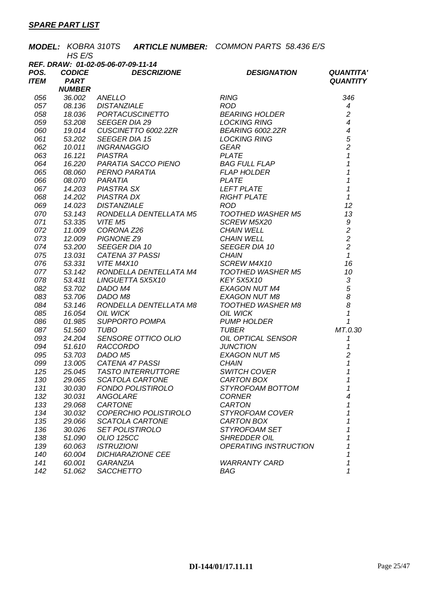|             |                                    |                   |                                                                                    | <b>MODEL: KOBRA 310TS ARTICLE NUMBER: COMMON PARTS 58.436 E/S</b>                                                                                                                                                                                                                                                                                                                                   |                                            |
|-------------|------------------------------------|-------------------|------------------------------------------------------------------------------------|-----------------------------------------------------------------------------------------------------------------------------------------------------------------------------------------------------------------------------------------------------------------------------------------------------------------------------------------------------------------------------------------------------|--------------------------------------------|
|             | HS E/S                             |                   |                                                                                    |                                                                                                                                                                                                                                                                                                                                                                                                     |                                            |
|             | REF. DRAW: 01-02-05-06-07-09-11-14 |                   |                                                                                    |                                                                                                                                                                                                                                                                                                                                                                                                     |                                            |
| POS.        | <b>CODICE</b>                      |                   | <b>DESCRIZIONE</b>                                                                 | <b>DESIGNATION</b>                                                                                                                                                                                                                                                                                                                                                                                  | <b>QUANTITA'</b>                           |
| <b>ITEM</b> | <b>PART</b>                        |                   |                                                                                    |                                                                                                                                                                                                                                                                                                                                                                                                     | <b>QUANTITY</b>                            |
|             | <b>NUMBER</b>                      |                   |                                                                                    | <b>NUMBER</b><br>08.136 DISTANZIALE<br>08.36 DORTACUSCINETTO<br>19.036 PORTACUSCINETTO<br>19.014 CUSCINETTO 6002.2ZR<br>19.014 CUSCINETTO 6002.2ZR<br>19.014 CUSCINETTO 6002.2ZR<br>19.014 CUSCINETTO 6002.2ZR<br>19.014 CUSCINETTO 6002.2ZR<br>19.02                                                                                                                                               |                                            |
| 056         |                                    |                   | <b>VOIMBER<br/>36.002 ANELLO<br/>08.136 DISTANZIALE<br/>18.036 PORTACUSCINETTO</b> |                                                                                                                                                                                                                                                                                                                                                                                                     | 346                                        |
| 057         |                                    |                   |                                                                                    |                                                                                                                                                                                                                                                                                                                                                                                                     | $\boldsymbol{4}$                           |
| 058         |                                    |                   |                                                                                    |                                                                                                                                                                                                                                                                                                                                                                                                     | $\overline{c}$                             |
| 059         |                                    |                   |                                                                                    |                                                                                                                                                                                                                                                                                                                                                                                                     | $\overline{\mathcal{A}}$                   |
| 060         |                                    |                   |                                                                                    |                                                                                                                                                                                                                                                                                                                                                                                                     | $\frac{4}{5}$                              |
| 061         |                                    |                   |                                                                                    |                                                                                                                                                                                                                                                                                                                                                                                                     |                                            |
| 062         |                                    |                   |                                                                                    |                                                                                                                                                                                                                                                                                                                                                                                                     | $\overline{2}$                             |
| 063         |                                    |                   |                                                                                    |                                                                                                                                                                                                                                                                                                                                                                                                     | $\mathbf{1}$                               |
| 064         |                                    |                   |                                                                                    |                                                                                                                                                                                                                                                                                                                                                                                                     | $\mathbf{1}$                               |
| 065         |                                    |                   |                                                                                    |                                                                                                                                                                                                                                                                                                                                                                                                     | $\mathbf{1}$                               |
| 066         |                                    |                   |                                                                                    |                                                                                                                                                                                                                                                                                                                                                                                                     | $\mathbf 1$                                |
| 067         |                                    |                   |                                                                                    |                                                                                                                                                                                                                                                                                                                                                                                                     | $\mathbf{1}$                               |
| 068         |                                    |                   |                                                                                    |                                                                                                                                                                                                                                                                                                                                                                                                     | $\mathcal I$                               |
| 069         |                                    |                   |                                                                                    |                                                                                                                                                                                                                                                                                                                                                                                                     | 12                                         |
| 070         | 53.143                             |                   |                                                                                    |                                                                                                                                                                                                                                                                                                                                                                                                     | 13                                         |
| 071         |                                    | 53.335 VITE M5    |                                                                                    |                                                                                                                                                                                                                                                                                                                                                                                                     |                                            |
| 072         | 11.009                             |                   |                                                                                    |                                                                                                                                                                                                                                                                                                                                                                                                     | $\begin{array}{c} 9 \\ 2 \\ 2 \end{array}$ |
| 073         | 12.009                             |                   |                                                                                    |                                                                                                                                                                                                                                                                                                                                                                                                     |                                            |
| 074         | 53.200                             |                   |                                                                                    |                                                                                                                                                                                                                                                                                                                                                                                                     | $\overline{2}$                             |
| 075         | 13.031                             |                   |                                                                                    |                                                                                                                                                                                                                                                                                                                                                                                                     | $\mathcal{I}$                              |
| 076         |                                    | 53.331 VITE M4X10 |                                                                                    | DISTANZIALE<br>RONDELLA DENTELLATA M5<br>VITE M5<br>CORONA Z26<br>CORONA Z26<br>CORONA Z26<br>CHAIN WELL<br>PIGNONE Z9<br>SEEGER DIA 10<br>CATENA 37 PASSI<br>VITE M4X10<br>VITE M4X10<br>VITE M4X10<br>VITE M4X10<br>VITE M4X10<br>CHAIN<br>VITE M4X10<br>SCREW<br>VITE M4X10<br>RONDELLA DENTELLATA M4<br>COTHED WASHER M5<br>CINGUETTA 5X5X10<br>DADO M4<br>DADO M8<br>DADO M8<br>CEXAGON NUT M8 | 16                                         |
| 077         | 53.142                             |                   |                                                                                    | TOOTHED WAS<br>KEY 5X5X10<br>EXAGON NUT M4<br>AALALLIT M8                                                                                                                                                                                                                                                                                                                                           | 10                                         |
| 078         | 53.431                             |                   |                                                                                    |                                                                                                                                                                                                                                                                                                                                                                                                     | $\sqrt{3}$                                 |
| 082         | 53.702                             |                   |                                                                                    |                                                                                                                                                                                                                                                                                                                                                                                                     | $\begin{array}{c} 5 \\ 8 \\ 8 \end{array}$ |
| 083         | 53.706                             |                   |                                                                                    |                                                                                                                                                                                                                                                                                                                                                                                                     |                                            |
| 084         | 53.146                             |                   | RONDELLA DENTELLATA M8                                                             | TOOTHED WASHER M8<br>OIL WICK<br>PUMP HOLDER<br>TUBER                                                                                                                                                                                                                                                                                                                                               |                                            |
| 085         | 16.054                             | <b>OIL WICK</b>   |                                                                                    |                                                                                                                                                                                                                                                                                                                                                                                                     | $\boldsymbol{\mathcal{L}}$                 |
| 086         | 01.985                             |                   | SUPPORTO POMPA                                                                     |                                                                                                                                                                                                                                                                                                                                                                                                     | 1                                          |
| 087         | 51.560                             | <b>TUBO</b>       |                                                                                    |                                                                                                                                                                                                                                                                                                                                                                                                     | MT.0.30                                    |
| 093         | 24.204                             |                   | SENSORE OTTICO OLIO<br>RACCORDO<br>DADO M5<br>CATENA 47 PASSI                      | OIL OPTICAL SENSOR<br>JUNCTION                                                                                                                                                                                                                                                                                                                                                                      | 1                                          |
| 094         | 51.610                             |                   |                                                                                    |                                                                                                                                                                                                                                                                                                                                                                                                     | $\mathcal I$                               |
| 095         | 53.703                             |                   |                                                                                    | <b>EXAGON NUT M5</b>                                                                                                                                                                                                                                                                                                                                                                                | $\overline{c}$                             |
| 099         | 13.005                             |                   |                                                                                    | <b>CHAIN</b>                                                                                                                                                                                                                                                                                                                                                                                        | $\mathcal I$                               |
| 125         | 25.045                             |                   | <b>TASTO INTERRUTTORE</b>                                                          | <b>SWITCH COVER</b>                                                                                                                                                                                                                                                                                                                                                                                 | 1                                          |
| 130         | 29.065                             |                   | <b>SCATOLA CARTONE</b>                                                             | CARTON BOX                                                                                                                                                                                                                                                                                                                                                                                          | 1                                          |
| 131         | 30.030                             |                   | <b>FONDO POLISTIROLO</b>                                                           | STYROFOAM BOTTOM                                                                                                                                                                                                                                                                                                                                                                                    | 1                                          |
| 132         | 30.031                             | <b>ANGOLARE</b>   |                                                                                    | <b>CORNER</b>                                                                                                                                                                                                                                                                                                                                                                                       | 4                                          |
| 133         | 29.068                             | CARTONE           |                                                                                    | <b>CARTON</b>                                                                                                                                                                                                                                                                                                                                                                                       | 1                                          |
| 134         | 30.032                             |                   | COPERCHIO POLISTIROLO                                                              | STYROFOAM COVER                                                                                                                                                                                                                                                                                                                                                                                     | 1                                          |
| 135         | 29.066                             |                   | SCATOLA CARTONE                                                                    | CARTON BOX                                                                                                                                                                                                                                                                                                                                                                                          | 1                                          |
| 136         | 30.026                             |                   | <b>SET POLISTIROLO</b>                                                             | STYROFOAM SET                                                                                                                                                                                                                                                                                                                                                                                       | 1                                          |
| 138         | 51.090                             | <b>OLIO 125CC</b> |                                                                                    | <b>SHREDDER OIL</b>                                                                                                                                                                                                                                                                                                                                                                                 | 1                                          |
| 139         | 60.063                             | <b>ISTRUZIONI</b> |                                                                                    | OPERATING INSTRUCTION                                                                                                                                                                                                                                                                                                                                                                               | 1                                          |
| 140         | 60.004                             |                   | <b>DICHIARAZIONE CEE</b>                                                           |                                                                                                                                                                                                                                                                                                                                                                                                     | 1                                          |
| 141         | 60.001                             | <b>GARANZIA</b>   |                                                                                    | <b>WARRANTY CARD</b>                                                                                                                                                                                                                                                                                                                                                                                | 1                                          |
| 142         | 51.062                             | <b>SACCHETTO</b>  |                                                                                    | <b>BAG</b>                                                                                                                                                                                                                                                                                                                                                                                          | 1                                          |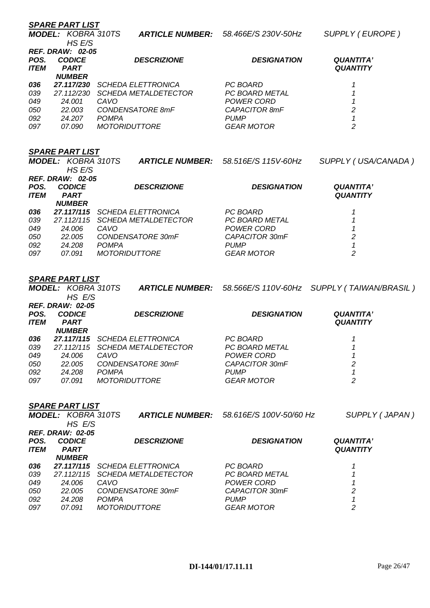|             | <b>SPARE PART LIST</b>    |              |                               |                     |                     |
|-------------|---------------------------|--------------|-------------------------------|---------------------|---------------------|
|             | <b>MODEL: KOBRA 310TS</b> |              | <i><b>ARTICLE NUMBER:</b></i> | 58.466E/S 230V-50Hz | SUPPLY (EUROPE)     |
|             | HS E/S                    |              |                               |                     |                     |
|             | <b>REF. DRAW: 02-05</b>   |              |                               |                     |                     |
| POS.        | <b>CODICE</b>             |              | <b>DESCRIZIONE</b>            | <b>DESIGNATION</b>  | <b>QUANTITA'</b>    |
| <b>ITEM</b> | <b>PART</b>               |              |                               |                     | <b>QUANTITY</b>     |
|             | <b>NUMBER</b>             |              |                               |                     |                     |
| 036         | 27.117/230                |              | <i>SCHEDA ELETTRONICA</i>     | PC BOARD            |                     |
| 039         | 27.112/230                |              | <i>SCHEDA METALDETECTOR</i>   | PC BOARD METAL      |                     |
| 049         | 24.001                    | CAVO         |                               | POWER CORD          |                     |
| 050         | 22.003                    |              | CONDENSATORE 8mF              | CAPACITOR 8mF       | 2                   |
| 092         | 24.207                    | <b>POMPA</b> |                               | <i>PUMP</i>         |                     |
| 097         | <i>07.090</i>             |              | <i>MOTORIDUTTORE</i>          | <b>GEAR MOTOR</b>   | 2                   |
|             |                           |              |                               |                     |                     |
|             |                           |              |                               |                     |                     |
|             | <b>SPARE PART LIST</b>    |              |                               |                     |                     |
|             | <b>MODEL: KOBRA 310TS</b> |              | <b>ARTICLE NUMBER:</b>        | 58.516E/S 115V-60Hz | SUPPLY (USA/CANADA) |
|             | HS E/S                    |              |                               |                     |                     |
|             | <b>REF. DRAW: 02-05</b>   |              |                               |                     |                     |
| POS.        | <b>CODICE</b>             |              | <b>DESCRIZIONE</b>            | <b>DESIGNATION</b>  | <b>QUANTITA'</b>    |
| ITEM        | <b>PART</b>               |              |                               |                     | <b>QUANTITY</b>     |

|     | <b>NUMBER</b> |                                 |                   |  |
|-----|---------------|---------------------------------|-------------------|--|
| 036 |               | 27.117/115 SCHEDA ELETTRONICA   | PC BOARD          |  |
| 039 |               | 27.112/115 SCHEDA METALDETECTOR | PC BOARD METAL    |  |
| 049 | 24.006        | CAVO                            | POWER CORD        |  |
| 050 | 22.005        | CONDENSATORE 30mF               | CAPACITOR 30mF    |  |
| 092 | 24,208        | POMPA                           | <b>PUMP</b>       |  |
| 097 | 07 091        | <i>MOTORIDUTTORE</i>            | <b>GEAR MOTOR</b> |  |

*MODEL: KOBRA 310TS HS E/S ARTICLE NUMBER: 58.566E/S 110V-60Hz SUPPLY ( TAIWAN/BRASIL ) REF. DRAW: 02-05 POS. CODICE DESCRIZIONE DESIGNATION QUANTITA' ITEM PART NUMBER QUANTITY 036 27.117/115 SCHEDA ELETTRONICA PC BOARD 1 039 27.112/115 SCHEDA METALDETECTOR PC BOARD METAL 1 049 24.006 CAVO POWER CORD 1 050 22.005 CONDENSATORE 30mF CAPACITOR 30mF 2 092 24.208 POMPA PUMP 1 097 07.091 MOTORIDUTTORE GEAR MOTOR 2* 

|             | <b>SPARE PART LIST</b>    |                             |                                                |                  |
|-------------|---------------------------|-----------------------------|------------------------------------------------|------------------|
|             | <b>MODEL: KOBRA 310TS</b> |                             | <b>ARTICLE NUMBER:</b> 58.616E/S 100V-50/60 Hz | SUPPLY (JAPAN)   |
|             | HS E/S                    |                             |                                                |                  |
|             | <b>REF. DRAW: 02-05</b>   |                             |                                                |                  |
| POS.        | <b>CODICE</b>             | <b>DESCRIZIONE</b>          | <b>DESIGNATION</b>                             | <b>QUANTITA'</b> |
| <b>ITEM</b> | <b>PART</b>               |                             |                                                | <b>QUANTITY</b>  |
|             | <i><b>NUMBER</b></i>      |                             |                                                |                  |
| 036         | 27.117/115                | <b>SCHEDA ELETTRONICA</b>   | PC BOARD                                       |                  |
| 039         | 27.112/115                | <b>SCHEDA METALDETECTOR</b> | PC BOARD METAL                                 |                  |
| 049         | 24.006                    | CAVO                        | <b>POWER CORD</b>                              |                  |
| 050         | 22.005                    | CONDENSATORE 30mF           | CAPACITOR 30mF                                 | 2                |
| 092         | 24.208                    | <b>POMPA</b>                | <b>PUMP</b>                                    |                  |
| 097         | 07.091                    | <i>MOTORIDUTTORE</i>        | <b>GEAR MOTOR</b>                              | 2                |
|             |                           |                             |                                                |                  |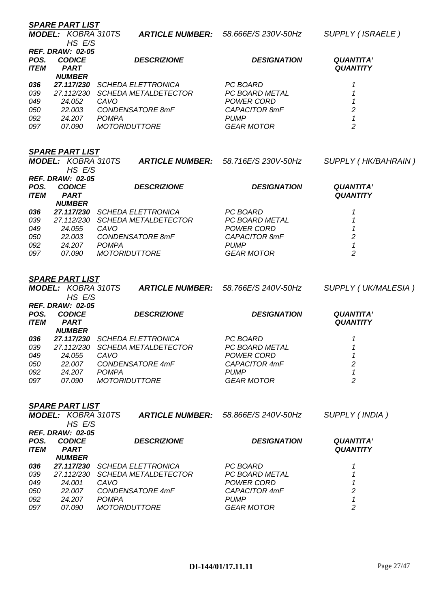|                     | <b>SPARE PART LIST</b>                                  |                                                          |                                     |                                     |
|---------------------|---------------------------------------------------------|----------------------------------------------------------|-------------------------------------|-------------------------------------|
|                     | <b>MODEL: KOBRA 310TS</b><br>HS E/S                     | <b>ARTICLE NUMBER:</b>                                   | 58.666E/S 230V-50Hz                 | SUPPLY (ISRAELE)                    |
| POS.<br><b>ITEM</b> | <b>REF. DRAW: 02-05</b><br><b>CODICE</b><br><b>PART</b> | <b>DESCRIZIONE</b>                                       | <b>DESIGNATION</b>                  | <b>QUANTITA'</b><br><b>QUANTITY</b> |
|                     | <b>NUMBER</b>                                           |                                                          |                                     |                                     |
| 036<br>039          | 27.117/230<br>27.112/230                                | <b>SCHEDA ELETTRONICA</b><br><b>SCHEDA METALDETECTOR</b> | PC BOARD<br>PC BOARD METAL          | 1<br>$\boldsymbol{\mathcal{L}}$     |
| 049                 | 24.052                                                  | CAVO                                                     | <b>POWER CORD</b>                   | 1                                   |
| 050                 | 22.003                                                  | CONDENSATORE 8mF                                         | <b>CAPACITOR 8mF</b>                | $\overline{c}$                      |
| 092                 | 24.207                                                  | <b>POMPA</b>                                             | <b>PUMP</b>                         | $\boldsymbol{\mathcal{L}}$          |
| 097                 | 07.090                                                  | <b>MOTORIDUTTORE</b>                                     | <b>GEAR MOTOR</b>                   | $\overline{2}$                      |
|                     | <b>SPARE PART LIST</b>                                  |                                                          |                                     |                                     |
|                     | <b>MODEL: KOBRA 310TS</b>                               | <b>ARTICLE NUMBER:</b>                                   | 58.716E/S 230V-50Hz                 | SUPPLY (HK/BAHRAIN)                 |
|                     | HS E/S                                                  |                                                          |                                     |                                     |
| POS.                | <b>REF. DRAW: 02-05</b><br><b>CODICE</b>                | <b>DESCRIZIONE</b>                                       | <b>DESIGNATION</b>                  | <b>QUANTITA'</b>                    |
| <b>ITEM</b>         | <b>PART</b>                                             |                                                          |                                     | <b>QUANTITY</b>                     |
|                     | <b>NUMBER</b>                                           |                                                          |                                     |                                     |
| 036                 |                                                         | 27.117/230 SCHEDA ELETTRONICA                            | PC BOARD                            | 1                                   |
| 039<br>049          | 24.055                                                  | 27.112/230 SCHEDA METALDETECTOR<br>CAVO                  | PC BOARD METAL<br><b>POWER CORD</b> | 1<br>1                              |
| 050                 |                                                         | 22.003 CONDENSATORE 8mF                                  | CAPACITOR 8mF                       | $\boldsymbol{2}$                    |
| 092                 | 24.207 POMPA                                            |                                                          | <b>PUMP</b>                         | $\boldsymbol{\mathcal{L}}$          |
| 097                 | 07.090                                                  | <b>MOTORIDUTTORE</b>                                     | <b>GEAR MOTOR</b>                   | $\overline{c}$                      |
|                     |                                                         |                                                          |                                     |                                     |
|                     | <b>SPARE PART LIST</b>                                  |                                                          |                                     |                                     |
|                     | <b>MODEL: KOBRA 310TS</b><br>HS E/S                     | <b>ARTICLE NUMBER:</b>                                   | 58.766E/S 240V-50Hz                 | SUPPLY (UK/MALESIA)                 |
|                     | <b>REF. DRAW: 02-05</b>                                 |                                                          |                                     |                                     |
| POS.<br><b>ITEM</b> | <b>CODICE</b><br><b>PART</b>                            | <b>DESCRIZIONE</b>                                       | <b>DESIGNATION</b>                  | <b>QUANTITA'</b><br><b>QUANTITY</b> |
|                     | <b>NUMBER</b>                                           |                                                          |                                     |                                     |
| 036                 | 27.117/230                                              | <b>SCHEDA ELETTRONICA</b>                                | PC BOARD                            | 1                                   |
| 039                 | 27.112/230                                              | <b>SCHEDA METALDETECTOR</b>                              | PC BOARD METAL                      | 1                                   |
| 049<br>050          | 24.055<br>22.007                                        | CAVO<br>CONDENSATORE 4mF                                 | <b>POWER CORD</b><br>CAPACITOR 4mF  | 1<br>$\boldsymbol{2}$               |
| 092                 | 24.207                                                  | <b>POMPA</b>                                             | <b>PUMP</b>                         | $\mathbf{1}$                        |
| 097                 | 07.090                                                  | <b>MOTORIDUTTORE</b>                                     | <b>GEAR MOTOR</b>                   | $\overline{c}$                      |
|                     |                                                         |                                                          |                                     |                                     |
|                     | <b>SPARE PART LIST</b><br><b>MODEL: KOBRA 310TS</b>     | <b>ARTICLE NUMBER:</b>                                   | 58.866E/S 240V-50Hz                 | SUPPLY (INDIA)                      |
|                     | HS E/S<br><b>REF. DRAW: 02-05</b>                       |                                                          |                                     |                                     |
| POS.                | <b>CODICE</b>                                           | <b>DESCRIZIONE</b>                                       | <b>DESIGNATION</b>                  | <b>QUANTITA'</b>                    |
| <b>ITEM</b>         | <b>PART</b>                                             |                                                          |                                     | <b>QUANTITY</b>                     |
| 036                 | <b>NUMBER</b>                                           | 27.117/230 SCHEDA ELETTRONICA                            | PC BOARD                            | 1                                   |
| 039                 | 27.112/230                                              | <b>SCHEDA METALDETECTOR</b>                              | PC BOARD METAL                      | 1                                   |
| 049                 |                                                         |                                                          |                                     |                                     |
|                     | 24.001                                                  | CAVO                                                     | <b>POWER CORD</b>                   | 1                                   |
| 050<br>092          | 22.007<br>24.207                                        | CONDENSATORE 4mF<br><b>POMPA</b>                         | CAPACITOR 4mF<br><b>PUMP</b>        | 2<br>1                              |

*097 07.090 MOTORIDUTTORE GEAR MOTOR 2*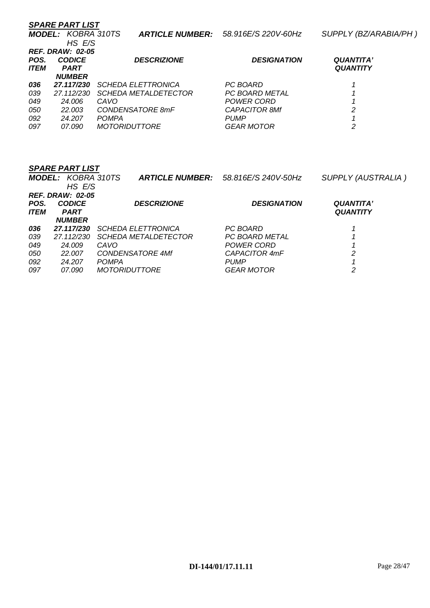| <b>SPARE PART LIST</b> |                             |                                                                |                                     |  |  |  |
|------------------------|-----------------------------|----------------------------------------------------------------|-------------------------------------|--|--|--|
|                        |                             |                                                                | SUPPLY (BZ/ARABIA/PH)               |  |  |  |
|                        |                             |                                                                |                                     |  |  |  |
|                        |                             |                                                                |                                     |  |  |  |
| <b>CODICE</b>          | <b>DESCRIZIONE</b>          | <b>DESIGNATION</b>                                             | <b>QUANTITA'</b><br><b>QUANTITY</b> |  |  |  |
| <b>NUMBER</b>          |                             |                                                                |                                     |  |  |  |
| 27.117/230             | <b>SCHEDA ELETTRONICA</b>   | PC BOARD                                                       |                                     |  |  |  |
| 27.112/230             | <i>SCHEDA METALDETECTOR</i> | <b>PC BOARD METAL</b>                                          |                                     |  |  |  |
| 24.006                 | CAVO                        | <b>POWER CORD</b>                                              |                                     |  |  |  |
| 22.003                 | CONDENSATORE 8mF            | <b>CAPACITOR 8Mf</b>                                           | 2                                   |  |  |  |
| 24.207                 | <b>POMPA</b>                | <b>PUMP</b>                                                    |                                     |  |  |  |
| <i>07.090</i>          | <b>MOTORIDUTTORE</b>        | <b>GEAR MOTOR</b>                                              | 2                                   |  |  |  |
|                        | <b>PART</b>                 | <b>MODEL: KOBRA 310TS</b><br>HS E/S<br><b>REF. DRAW: 02-05</b> | ARTICLE NUMBER: 58.916E/S 220V-60Hz |  |  |  |

|             | <b>MODEL: KOBRA 310TS</b> | <b>ARTICLE NUMBER:</b>      | 58.816E/S 240V-50Hz | <b>SUPPLY (AUSTRALIA)</b> |
|-------------|---------------------------|-----------------------------|---------------------|---------------------------|
|             | HS E/S                    |                             |                     |                           |
|             | <b>REF. DRAW: 02-05</b>   |                             |                     |                           |
| POS.        | <b>CODICE</b>             | <b>DESCRIZIONE</b>          | <b>DESIGNATION</b>  | <b>QUANTITA'</b>          |
| <b>ITEM</b> | <b>PART</b>               |                             |                     | <b>QUANTITY</b>           |
|             | <b>NUMBER</b>             |                             |                     |                           |
| 036         | 27.117/230                | <b>SCHEDA ELETTRONICA</b>   | PC BOARD            |                           |
| 039         | 27.112/230                | <i>SCHEDA METALDETECTOR</i> | PC BOARD METAL      |                           |
| 049         | 24.009                    | CAVO                        | POWER CORD          |                           |
| 050         | 22.007                    | <b>CONDENSATORE 4Mf</b>     | CAPACITOR 4mF       | 2                         |
| 092         | 24.207                    | <b>POMPA</b>                | <b>PUMP</b>         |                           |
| 097         | <i>07.090</i>             | <i>MOTORIDUTTORE</i>        | GEAR MOTOR          | 2                         |
|             |                           |                             |                     |                           |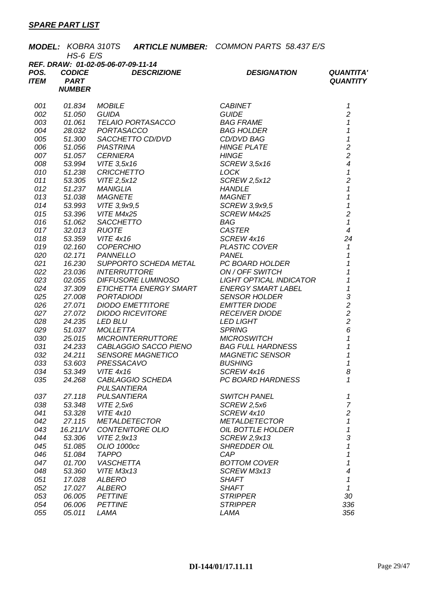|                     | $HS-6$ $E/S$                 | MODEL: KOBRA 310TS ARTICLE NUMBER: COMMON PARTS 58.437 E/S |                                    |                                     |
|---------------------|------------------------------|------------------------------------------------------------|------------------------------------|-------------------------------------|
| POS.<br><b>ITEM</b> | <b>CODICE</b><br><b>PART</b> | REF. DRAW: 01-02-05-06-07-09-11-14<br><b>DESCRIZIONE</b>   | <b>DESIGNATION</b>                 | <b>QUANTITA'</b><br><b>QUANTITY</b> |
|                     | <b>NUMBER</b>                |                                                            |                                    |                                     |
| 001                 | 01.834                       | <b>MOBILE</b>                                              | <b>CABINET</b>                     | 1                                   |
| 002                 | 51.050                       | GUIDA                                                      | <b>GUIDE</b>                       | $\overline{c}$                      |
| 003                 | 01.061                       | TELAIO PORTASACCO                                          | <b>BAG FRAME</b>                   | $\mathcal I$                        |
| 004                 | 28.032                       | PORTASACCO                                                 | <b>BAG HOLDER</b>                  | $\mathbf{1}$                        |
| 005                 | 51.300                       | SACCHETTO CD/DVD                                           | CD/DVD BAG                         | $\mathbf{1}$                        |
| 006                 | 51.056                       | <b>PIASTRINA</b>                                           | <b>HINGE PLATE</b>                 | $\overline{c}$                      |
| 007                 | 51.057                       | <b>CERNIERA</b>                                            | <b>HINGE</b>                       | $\overline{c}$                      |
| 008                 | 53.994                       | VITE 3,5x16                                                | <b>SCREW 3,5x16</b>                | $\overline{\mathcal{A}}$            |
| 010                 | 51.238                       | <b>CRICCHETTO</b>                                          | <b>LOCK</b>                        | $\boldsymbol{\mathcal{L}}$          |
| 011                 | 53.305                       | VITE 2,5x12                                                | <b>SCREW 2,5x12</b>                | $\overline{c}$                      |
| 012                 | 51.237                       | <b>MANIGLIA</b>                                            | <b>HANDLE</b>                      | $\mathbf{1}$                        |
| 013                 | 51.038                       | <b>MAGNETE</b>                                             | <b>MAGNET</b>                      | $\overline{1}$                      |
| 014                 | 53.993                       | $VITE$ 3,9 $x9,5$                                          | SCREW 3,9x9,5                      | $\overline{1}$                      |
| 015                 | 53.396                       | VITE M4x25                                                 | SCREW M4x25                        | $\overline{2}$                      |
| 016                 | 51.062                       | SACCHETTO                                                  | BAG                                | $\mathcal I$                        |
| 017                 | 32.013                       | <b>RUOTE</b>                                               | <b>CASTER</b>                      | $\overline{4}$                      |
| 018                 | 53.359                       | <b>VITE 4x16</b>                                           | SCREW 4x16                         | 24                                  |
| 019                 | 02.160                       | <b>COPERCHIO</b><br><b>PANNELLO</b>                        | PLASTIC COVER                      | $\mathbf{1}$<br>$\mathbf{1}$        |
| 020<br>021          | 02.171<br>16.230             | SUPPORTO SCHEDA METAL                                      | <b>PANEL</b><br>PC BOARD HOLDER    | $\mathcal{I}$                       |
| 022                 | 23.036                       | <b>INTERRUTTORE</b>                                        | ON / OFF SWITCH                    | 1                                   |
| 023                 | 02.055                       | DIFFUSORE LUMINOSO                                         | LIGHT OPTICAL INDICATOR            | $\overline{1}$                      |
| 024                 | 37.309                       | ETICHETTA ENERGY SMART                                     | <b>ENERGY SMART LABEL</b>          | $\mathbf{1}$                        |
| 025                 | 27.008                       | PORTADIODI                                                 | <b>SENSOR HOLDER</b>               | 3                                   |
| 026                 | 27.071                       | <b>DIODO EMETTITORE</b>                                    | <b>EMITTER DIODE</b>               | $\overline{2}$                      |
| 027                 | 27.072                       | <b>DIODO RICEVITORE</b>                                    | <b>RECEIVER DIODE</b>              |                                     |
| 028                 | 24.235                       | <b>LED BLU</b>                                             | <b>LED LIGHT</b>                   | $\frac{2}{2}$                       |
| 029                 | 51.037                       | <b>MOLLETTA</b>                                            | <b>SPRING</b>                      | 6                                   |
| 030                 | 25.015                       | MICROINTERRUTTORE                                          | <b>MICROSWITCH</b>                 | $\mathbf{1}$                        |
| 031                 | 24.233                       | CABLAGGIO SACCO PIENO                                      | <b>BAG FULL HARDNESS</b>           | $\mathbf{1}$                        |
| 032                 | 24.211                       | <b>SENSORE MAGNETICO</b>                                   | <b>MAGNETIC SENSOR</b>             | $\mathbf{1}$                        |
| 033                 |                              |                                                            | <b>BUSHING</b>                     | 1                                   |
| 034                 | 53.349                       | <b>VITE 4x16</b>                                           | SCREW 4x16                         | 8                                   |
| 035                 | 24.268                       | CABLAGGIO SCHEDA                                           | PC BOARD HARDNESS                  | 1                                   |
|                     |                              | <b>PULSANTIERA</b>                                         |                                    |                                     |
| 037                 | 27.118                       | <b>PULSANTIERA</b>                                         | <b>SWITCH PANEL</b>                | 1                                   |
| 038                 | 53.348                       | VITE 2,5x6                                                 | SCREW 2,5x6                        | $\boldsymbol{7}$                    |
| 041                 | 53.328                       | <b>VITE 4x10</b>                                           | SCREW 4x10                         | $\overline{c}$                      |
| 042                 | 27.115                       | <b>METALDETECTOR</b>                                       | <b>METALDETECTOR</b>               | $\mathcal I$                        |
| 043                 | 16.211/V                     | CONTENITORE OLIO                                           | OIL BOTTLE HOLDER                  | $\mathbf 1$                         |
| 044                 | 53.306                       | VITE 2,9x13                                                | <b>SCREW 2,9x13</b>                | 3                                   |
| 045                 | 51.085                       | OLIO 1000cc                                                | <b>SHREDDER OIL</b><br>CAP         | $\mathbf 1$                         |
| 046                 | 51.084                       | <b>TAPPO</b>                                               |                                    | 1                                   |
| 047<br>048          | 01.700                       | <b>VASCHETTA</b><br>VITE M3x13                             | <b>BOTTOM COVER</b><br>SCREW M3x13 | 1<br>4                              |
| 051                 | 53.360<br>17.028             | <b>ALBERO</b>                                              | <b>SHAFT</b>                       | 1                                   |
| 052                 | 17.027                       | <b>ALBERO</b>                                              | <b>SHAFT</b>                       | 1                                   |
| 053                 | 06.005                       | <b>PETTINE</b>                                             | <b>STRIPPER</b>                    | 30                                  |
| 054                 | 06.006                       | <b>PETTINE</b>                                             | <b>STRIPPER</b>                    | 336                                 |
| 055                 | 05.011                       | LAMA                                                       | LAMA                               | 356                                 |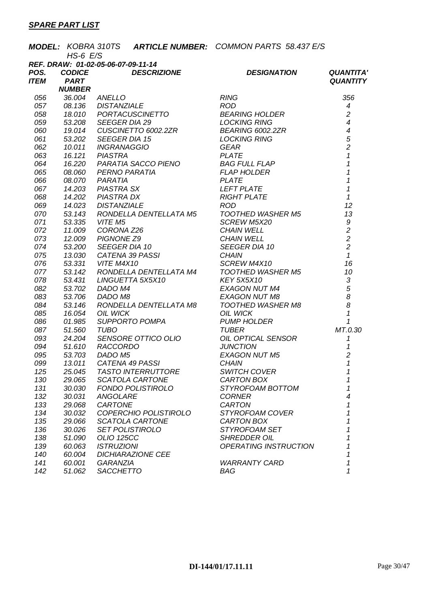|             |                  |                                                                                                               | <b>MODEL: KOBRA 310TS ARTICLE NUMBER: COMMON PARTS 58.437 E/S</b>                                                                                                                                                                                         |                                            |
|-------------|------------------|---------------------------------------------------------------------------------------------------------------|-----------------------------------------------------------------------------------------------------------------------------------------------------------------------------------------------------------------------------------------------------------|--------------------------------------------|
|             | $HS-6$ $E/S$     |                                                                                                               |                                                                                                                                                                                                                                                           |                                            |
|             |                  | REF. DRAW: 01-02-05-06-07-09-11-14                                                                            |                                                                                                                                                                                                                                                           |                                            |
| POS.        | <b>CODICE</b>    | <b>DESCRIZIONE</b>                                                                                            | <b>DESIGNATION</b>                                                                                                                                                                                                                                        | <b>QUANTITA'</b>                           |
| <b>ITEM</b> | <b>PART</b>      |                                                                                                               |                                                                                                                                                                                                                                                           | <b>QUANTITY</b>                            |
|             | <b>NUMBER</b>    |                                                                                                               | <b>NUMBER</b><br>36.004 ANELLO<br>08.136 DISTANZIALE<br>18.010 PORTACUSCINETTO<br>19.014 CUSCINETTO 6002.2ZR<br>53.202 SEEGER DIA 15<br>19.014 CUSCINETTO 6002.2ZR<br>53.202 SEEGER DIA 15<br>10.011 INGRANAGGIO<br>16.121 PIASTRA<br>16.21 PIASTRA<br>16 |                                            |
| 056         |                  |                                                                                                               |                                                                                                                                                                                                                                                           | 356                                        |
| 057         |                  |                                                                                                               |                                                                                                                                                                                                                                                           | $\boldsymbol{4}$                           |
| 058         |                  |                                                                                                               |                                                                                                                                                                                                                                                           | $\overline{c}$                             |
| 059         |                  |                                                                                                               |                                                                                                                                                                                                                                                           | $\overline{4}$                             |
| 060         |                  |                                                                                                               |                                                                                                                                                                                                                                                           |                                            |
| 061         |                  |                                                                                                               |                                                                                                                                                                                                                                                           | $\begin{array}{c} 4 \\ 5 \\ 2 \end{array}$ |
| 062         |                  |                                                                                                               |                                                                                                                                                                                                                                                           |                                            |
| 063         |                  |                                                                                                               |                                                                                                                                                                                                                                                           | $\mathcal I$                               |
| 064         |                  |                                                                                                               |                                                                                                                                                                                                                                                           | $\overline{1}$                             |
| 065         |                  |                                                                                                               |                                                                                                                                                                                                                                                           | $\overline{1}$                             |
| 066         |                  |                                                                                                               |                                                                                                                                                                                                                                                           | $\mathbf{1}$                               |
| 067         |                  |                                                                                                               |                                                                                                                                                                                                                                                           | $\mathbf{1}$                               |
| 068         |                  |                                                                                                               |                                                                                                                                                                                                                                                           | $\mathbf{1}$                               |
| 069         |                  |                                                                                                               |                                                                                                                                                                                                                                                           | 12                                         |
| 070         | 53.143           |                                                                                                               |                                                                                                                                                                                                                                                           | 13                                         |
| 071         |                  | 53.335 VITE M5                                                                                                |                                                                                                                                                                                                                                                           |                                            |
| 072         | 11.009           | <b>RONDELLA DENTELLATA M5<br/>VITE M5<br/>CORONA Z26<br/>PIGNONE Z9<br/>SEEGER DIA 10<br/>SATEMA 20 DACCL</b> |                                                                                                                                                                                                                                                           | $\begin{array}{c} 9 \\ 2 \\ 2 \end{array}$ |
| 073         | 12.009           |                                                                                                               |                                                                                                                                                                                                                                                           | $\overline{2}$                             |
| 074         | 53.200           |                                                                                                               |                                                                                                                                                                                                                                                           |                                            |
| 075         |                  |                                                                                                               |                                                                                                                                                                                                                                                           | $\mathcal{I}$                              |
| 076         |                  | 53.331 VITE M4X10                                                                                             | TOOTHED WASHER M5<br>SCREW M5X20<br>CHAIN WELL<br>CHAIN WELL<br>SEEGER DIA 10<br>CHAIN<br>SCREW M4X10<br>TOOTHED WASHED M5                                                                                                                                | 16                                         |
| 077         | 53.142           |                                                                                                               | RONDELLA DENTELLATA M4 TOOTHED WASHER M5                                                                                                                                                                                                                  | 10                                         |
| 078         | 53.431           | LINGUETTA 5X5X10<br>DADO M4<br>DADO M8                                                                        | <b>KEY 5X5X10</b><br>KEY 5X5X10<br>EXAGON NUT M4<br>EXAGON NUT M2                                                                                                                                                                                         | $\sqrt{3}$                                 |
| 082         | 53.702           |                                                                                                               |                                                                                                                                                                                                                                                           | $\overline{5}$                             |
| 083         | 53.706           | DADO M8                                                                                                       | <b>EXAGON NUT M8</b>                                                                                                                                                                                                                                      | $\delta$<br>$\delta$                       |
| 084         | 53.146           | RONDELLA DENTELLATA M8                                                                                        | TOOTHED WASHER M8<br>OIL WICK<br>PUMP HOLDER<br>TUBER<br>TUBER                                                                                                                                                                                            |                                            |
| 085         | 16.054           | <b>OIL WICK</b>                                                                                               |                                                                                                                                                                                                                                                           | $\boldsymbol{\mathcal{L}}$<br>$\mathcal I$ |
| 086         | 01.985           | SUPPORTO POMPA<br><b>TUBO</b>                                                                                 |                                                                                                                                                                                                                                                           |                                            |
| 087<br>093  | 51.560           |                                                                                                               |                                                                                                                                                                                                                                                           | MT.0.30<br>$\mathcal I$                    |
| 094         |                  |                                                                                                               | OIL OPTICAL SENSOR<br>JUNCTION<br><b>JUNCTION</b>                                                                                                                                                                                                         | 1                                          |
| 095         |                  |                                                                                                               | EXAGON NUT M5                                                                                                                                                                                                                                             | $\overline{2}$                             |
| 099         |                  | 31.566 16B0<br>24.204 SENSORE OTTICO OLIO<br>51.610 RACCORDO<br>53.703 DADO M5<br>13.011 CATENA 49 PASSI      | <b>CHAIN</b>                                                                                                                                                                                                                                              | $\mathbf{1}$                               |
| 125         | 25.045           | <b>TASTO INTERRUTTORE</b>                                                                                     | <b>SWITCH COVER</b>                                                                                                                                                                                                                                       | 1                                          |
| 130         | 29.065           | SCATOLA CARTONE                                                                                               | CARTON BOX                                                                                                                                                                                                                                                | 1                                          |
| 131         | 30.030           | <b>FONDO POLISTIROLO</b>                                                                                      | STYROFOAM BOTTOM                                                                                                                                                                                                                                          | 1                                          |
| 132         | 30.031           | <b>ANGOLARE</b>                                                                                               | <b>CORNER</b>                                                                                                                                                                                                                                             | 4                                          |
| 133         | 29.068           | CARTONE                                                                                                       | <b>CARTON</b>                                                                                                                                                                                                                                             | 1                                          |
| 134         | 30.032           | COPERCHIO POLISTIROLO                                                                                         | STYROFOAM COVER                                                                                                                                                                                                                                           | 1                                          |
| 135         | 29.066           | <b>SCATOLA CARTONE</b>                                                                                        | CARTON BOX                                                                                                                                                                                                                                                | 1                                          |
|             |                  | <b>SET POLISTIROLO</b>                                                                                        | STYROFOAM SET                                                                                                                                                                                                                                             | 1                                          |
|             |                  |                                                                                                               |                                                                                                                                                                                                                                                           |                                            |
| 136         | 30.026           |                                                                                                               |                                                                                                                                                                                                                                                           | 1                                          |
| 138         | 51.090           | <b>OLIO 125CC</b>                                                                                             | <b>SHREDDER OIL</b>                                                                                                                                                                                                                                       | 1                                          |
| 139         | 60.063           | <b>ISTRUZIONI</b>                                                                                             | <b>OPERATING INSTRUCTION</b>                                                                                                                                                                                                                              | 1                                          |
| 140<br>141  | 60.004<br>60.001 | <b>DICHIARAZIONE CEE</b><br><b>GARANZIA</b>                                                                   | <b>WARRANTY CARD</b>                                                                                                                                                                                                                                      | 1                                          |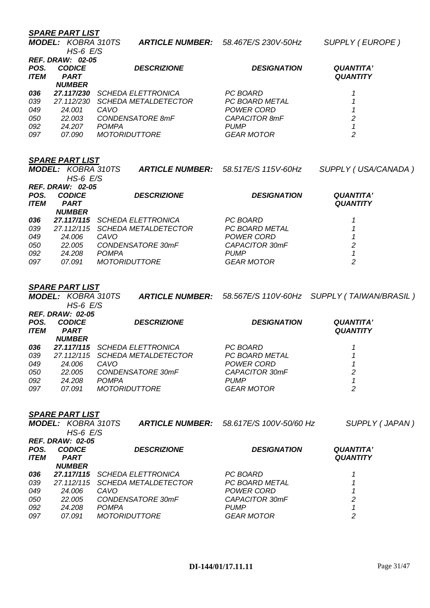*HS-6 E/S* 

|             | <b>REF. DRAW: 02-05</b> |                             |                       |                  |
|-------------|-------------------------|-----------------------------|-----------------------|------------------|
| POS.        | <b>CODICE</b>           | <b>DESCRIZIONE</b>          | <b>DESIGNATION</b>    | <b>QUANTITA'</b> |
| <b>ITEM</b> | <b>PART</b>             |                             |                       | <b>QUANTITY</b>  |
|             | <b>NUMBER</b>           |                             |                       |                  |
| 036         | 27.117/230              | <i>SCHEDA ELETTRONICA</i>   | PC BOARD              |                  |
| 039         | 27.112/230              | <b>SCHEDA METALDETECTOR</b> | <b>PC BOARD METAL</b> |                  |
| 049         | 24.001                  | CAVO                        | POWER CORD            |                  |
| 050         | 22.003                  | CONDENSATORE 8mF            | CAPACITOR 8mF         | 2                |
| 092         | 24,207                  | <b>POMPA</b>                | <b>PUMP</b>           |                  |
| 097         | 07.090                  | <i>MOTORIDUTTORE</i>        | <b>GEAR MOTOR</b>     | 2                |

### *SPARE PART LIST*

|             |                                       |                                                                                            | SUPPLY (USA/CANADA)                                       |
|-------------|---------------------------------------|--------------------------------------------------------------------------------------------|-----------------------------------------------------------|
|             |                                       |                                                                                            | <b>QUANTITA'</b>                                          |
| <b>PART</b> |                                       |                                                                                            | <b>QUANTITY</b>                                           |
| 27.117/115  | <b>SCHEDA ELETTRONICA</b>             | PC BOARD                                                                                   |                                                           |
| 27.112/115  | <b>SCHEDA METALDETECTOR</b>           | <b>PC BOARD METAL</b>                                                                      |                                                           |
| 24.006      | CAVO                                  | POWER CORD                                                                                 |                                                           |
| 22.005      | CONDENSATORE 30mF                     | CAPACITOR 30mF                                                                             | 2                                                         |
| 24.208      | <b>POMPA</b>                          | <b>PUMP</b>                                                                                |                                                           |
| 07.091      | <i>MOTORIDUTTORE</i>                  | <b>GEAR MOTOR</b>                                                                          | 2                                                         |
|             | <b>CODICE</b><br><i><b>NUMBER</b></i> | <b>MODEL: KOBRA 310TS</b><br>$HS-6$ $E/S$<br><b>REF. DRAW: 02-05</b><br><b>DESCRIZIONE</b> | ARTICLE NUMBER: 58.517E/S 115V-60Hz<br><b>DESIGNATION</b> |

### *SPARE PART LIST*

|         | <b>MODEL: KOBRA 310TS</b><br>$HS-6$ $E/S$ |                                 |                    | ARTICLE NUMBER: 58.567E/S 110V-60Hz SUPPLY (TAIWAN/BRASIL) |
|---------|-------------------------------------------|---------------------------------|--------------------|------------------------------------------------------------|
|         | <i>REF. DRAW: 02-05</i>                   |                                 |                    |                                                            |
| POS.    | <b>CODICE</b>                             | <b>DESCRIZIONE</b>              | <b>DESIGNATION</b> | <b>QUANTITA'</b>                                           |
| ITEM    | <b>PART</b><br><b>NUMBER</b>              |                                 |                    | <b>QUANTITY</b>                                            |
| 036     |                                           | 27.117/115 SCHEDA ELETTRONICA   | PC BOARD           |                                                            |
| 039     |                                           | 27.112/115 SCHEDA METALDETECTOR | PC BOARD METAL     |                                                            |
| 049     | 24.006                                    | CAVO                            | POWER CORD         |                                                            |
| $- - -$ | -- ---                                    |                                 |                    |                                                            |

| .   |        |                      |                   |   |
|-----|--------|----------------------|-------------------|---|
| 050 | 22.005 | CONDENSATORE 30mF    | CAPACITOR 30mF    |   |
| 092 | 24.208 | <b>POMPA</b>         | <b>PUMP</b>       |   |
| 097 | 07.091 | <i>MOTORIDUTTORE</i> | <b>GEAR MOTOR</b> | 2 |
|     |        |                      |                   |   |

|             | <b>MODEL: KOBRA 310TS</b><br>$HS-6$ $E/S$ |                             | <b>ARTICLE NUMBER:</b> 58.617E/S 100V-50/60 Hz | SUPPLY (JAPAN)   |
|-------------|-------------------------------------------|-----------------------------|------------------------------------------------|------------------|
| POS.        | <b>REF. DRAW: 02-05</b><br><b>CODICE</b>  | <b>DESCRIZIONE</b>          | <b>DESIGNATION</b>                             | <b>QUANTITA'</b> |
| <b>ITEM</b> | <b>PART</b><br><b>NUMBER</b>              |                             |                                                | <b>QUANTITY</b>  |
| 036         | 27.117/115                                | <b>SCHEDA ELETTRONICA</b>   | PC BOARD                                       |                  |
| 039         | 27.112/115                                | <b>SCHEDA METALDETECTOR</b> | PC BOARD METAL                                 |                  |
| 049         | 24.006                                    | CAVO                        | POWER CORD                                     |                  |
| 050         | 22.005                                    | CONDENSATORE 30mF           | CAPACITOR 30mF                                 | 2                |
| 092         | 24.208                                    | <b>POMPA</b>                | <b>PUMP</b>                                    |                  |
| 097         | 07.091                                    | <b>MOTORIDUTTORE</b>        | <b>GEAR MOTOR</b>                              | 2                |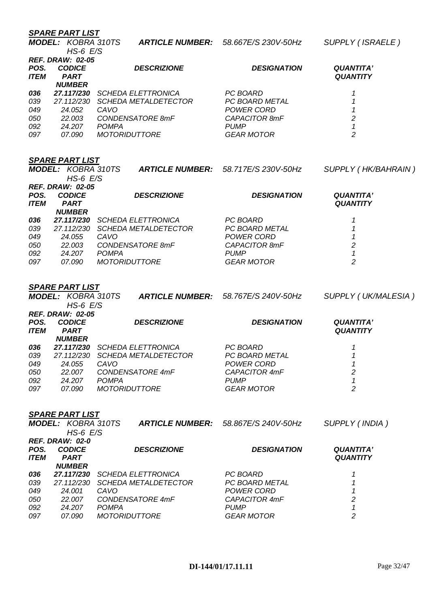*HS-6 E/S* 

| ARTICLE NUMBER: 58.667E/S 230V-50Hz<br>MODEL: KOBRA 310TS |  |
|-----------------------------------------------------------|--|
|-----------------------------------------------------------|--|

 $\text{SUPPLY}$  ( ISRAELE )

|             | <b>REF. DRAW: 02-05</b> |                             |                       |                  |
|-------------|-------------------------|-----------------------------|-----------------------|------------------|
| POS.        | <b>CODICE</b>           | <b>DESCRIZIONE</b>          | <b>DESIGNATION</b>    | <b>QUANTITA'</b> |
| <b>ITEM</b> | <b>PART</b>             |                             |                       | <b>QUANTITY</b>  |
|             | <b>NUMBER</b>           |                             |                       |                  |
| 036         | 27.117/230              | <b>SCHEDA ELETTRONICA</b>   | PC BOARD              |                  |
| 039         | 27.112/230              | <b>SCHEDA METALDETECTOR</b> | <b>PC BOARD METAL</b> |                  |
| 049         | 24.052                  | CAVO.                       | POWER CORD            |                  |
| 050         | 22.003                  | CONDENSATORE 8mF            | CAPACITOR 8mF         | 2                |
| 092         | 24.207                  | <b>POMPA</b>                | <b>PUMP</b>           |                  |
| 097         | 07.090                  | <b>MOTORIDUTTORE</b>        | <b>GEAR MOTOR</b>     | 2                |
|             |                         |                             |                       |                  |

### *SPARE PART LIST*

|                      |                             |                                                                                            | SUPPLY (HK/BAHRAIN)                                       |
|----------------------|-----------------------------|--------------------------------------------------------------------------------------------|-----------------------------------------------------------|
|                      |                             |                                                                                            |                                                           |
| <b>PART</b>          |                             |                                                                                            | <b>QUANTITA'</b><br><b>QUANTITY</b>                       |
| <i><b>NUMBER</b></i> |                             |                                                                                            |                                                           |
| 27.117/230           | <b>SCHEDA ELETTRONICA</b>   | PC BOARD                                                                                   |                                                           |
| 27.112/230           | <b>SCHEDA METALDETECTOR</b> | <b>PC BOARD METAL</b>                                                                      |                                                           |
| 24.055               | CAVO                        | <b>POWER CORD</b>                                                                          |                                                           |
| 22.003               | CONDENSATORE 8mF            | CAPACITOR 8mF                                                                              | 2                                                         |
| 24.207               | <b>POMPA</b>                | <i>PUMP</i>                                                                                |                                                           |
| 07.090               | <b>MOTORIDUTTORE</b>        | <b>GEAR MOTOR</b>                                                                          | 2                                                         |
|                      | <b>CODICE</b>               | <b>MODEL: KOBRA 310TS</b><br>$HS-6$ $E/S$<br><b>REF. DRAW: 02-05</b><br><b>DESCRIZIONE</b> | ARTICLE NUMBER: 58.717E/S 230V-50Hz<br><b>DESIGNATION</b> |

### *SPARE PART LIST*

|                         | <b>MODEL: KOBRA 310TS</b> |                             | ARTICLE NUMBER: 58.767E/S 240V-50Hz | SUPPLY (UK/MALESIA) |  |  |  |
|-------------------------|---------------------------|-----------------------------|-------------------------------------|---------------------|--|--|--|
|                         | $HS-6$ $E/S$              |                             |                                     |                     |  |  |  |
| <b>REF. DRAW: 02-05</b> |                           |                             |                                     |                     |  |  |  |
| POS.                    | <b>CODICE</b>             | <b>DESCRIZIONE</b>          | <b>DESIGNATION</b>                  | <b>QUANTITA'</b>    |  |  |  |
| <b>ITEM</b>             | <b>PART</b>               |                             |                                     | <b>QUANTITY</b>     |  |  |  |
|                         | <b>NUMBER</b>             |                             |                                     |                     |  |  |  |
| 036                     | 27.117/230                | <b>SCHEDA ELETTRONICA</b>   | PC BOARD                            |                     |  |  |  |
| 039                     | 27.112/230                | <i>SCHEDA METALDETECTOR</i> | PC BOARD METAL                      |                     |  |  |  |
| 049                     | 24.055                    | CAVO                        | POWER CORD                          |                     |  |  |  |
| 050                     | 22.007                    | CONDENSATORE 4mF            | CAPACITOR 4mF                       | 2                   |  |  |  |
| 092                     | 24.207                    | <b>POMPA</b>                | <b>PUMP</b>                         |                     |  |  |  |
| 097                     | 07.090                    | <b>MOTORIDUTTORE</b>        | <b>GEAR MOTOR</b>                   | 2                   |  |  |  |
|                         |                           |                             |                                     |                     |  |  |  |

|                        | <b>MODEL: KOBRA 310TS</b> | <b>ARTICLE NUMBER:</b>      | 58.867E/S 240V-50Hz | SUPPLY (INDIA)   |  |  |
|------------------------|---------------------------|-----------------------------|---------------------|------------------|--|--|
|                        | $HS-6$ $E/S$              |                             |                     |                  |  |  |
| <b>REF. DRAW: 02-0</b> |                           |                             |                     |                  |  |  |
| POS.                   | <b>CODICE</b>             | <b>DESCRIZIONE</b>          | <b>DESIGNATION</b>  | <b>QUANTITA'</b> |  |  |
| <b>ITEM</b>            | <b>PART</b>               |                             |                     | <b>QUANTITY</b>  |  |  |
|                        | <b>NUMBER</b>             |                             |                     |                  |  |  |
| 036                    | 27.117/230                | <b>SCHEDA ELETTRONICA</b>   | PC BOARD            |                  |  |  |
| 039                    | 27.112/230                | <i>SCHEDA METALDETECTOR</i> | PC BOARD METAL      |                  |  |  |
| 049                    | 24.001                    | CAVO                        | POWER CORD          |                  |  |  |
| 050                    | 22.007                    | CONDENSATORE 4mF            | CAPACITOR 4mF       | 2                |  |  |
| 092                    | 24.207                    | <b>POMPA</b>                | <b>PUMP</b>         |                  |  |  |
| 097                    | 07.090                    | <b>MOTORIDUTTORE</b>        | <b>GEAR MOTOR</b>   | 2                |  |  |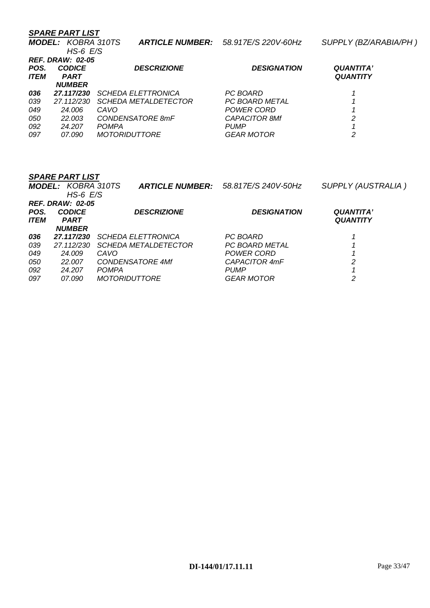*MODEL: KOBRA 310TS ARTICLE NUMBER: 58.917E/S 220V-60Hz SUPPLY (BZ/ARABIA/PH )* 

|                         | $HS-6$ $E/S$  |                             |                       |                  |  |
|-------------------------|---------------|-----------------------------|-----------------------|------------------|--|
| <b>REF. DRAW: 02-05</b> |               |                             |                       |                  |  |
| POS.                    | <b>CODICE</b> | <b>DESCRIZIONE</b>          | <b>DESIGNATION</b>    | <b>QUANTITA'</b> |  |
| <b>ITEM</b>             | <b>PART</b>   |                             |                       | <b>QUANTITY</b>  |  |
|                         | <b>NUMBER</b> |                             |                       |                  |  |
| 036                     | 27.117/230    | <b>SCHEDA ELETTRONICA</b>   | PC BOARD              |                  |  |
| 039                     | 27.112/230    | <b>SCHEDA METALDETECTOR</b> | <b>PC BOARD METAL</b> |                  |  |
| 049                     | 24.006        | CAVO                        | POWER CORD            |                  |  |
| 050                     | 22.003        | CONDENSATORE 8mF            | <b>CAPACITOR 8Mf</b>  | 2                |  |
| 092                     | 24.207        | <b>POMPA</b>                | <b>PUMP</b>           |                  |  |
| 097                     | 07.090        | <b>MOTORIDUTTORE</b>        | <b>GEAR MOTOR</b>     | 2                |  |

|                    | <b>MODEL: KOBRA 310TS</b><br>$HS-6$ $E/S$ | <b>ARTICLE NUMBER:</b>      | 58.817E/S 240V-50Hz | <b>SUPPLY (AUSTRALIA)</b> |
|--------------------|-------------------------------------------|-----------------------------|---------------------|---------------------------|
| POS.               | <b>REF. DRAW: 02-05</b><br><b>CODICE</b>  | <b>DESCRIZIONE</b>          | <b>DESIGNATION</b>  | <b>QUANTITA'</b>          |
| <i><b>ITEM</b></i> | <b>PART</b><br><b>NUMBER</b>              |                             |                     | <b>QUANTITY</b>           |
| 036                | 27.117/230                                | <b>SCHEDA ELETTRONICA</b>   | PC BOARD            |                           |
| 039                | 27.112/230                                | <b>SCHEDA METALDETECTOR</b> | PC BOARD METAL      |                           |
| 049                | 24.009                                    | CAVO                        | POWER CORD          |                           |
| 050                | 22,007                                    | <b>CONDENSATORE 4Mf</b>     | CAPACITOR 4mF       | 2                         |
| 092                | 24.207                                    | <b>POMPA</b>                | <b>PUMP</b>         |                           |
| 097                | <i>07.090</i>                             | <b>MOTORIDUTTORE</b>        | <b>GEAR MOTOR</b>   | 2                         |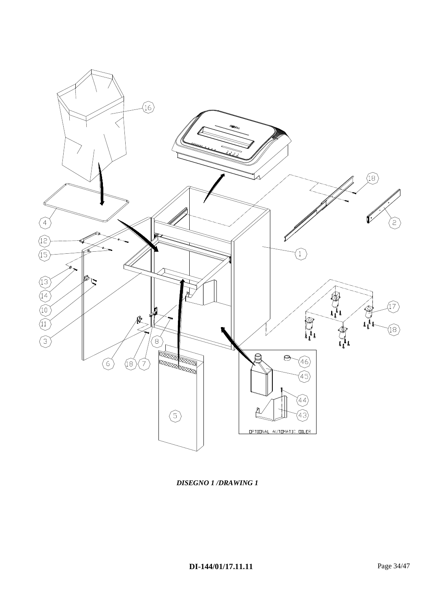

*DISEGNO 1 /DRAWING 1*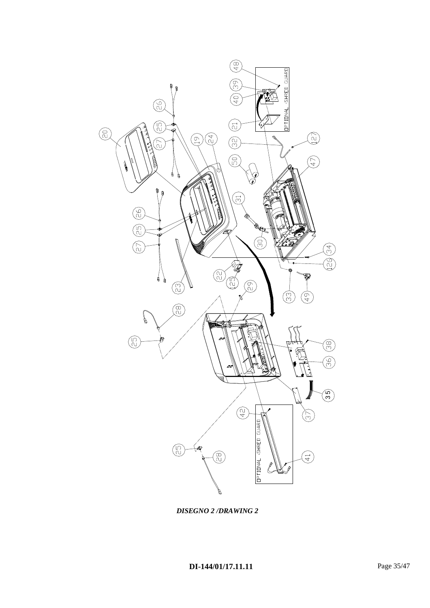

*DISEGNO 2 /DRAWING 2*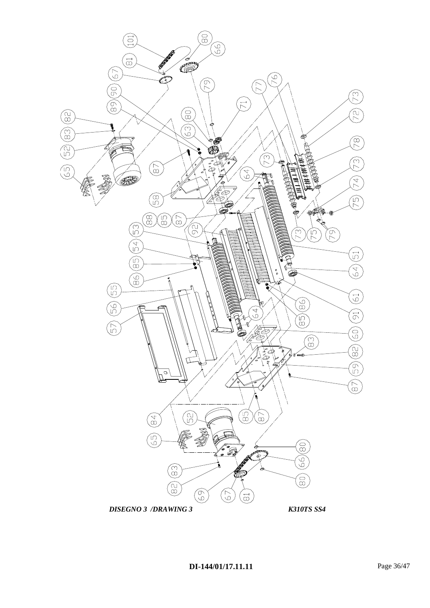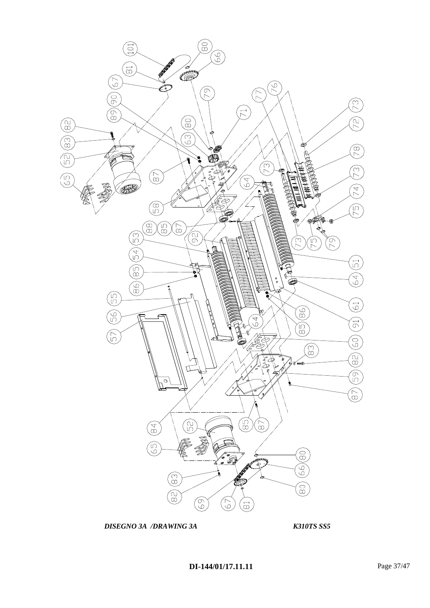

**DISEGNO 3A /DRAWING 3A K310TS SS5** 

**DI-144/01/17.11.11** Page 37/47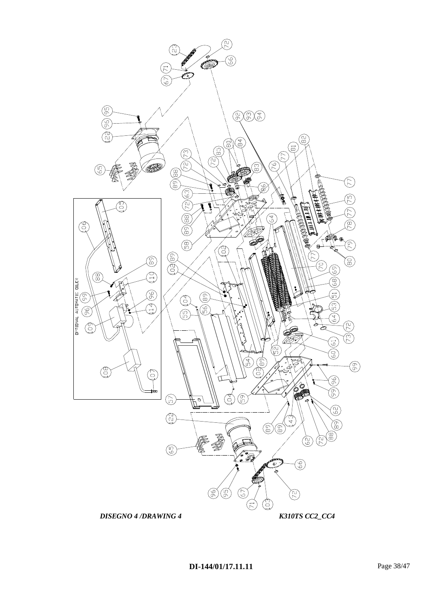

### **DI-144/01/17.11.11** Page 38/47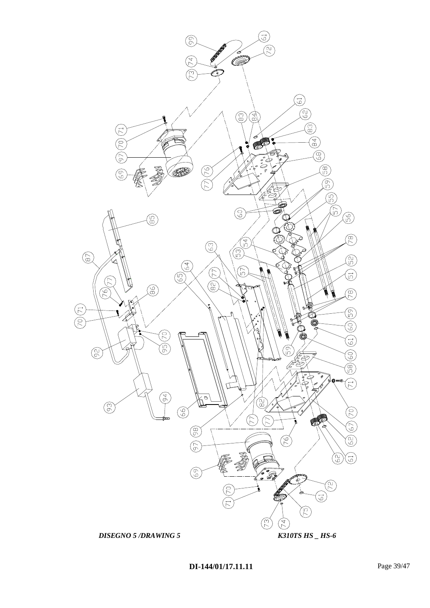

**DI-144/01/17.11.11** Page 39/47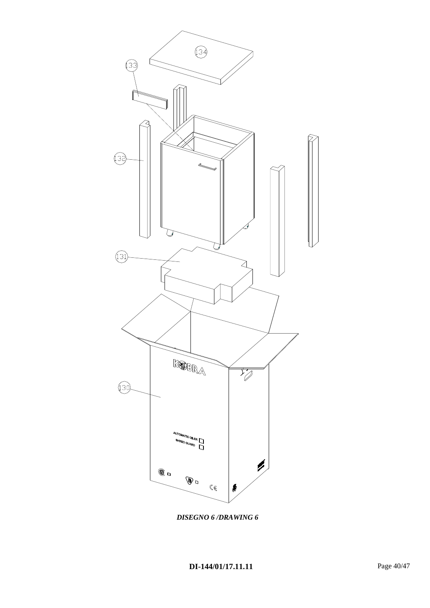

*DISEGNO 6 /DRAWING 6*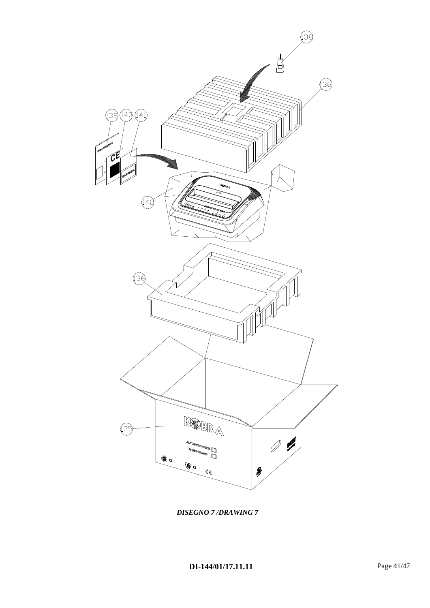

*DISEGNO 7 /DRAWING 7*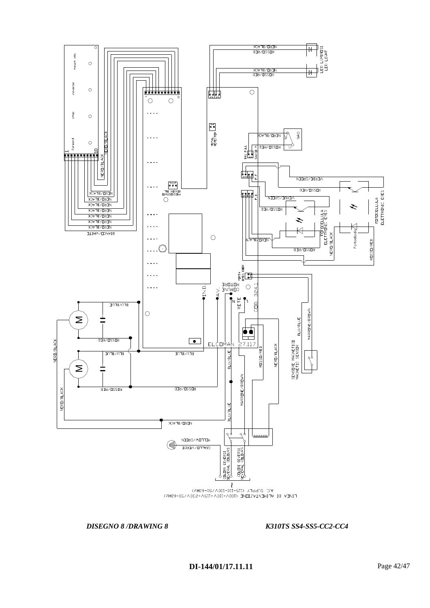

### *DISEGNO 8 /DRAWING 8 K310TS SS4-SS5-CC2-CC4*

**DI-144/01/17.11.11** Page 42/47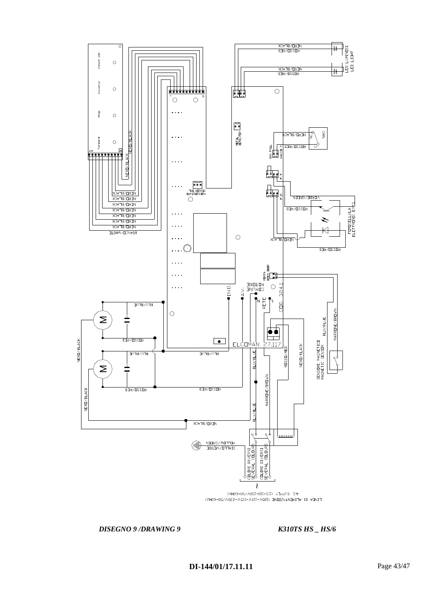

### *DISEGNO 9* /*DRAWING 9 K310TS HS \_ HS/6*

**DI-144/01/17.11.11** Page 43/47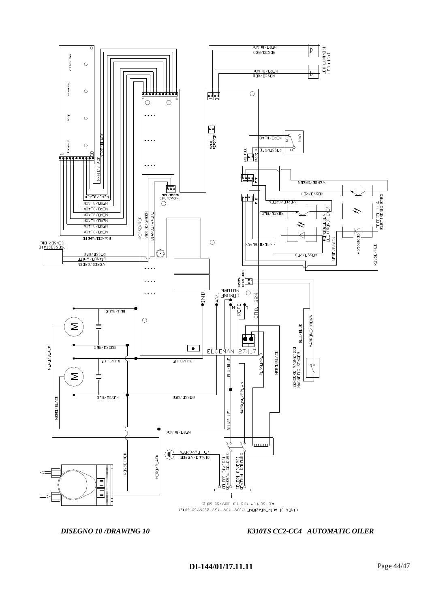

### *DISEGNO 10 /DRAWING 10 K310TS CC2-CC4 AUTOMATIC OILER*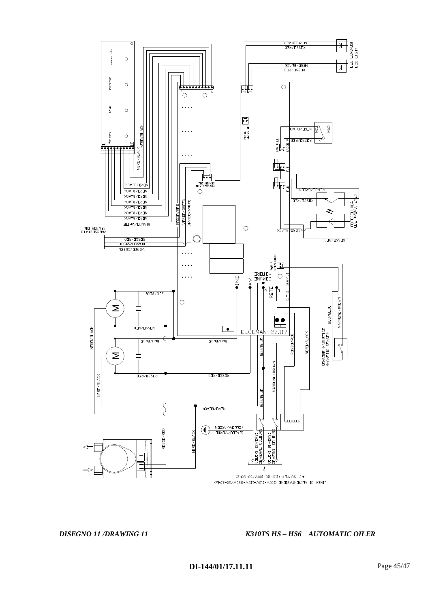

LINEA DI ALIMENTAZIONE (100V-110V-115V-230V/50-60Hz)

*DISEGNO 11 /DRAWING 11 K310TS HS – HS6 AUTOMATIC OILER*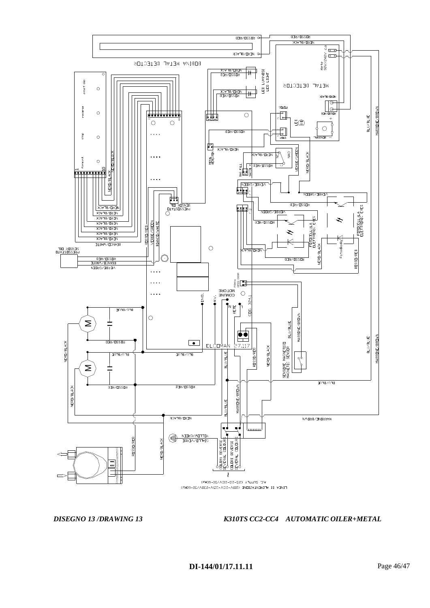

*DISEGNO 13 /DRAWING 13 K310TS CC2-CC4 AUTOMATIC OILER+METAL*